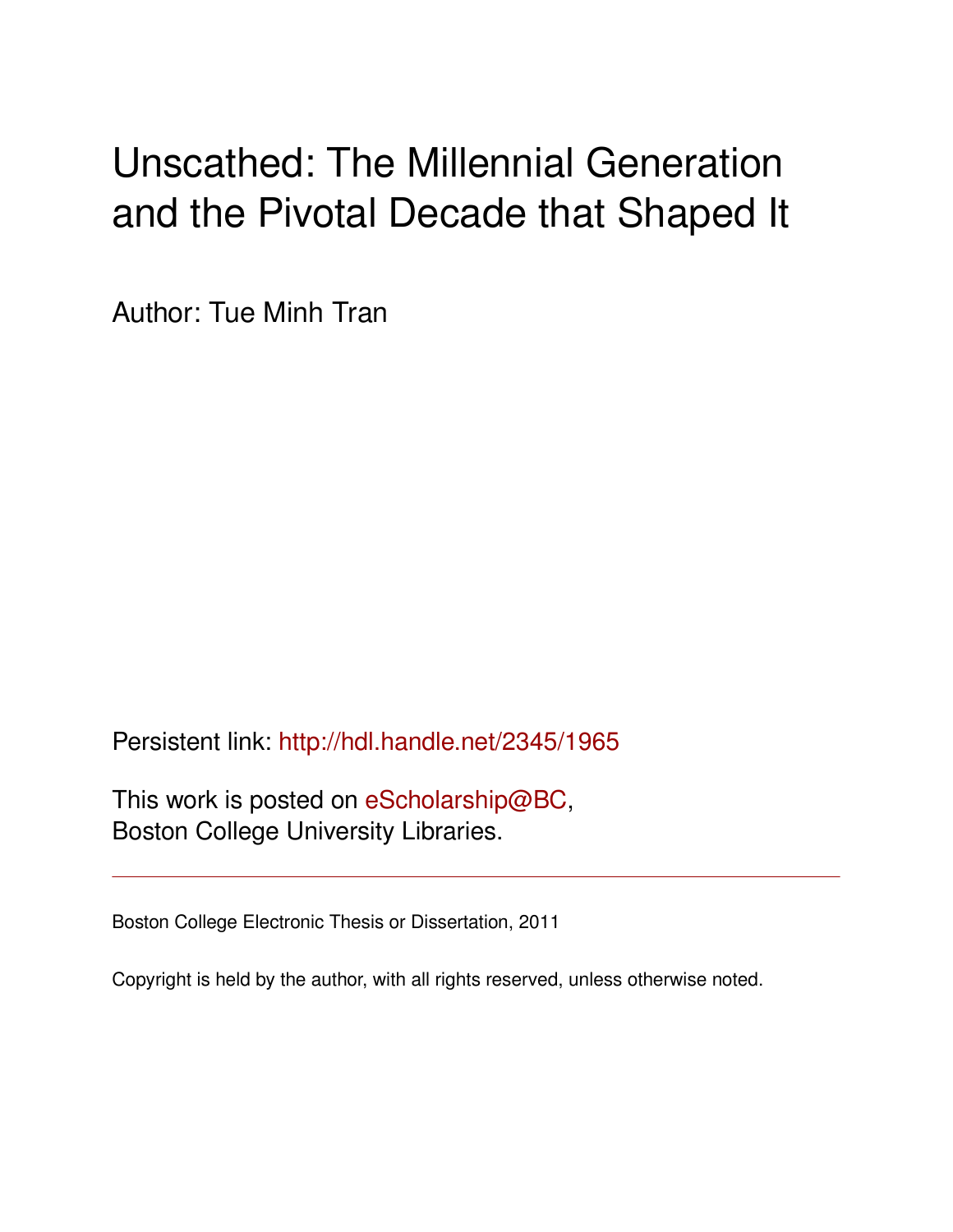# Unscathed: The Millennial Generation and the Pivotal Decade that Shaped It

Author: Tue Minh Tran

Persistent link: <http://hdl.handle.net/2345/1965>

This work is posted on [eScholarship@BC](http://escholarship.bc.edu), Boston College University Libraries.

Boston College Electronic Thesis or Dissertation, 2011

Copyright is held by the author, with all rights reserved, unless otherwise noted.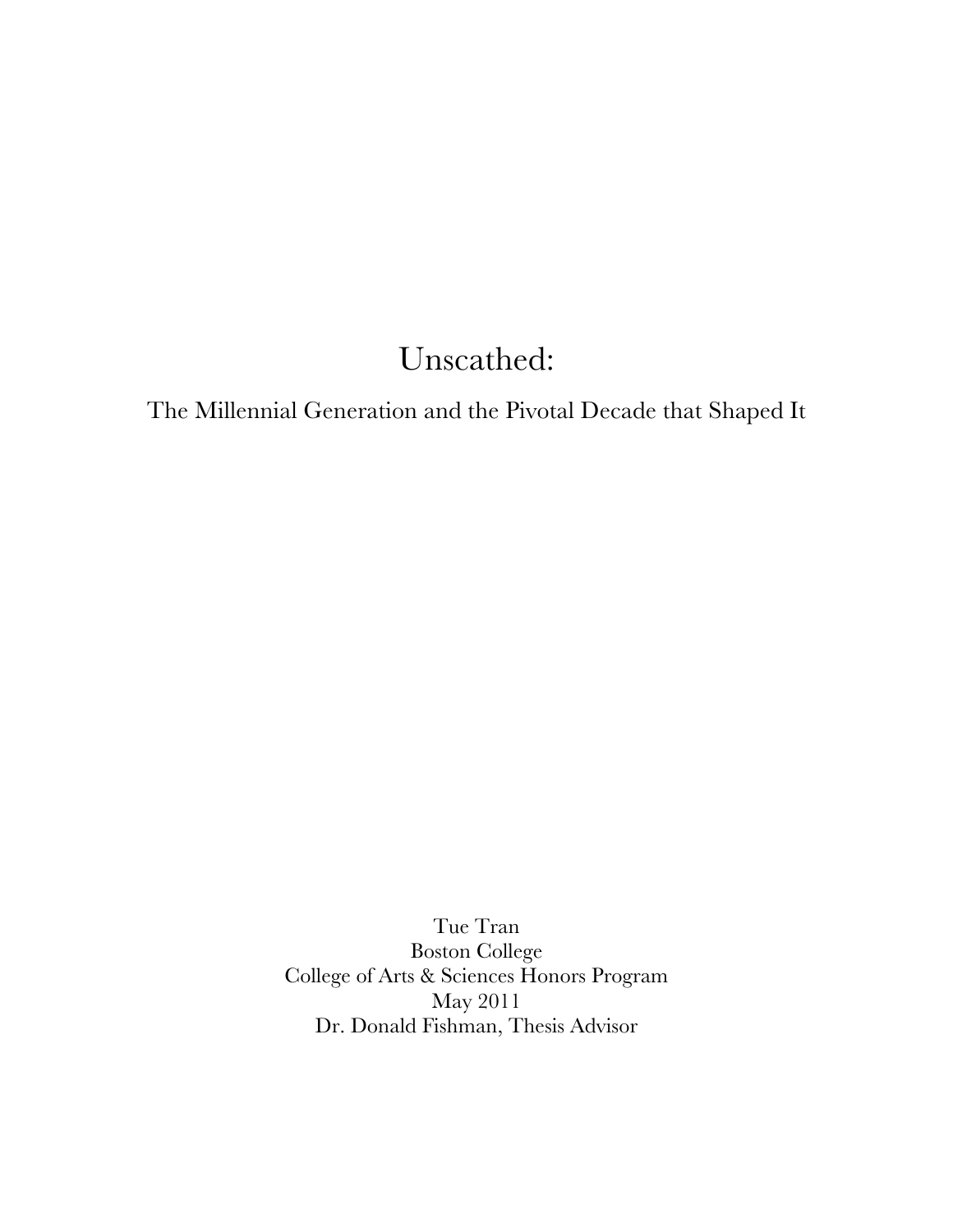## Unscathed:

The Millennial Generation and the Pivotal Decade that Shaped It

Tue Tran Boston College College of Arts & Sciences Honors Program May 2011 Dr. Donald Fishman, Thesis Advisor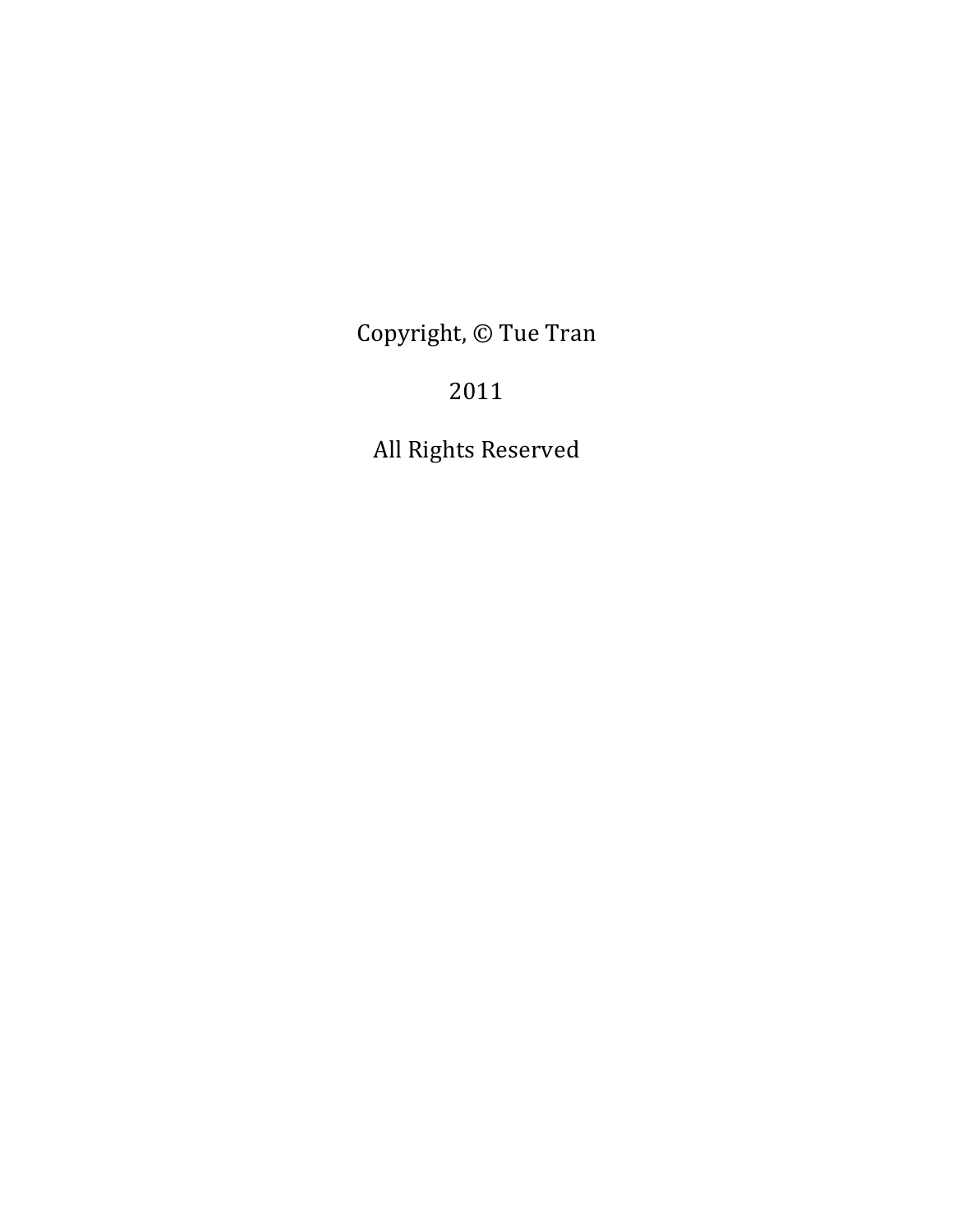Copyright, © Tue Tran

### 2011

All Rights Reserved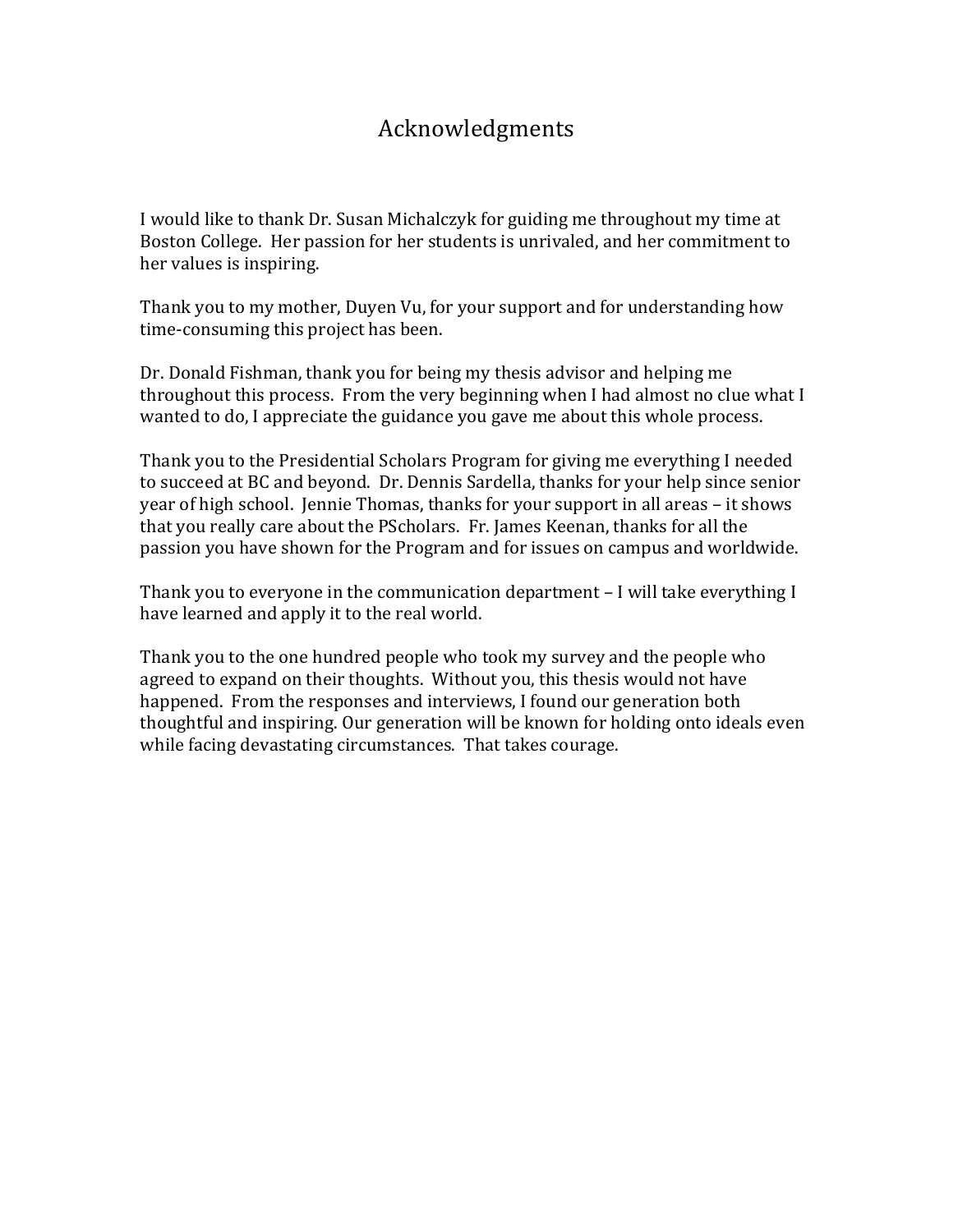### Acknowledgments!

I would like to thank Dr. Susan Michalczyk for guiding me throughout my time at Boston College. Her passion for her students is unrivaled, and her commitment to her values is inspiring.

Thank you to my mother, Duyen Vu, for your support and for understanding how time-consuming this project has been.

Dr. Donald Fishman, thank you for being my thesis advisor and helping me throughout this process. From the very beginning when I had almost no clue what I wanted to do, I appreciate the guidance you gave me about this whole process.

Thank you to the Presidential Scholars Program for giving me everything I needed to succeed at BC and beyond. Dr. Dennis Sardella, thanks for your help since senior year of high school. Jennie Thomas, thanks for your support in all areas – it shows that you really care about the PScholars. Fr. James Keenan, thanks for all the passion you have shown for the Program and for issues on campus and worldwide.

Thank you to everyone in the communication department – I will take everything I have learned and apply it to the real world.

Thank you to the one hundred people who took my survey and the people who agreed to expand on their thoughts. Without you, this thesis would not have happened. From the responses and interviews, I found our generation both thoughtful and inspiring. Our generation will be known for holding onto ideals even while facing devastating circumstances. That takes courage.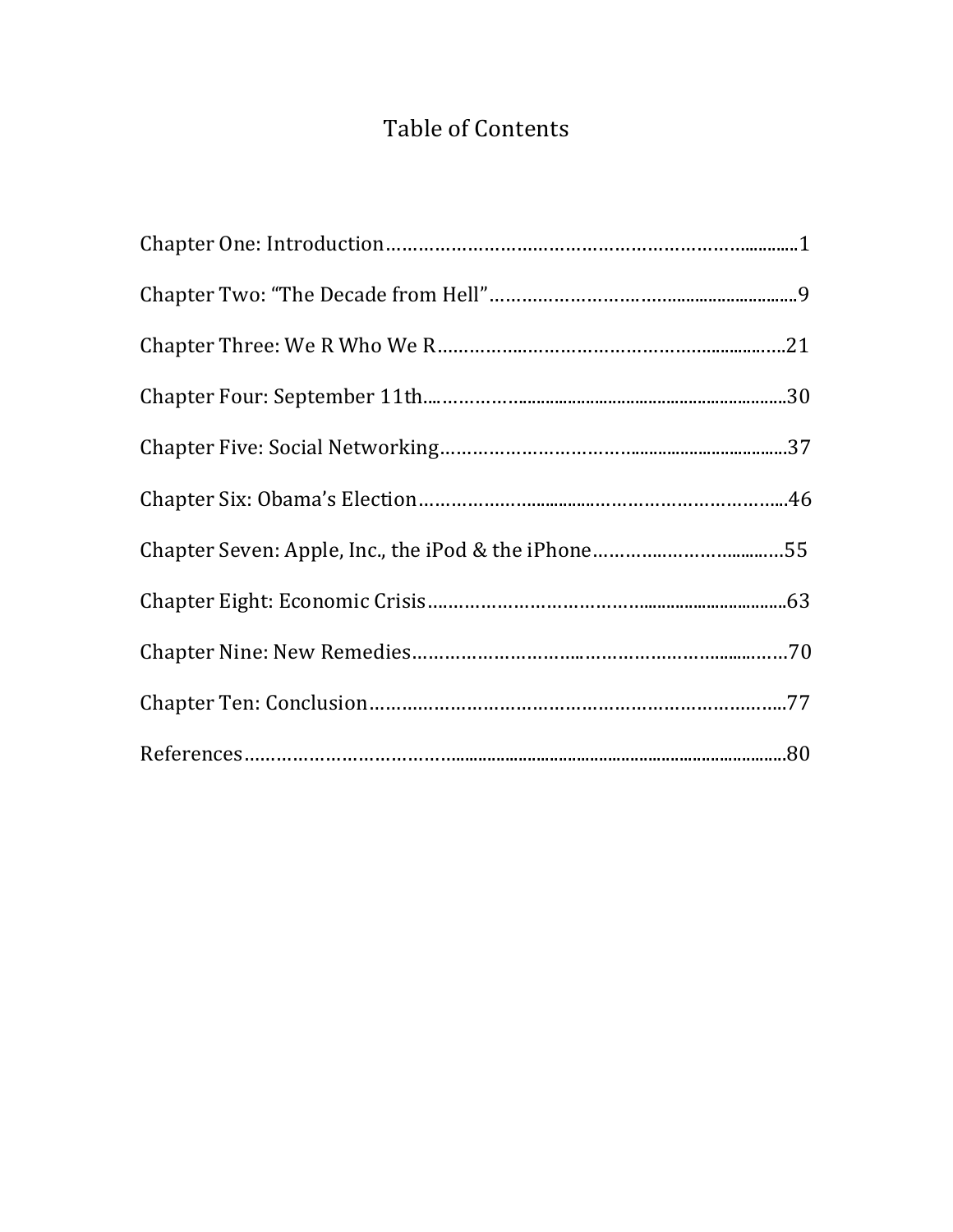### Table of Contents

| Chapter Seven: Apple, Inc., the iPod & the iPhone55 |  |
|-----------------------------------------------------|--|
|                                                     |  |
|                                                     |  |
|                                                     |  |
|                                                     |  |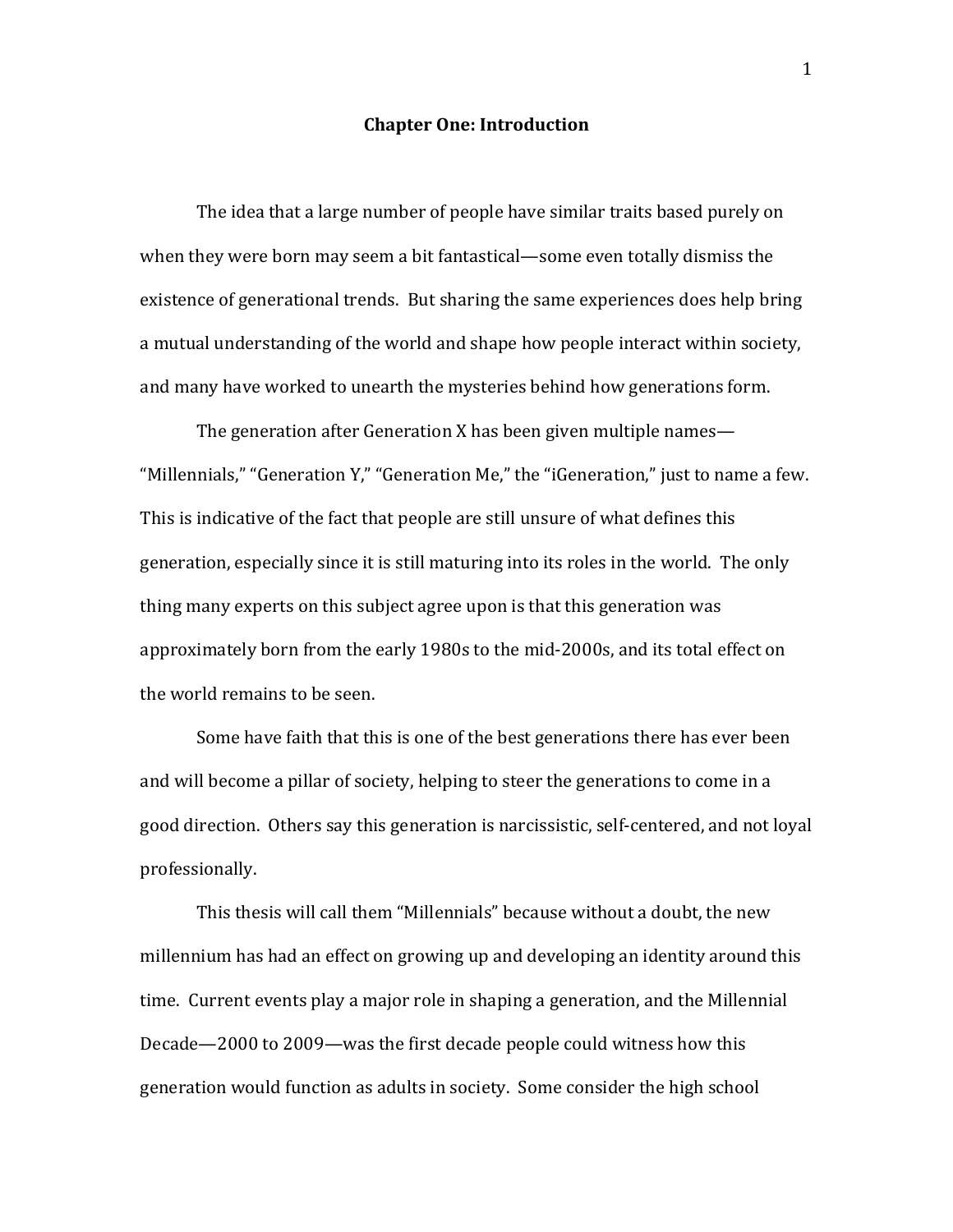#### **Chapter One: Introduction**

The idea that a large number of people have similar traits based purely on when they were born may seem a bit fantastical—some even totally dismiss the existence of generational trends. But sharing the same experiences does help bring a mutual understanding of the world and shape how people interact within society, and many have worked to unearth the mysteries behind how generations form.

The generation after Generation X has been given multiple names— "Millennials," "Generation Y," "Generation Me," the "iGeneration," just to name a few. This is indicative of the fact that people are still unsure of what defines this generation, especially since it is still maturing into its roles in the world. The only thing many experts on this subject agree upon is that this generation was approximately born from the early 1980s to the mid-2000s, and its total effect on the world remains to be seen.

Some have faith that this is one of the best generations there has ever been and will become a pillar of society, helping to steer the generations to come in a good direction. Others say this generation is narcissistic, self-centered, and not loyal professionally.

This thesis will call them "Millennials" because without a doubt, the new millennium has had an effect on growing up and developing an identity around this time. Current events play a major role in shaping a generation, and the Millennial Decade—2000 to 2009—was the first decade people could witness how this generation would function as adults in society. Some consider the high school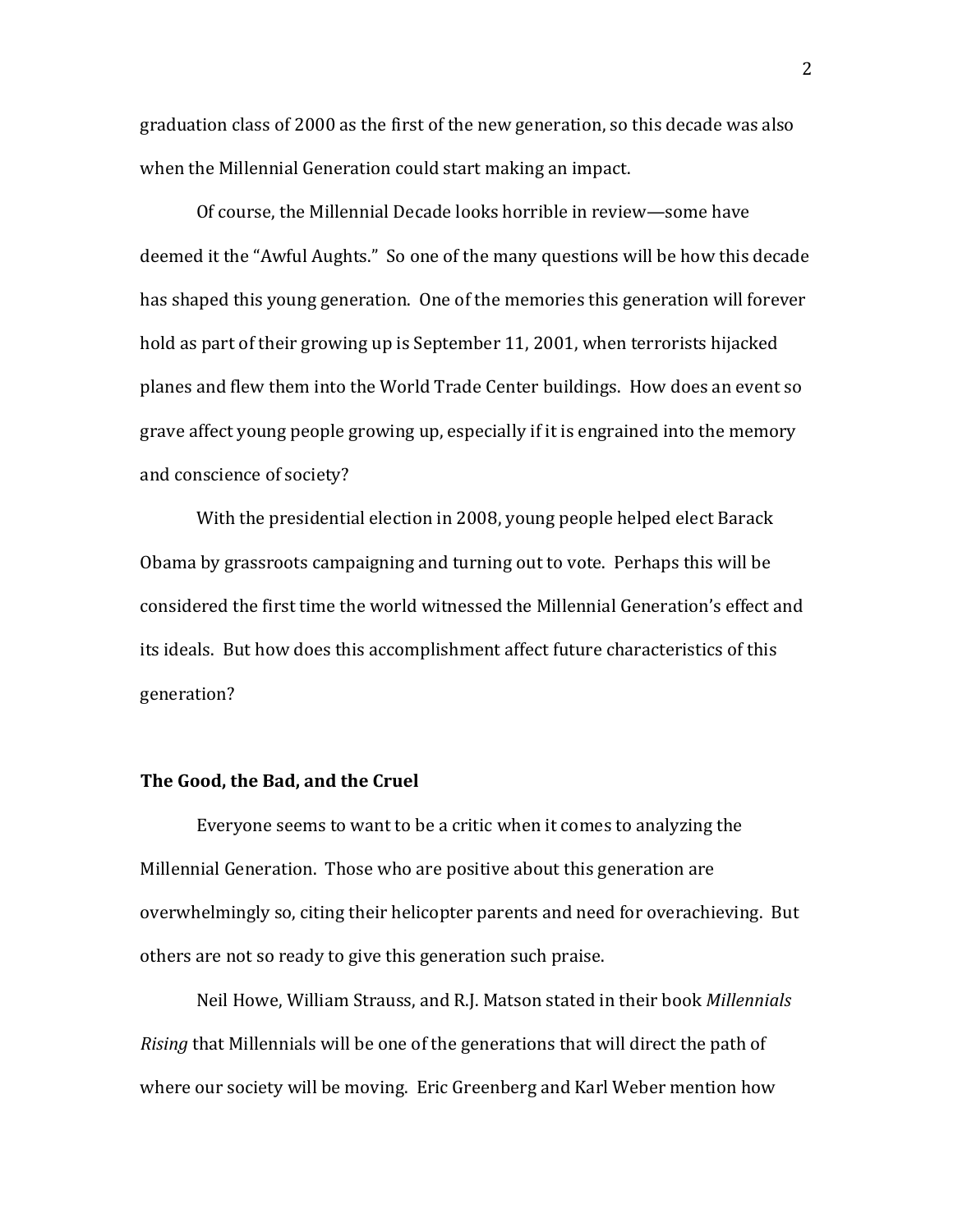graduation class of 2000 as the first of the new generation, so this decade was also when the Millennial Generation could start making an impact.

Of course, the Millennial Decade looks horrible in review—some have deemed it the "Awful Aughts." So one of the many questions will be how this decade has shaped this young generation. One of the memories this generation will forever hold as part of their growing up is September 11, 2001, when terrorists hijacked planes and flew them into the World Trade Center buildings. How does an event so grave affect young people growing up, especially if it is engrained into the memory and conscience of society?

With the presidential election in 2008, young people helped elect Barack Obama by grassroots campaigning and turning out to vote. Perhaps this will be considered the first time the world witnessed the Millennial Generation's effect and its ideals. But how does this accomplishment affect future characteristics of this generation?

#### **The Good, the Bad, and the Cruel**

Everyone seems to want to be a critic when it comes to analyzing the Millennial Generation. Those who are positive about this generation are overwhelmingly so, citing their helicopter parents and need for overachieving. But others are not so ready to give this generation such praise.

Neil Howe, William Strauss, and R.J. Matson stated in their book *Millennials Rising* that Millennials will be one of the generations that will direct the path of where our society will be moving. Eric Greenberg and Karl Weber mention how

2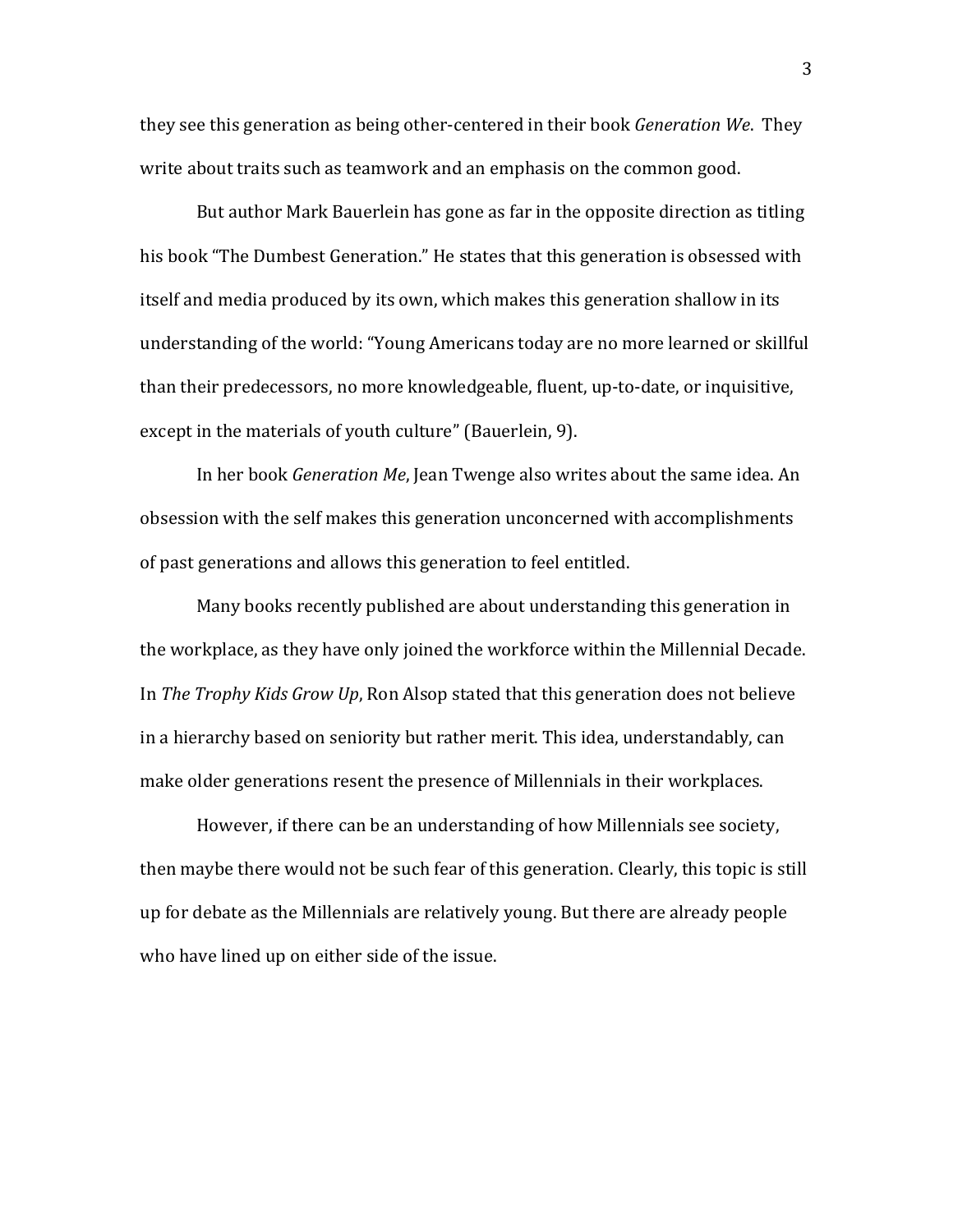they see this generation as being other-centered in their book *Generation We*. They write about traits such as teamwork and an emphasis on the common good.

But author Mark Bauerlein has gone as far in the opposite direction as titling his book "The Dumbest Generation." He states that this generation is obsessed with itself and media produced by its own, which makes this generation shallow in its understanding of the world: "Young Americans today are no more learned or skillful than their predecessors, no more knowledgeable, fluent, up-to-date, or inquisitive, except in the materials of youth culture" (Bauerlein, 9).

In her book *Generation Me*, Jean Twenge also writes about the same idea. An obsession with the self makes this generation unconcerned with accomplishments of past generations and allows this generation to feel entitled.

Many books recently published are about understanding this generation in the workplace, as they have only joined the workforce within the Millennial Decade. In *The Trophy Kids Grow Up*, Ron Alsop stated that this generation does not believe in a hierarchy based on seniority but rather merit. This idea, understandably, can make older generations resent the presence of Millennials in their workplaces.

However, if there can be an understanding of how Millennials see society, then maybe there would not be such fear of this generation. Clearly, this topic is still up for debate as the Millennials are relatively young. But there are already people who have lined up on either side of the issue.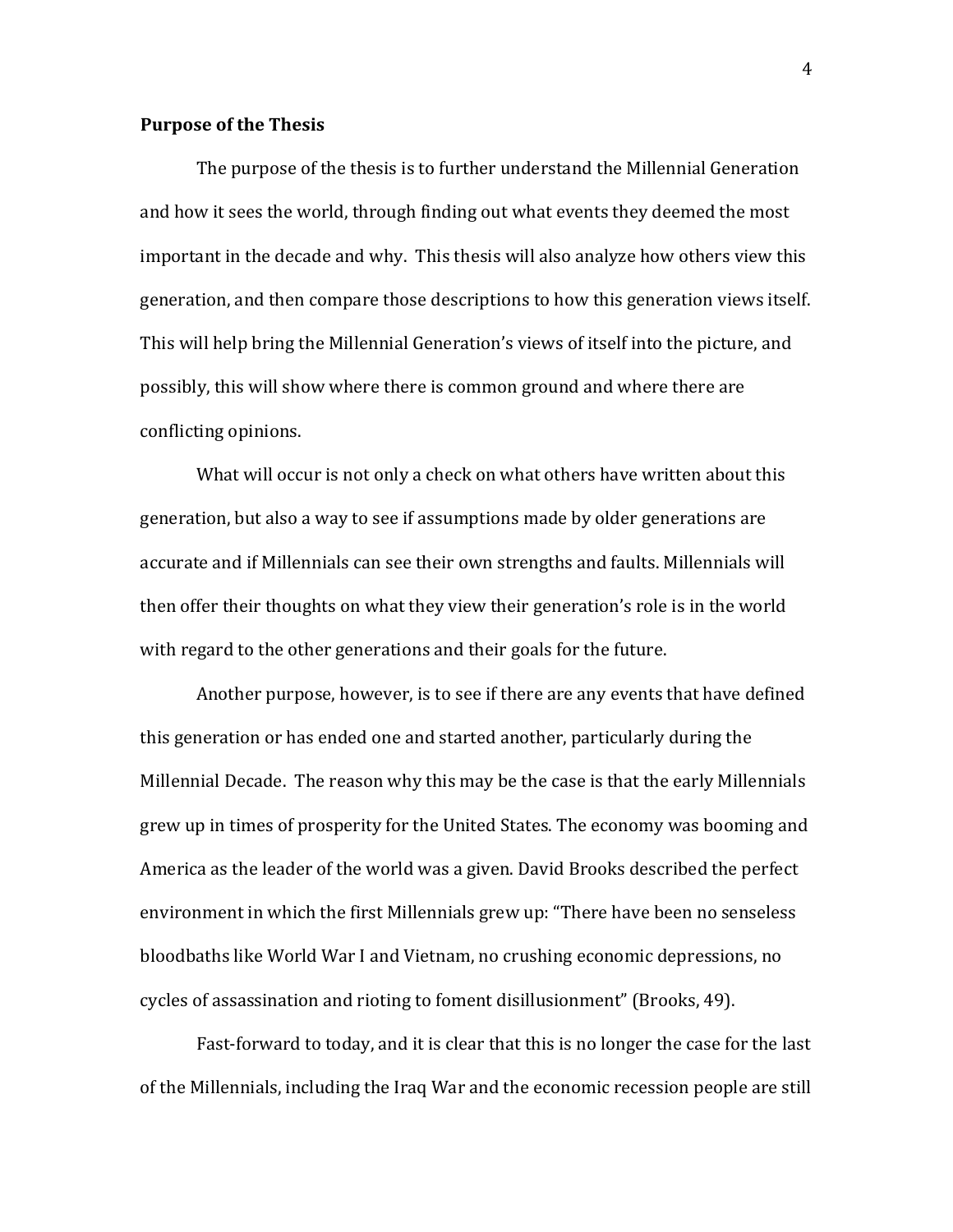#### **Purpose of the Thesis**

The purpose of the thesis is to further understand the Millennial Generation and how it sees the world, through finding out what events they deemed the most important in the decade and why. This thesis will also analyze how others view this generation, and then compare those descriptions to how this generation views itself. This will help bring the Millennial Generation's views of itself into the picture, and possibly, this will show where there is common ground and where there are conflicting opinions.

What will occur is not only a check on what others have written about this generation, but also a way to see if assumptions made by older generations are accurate and if Millennials can see their own strengths and faults. Millennials will then offer their thoughts on what they view their generation's role is in the world with regard to the other generations and their goals for the future.

Another purpose, however, is to see if there are any events that have defined this generation or has ended one and started another, particularly during the Millennial Decade. The reason why this may be the case is that the early Millennials grew up in times of prosperity for the United States. The economy was booming and America as the leader of the world was a given. David Brooks described the perfect environment in which the first Millennials grew up: "There have been no senseless" bloodbaths like World War I and Vietnam, no crushing economic depressions, no cycles of assassination and rioting to foment disillusionment" (Brooks, 49).

Fast-forward to today, and it is clear that this is no longer the case for the last of the Millennials, including the Iraq War and the economic recession people are still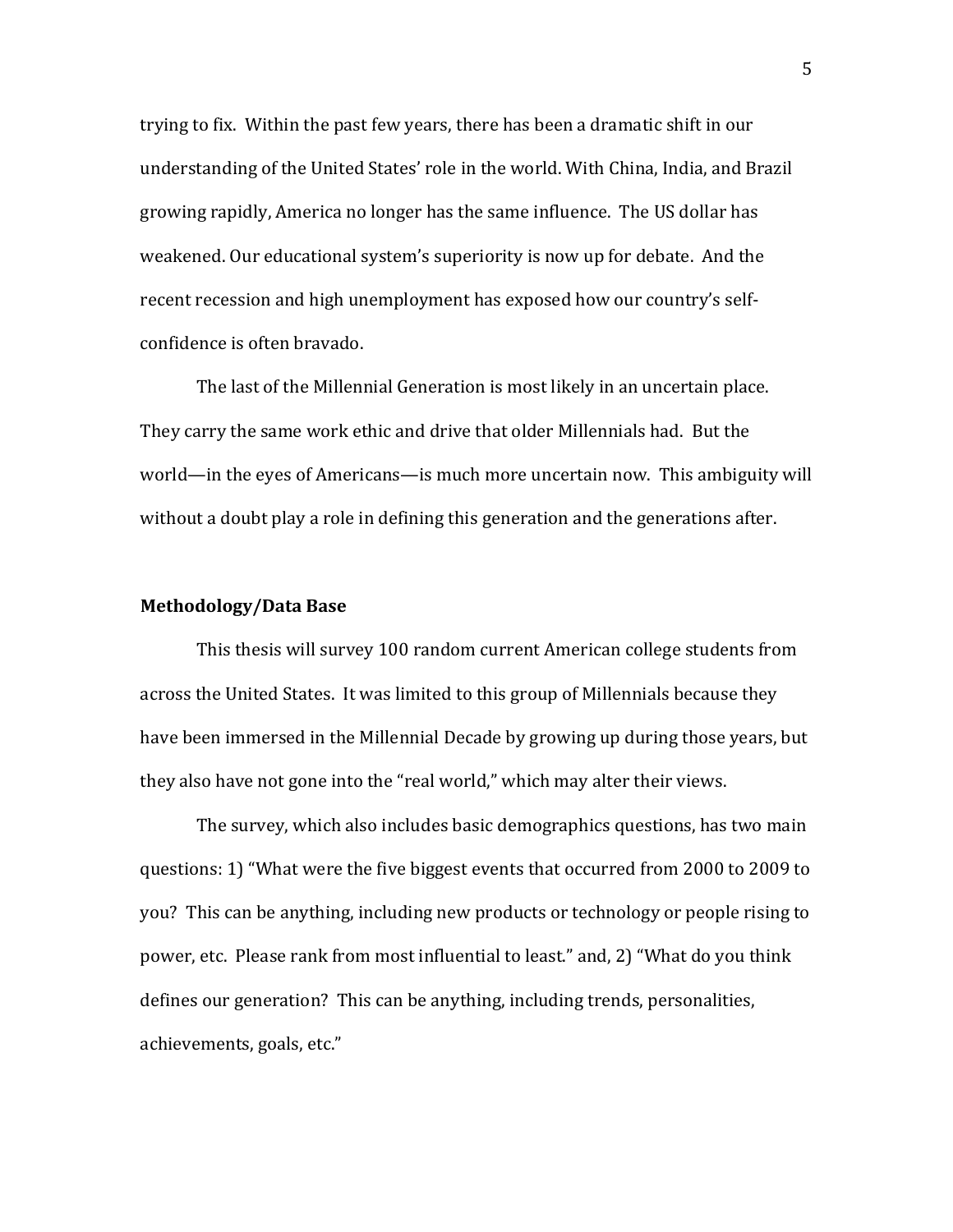trying to fix. Within the past few years, there has been a dramatic shift in our understanding of the United States' role in the world. With China, India, and Brazil growing rapidly, America no longer has the same influence. The US dollar has weakened. Our educational system's superiority is now up for debate. And the recent recession and high unemployment has exposed how our country's selfconfidence is often bravado.

The last of the Millennial Generation is most likely in an uncertain place. They carry the same work ethic and drive that older Millennials had. But the world—in the eyes of Americans—is much more uncertain now. This ambiguity will without a doubt play a role in defining this generation and the generations after.

#### **Methodology/Data(Base**

This thesis will survey 100 random current American college students from across the United States. It was limited to this group of Millennials because they have been immersed in the Millennial Decade by growing up during those years, but they also have not gone into the "real world," which may alter their views.

The survey, which also includes basic demographics questions, has two main questions: 1) "What were the five biggest events that occurred from 2000 to 2009 to you? This can be anything, including new products or technology or people rising to power, etc. Please rank from most influential to least." and, 2) "What do you think defines our generation? This can be anything, including trends, personalities, achievements, goals, etc."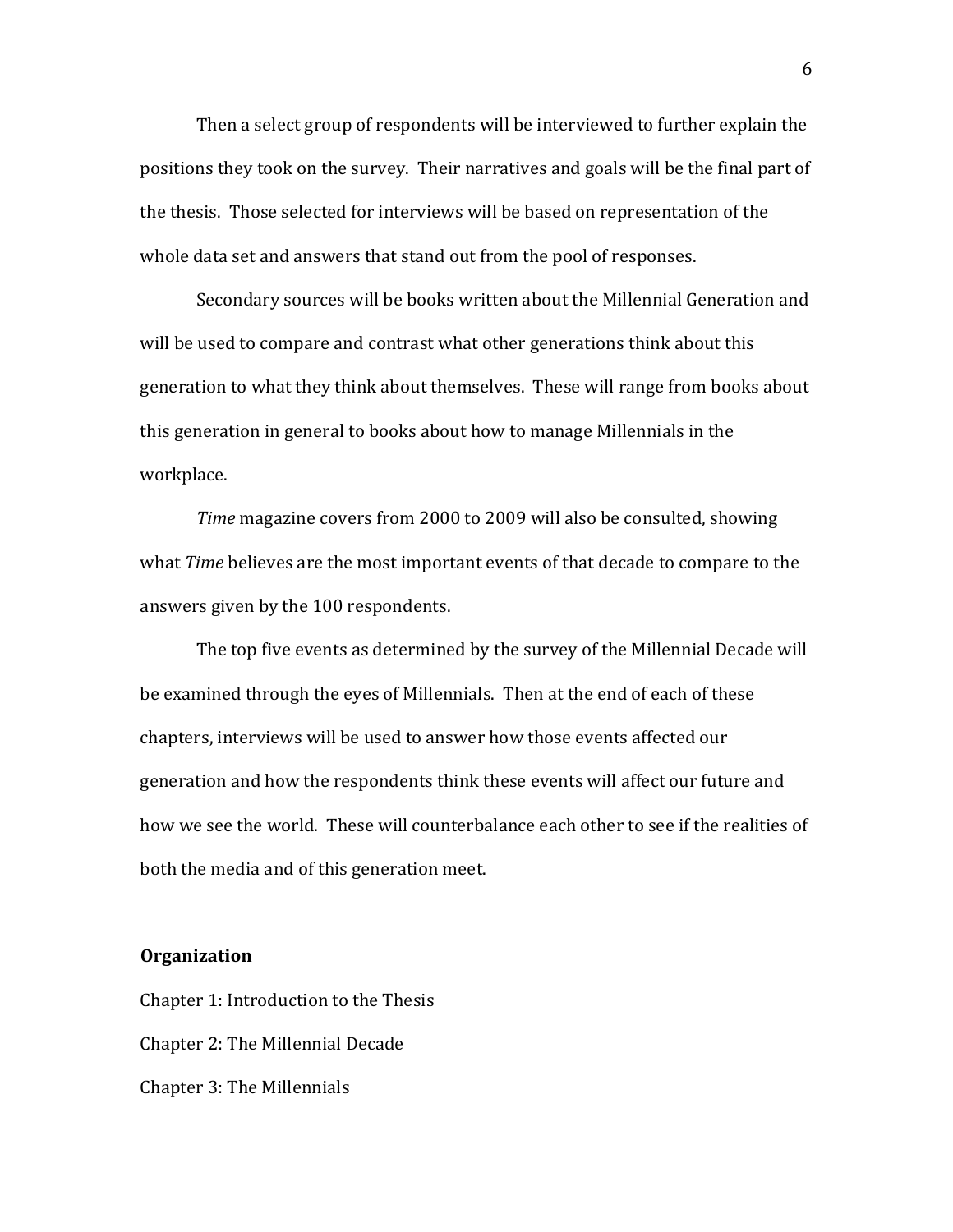Then a select group of respondents will be interviewed to further explain the positions they took on the survey. Their narratives and goals will be the final part of the thesis. Those selected for interviews will be based on representation of the whole data set and answers that stand out from the pool of responses.

Secondary sources will be books written about the Millennial Generation and will be used to compare and contrast what other generations think about this generation to what they think about themselves. These will range from books about this generation in general to books about how to manage Millennials in the workplace.

*Time* magazine covers from 2000 to 2009 will also be consulted, showing what *Time* believes are the most important events of that decade to compare to the answers given by the 100 respondents.

The top five events as determined by the survey of the Millennial Decade will be examined through the eyes of Millennials. Then at the end of each of these chapters, interviews will be used to answer how those events affected our generation and how the respondents think these events will affect our future and how we see the world. These will counterbalance each other to see if the realities of both the media and of this generation meet.

#### **Organization**

Chapter 1: Introduction to the Thesis Chapter 2: The Millennial Decade Chapter 3: The Millennials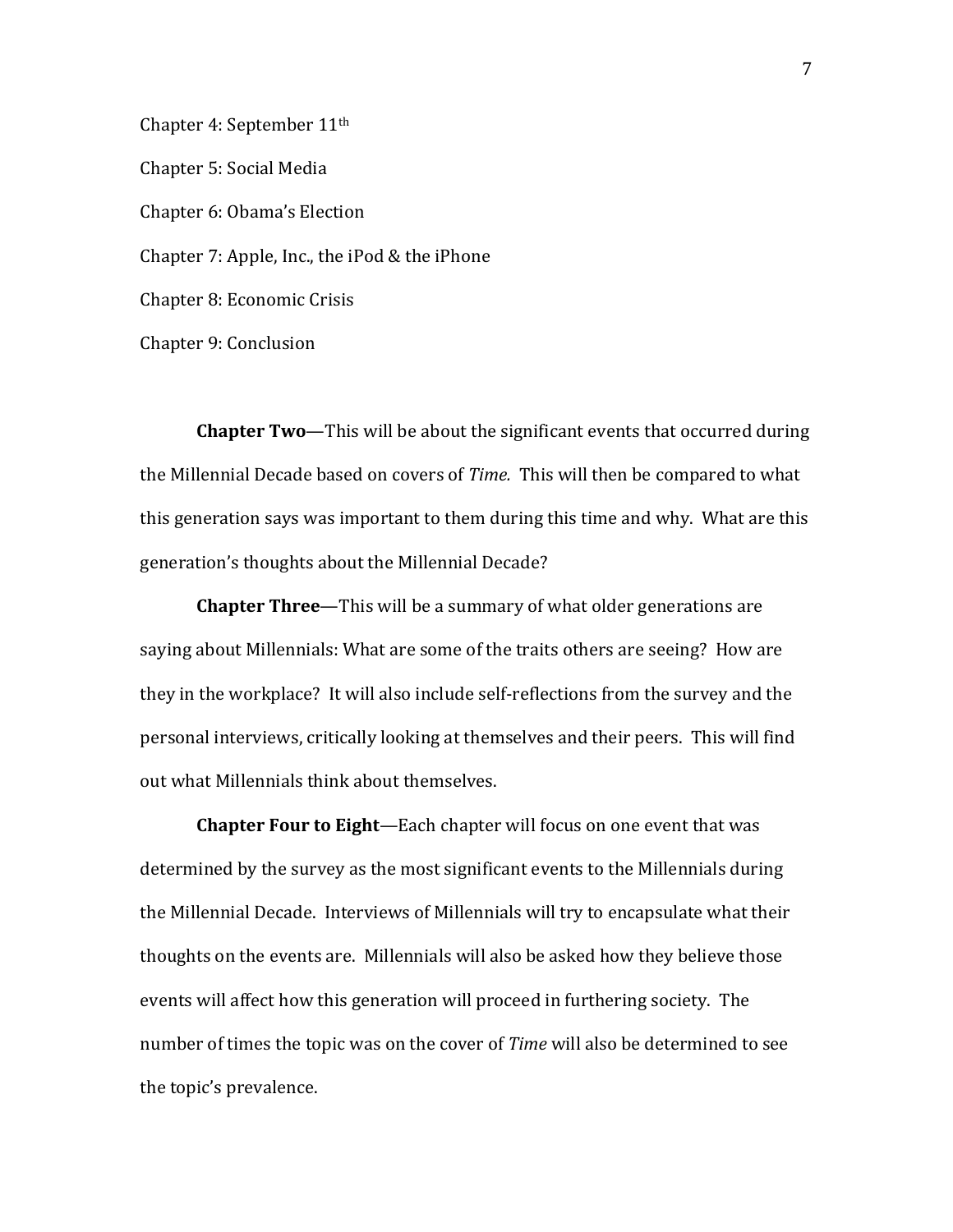Chapter 4: September 11<sup>th</sup> Chapter 5: Social Media Chapter 6: Obama's Election Chapter 7: Apple, Inc., the iPod & the iPhone Chapter 8: Economic Crisis Chapter 9: Conclusion

**Chapter Two—This will be about the significant events that occurred during** the Millennial Decade based on covers of *Time.* This will then be compared to what this generation says was important to them during this time and why. What are this generation's thoughts about the Millennial Decade?

**Chapter Three**—This will be a summary of what older generations are saying about Millennials: What are some of the traits others are seeing? How are they in the workplace? It will also include self-reflections from the survey and the personal interviews, critically looking at themselves and their peers. This will find out what Millennials think about themselves.

**Chapter Four to Eight**—Each chapter will focus on one event that was determined by the survey as the most significant events to the Millennials during the Millennial Decade. Interviews of Millennials will try to encapsulate what their thoughts on the events are. Millennials will also be asked how they believe those events will affect how this generation will proceed in furthering society. The number of times the topic was on the cover of *Time* will also be determined to see the topic's prevalence.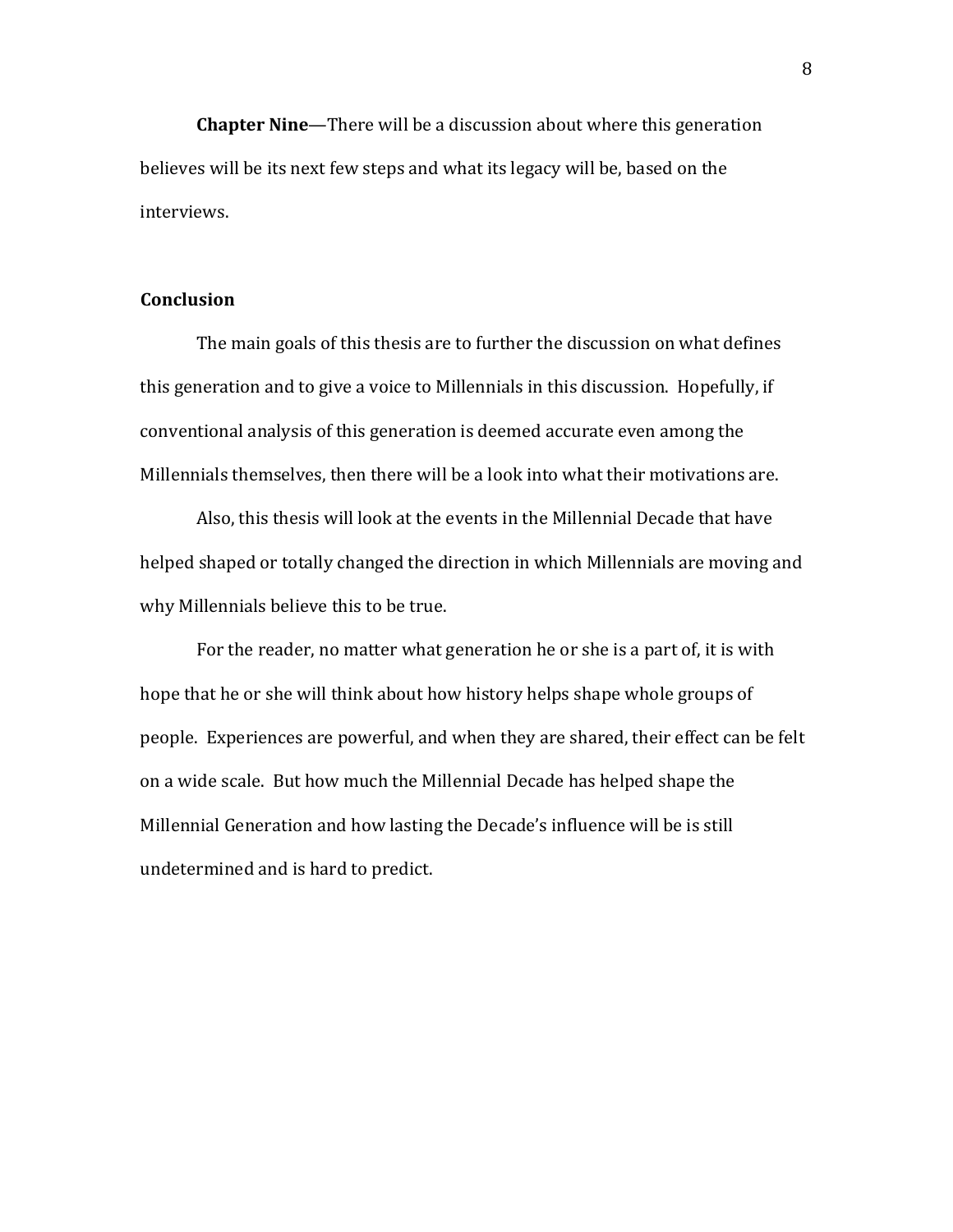**Chapter Nine—There will be a discussion about where this generation** believes will be its next few steps and what its legacy will be, based on the interviews.

#### **Conclusion**

The main goals of this thesis are to further the discussion on what defines this generation and to give a voice to Millennials in this discussion. Hopefully, if conventional analysis of this generation is deemed accurate even among the Millennials themselves, then there will be a look into what their motivations are.

Also, this thesis will look at the events in the Millennial Decade that have helped shaped or totally changed the direction in which Millennials are moving and why Millennials believe this to be true.

For the reader, no matter what generation he or she is a part of, it is with hope that he or she will think about how history helps shape whole groups of people. Experiences are powerful, and when they are shared, their effect can be felt on a wide scale. But how much the Millennial Decade has helped shape the Millennial Generation and how lasting the Decade's influence will be is still undetermined and is hard to predict.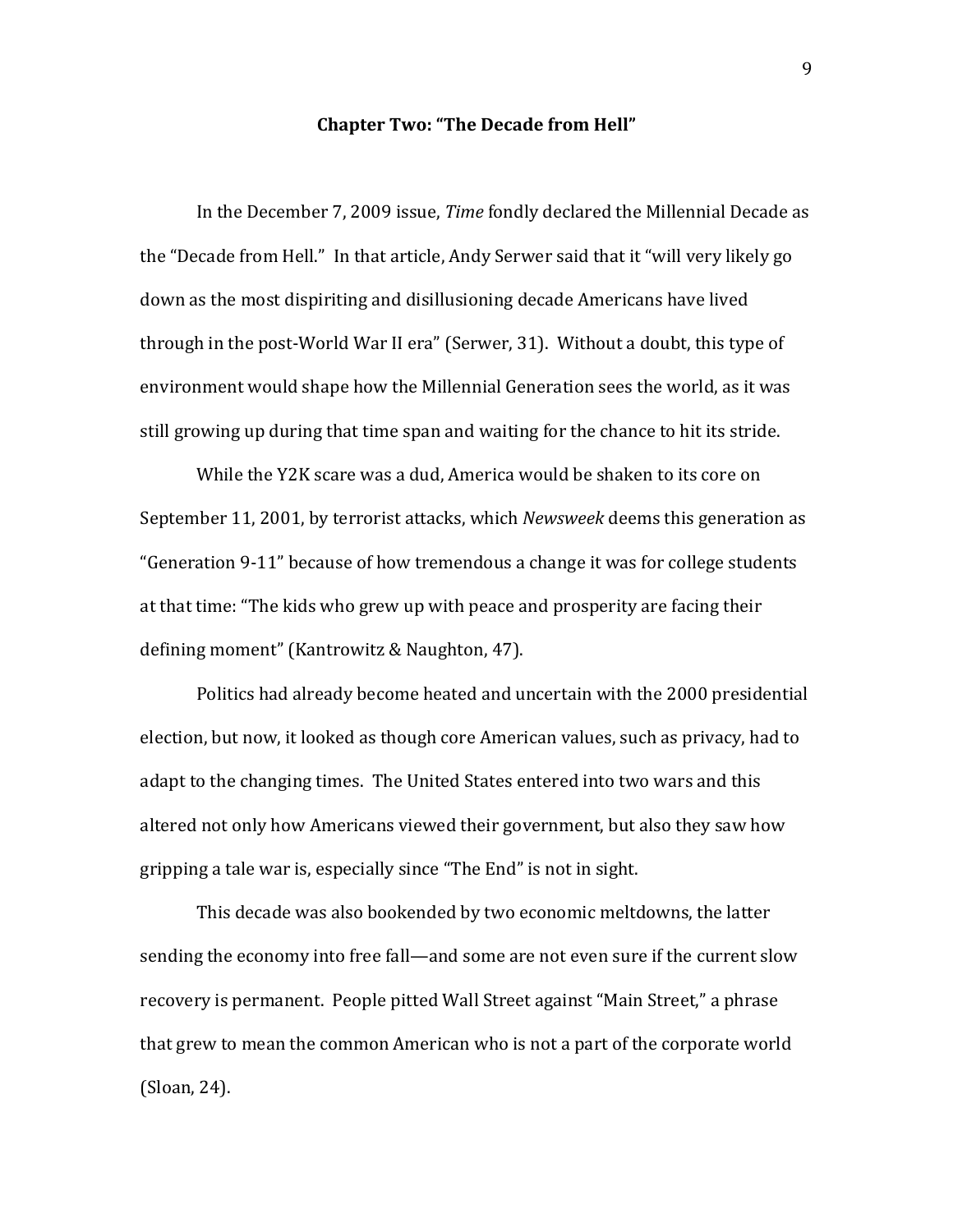#### **Chapter Two: "The Decade from Hell"**

In the December 7, 2009 issue, *Time* fondly declared the Millennial Decade as the "Decade from Hell." In that article, Andy Serwer said that it "will very likely go down as the most dispiriting and disillusioning decade Americans have lived through in the post-World War II era" (Serwer, 31). Without a doubt, this type of environment would shape how the Millennial Generation sees the world, as it was still growing up during that time span and waiting for the chance to hit its stride.

While the Y2K scare was a dud, America would be shaken to its core on September 11, 2001, by terrorist attacks, which *Newsweek* deems this generation as "Generation 9-11" because of how tremendous a change it was for college students at that time: "The kids who grew up with peace and prosperity are facing their defining moment" (Kantrowitz & Naughton, 47).

Politics had already become heated and uncertain with the 2000 presidential election, but now, it looked as though core American values, such as privacy, had to adapt to the changing times. The United States entered into two wars and this altered not only how Americans viewed their government, but also they saw how gripping a tale war is, especially since "The End" is not in sight.

This decade was also bookended by two economic meltdowns, the latter sending the economy into free fall—and some are not even sure if the current slow recovery is permanent. People pitted Wall Street against "Main Street," a phrase that grew to mean the common American who is not a part of the corporate world  $(Sloan, 24)$ .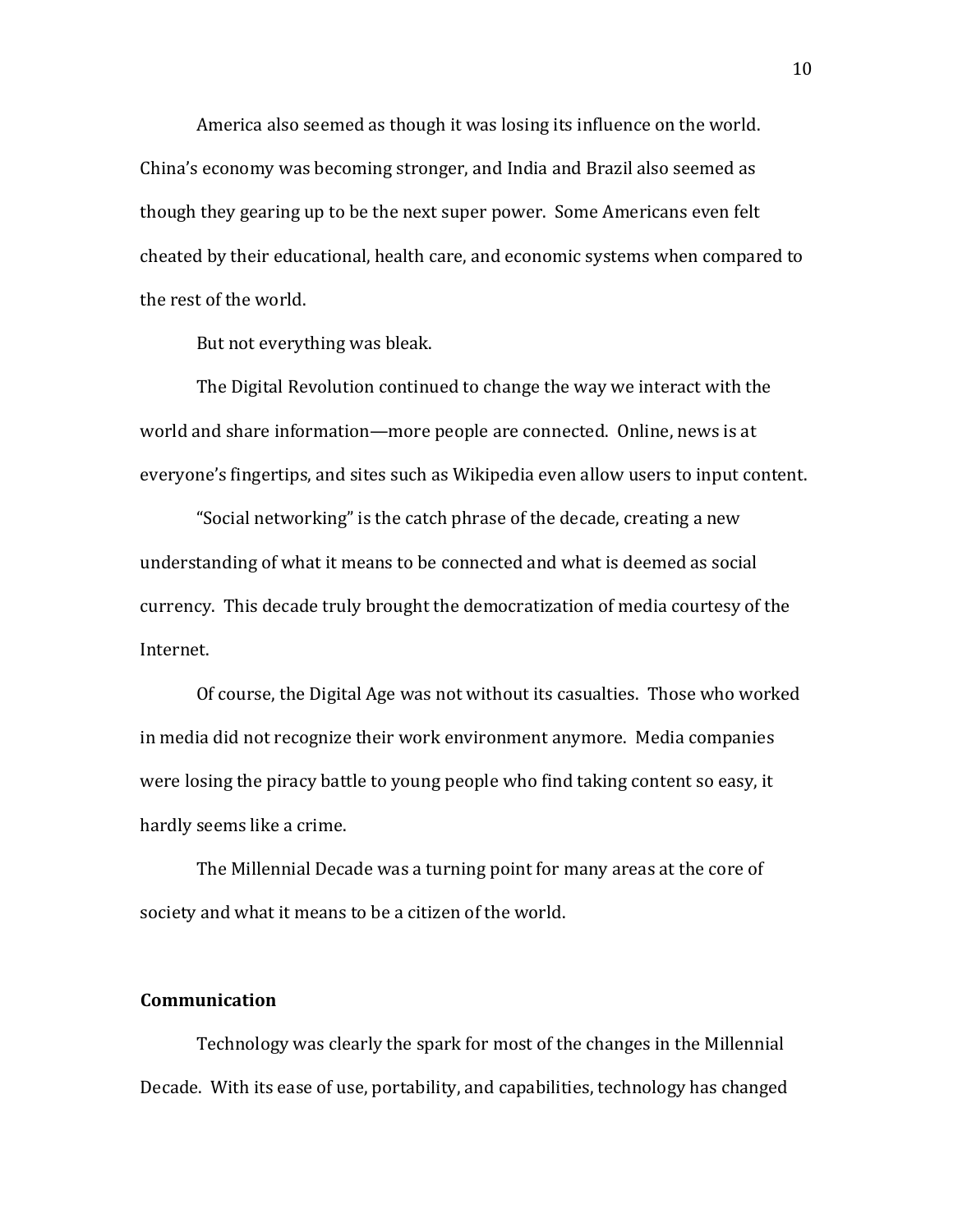America also seemed as though it was losing its influence on the world. China's economy was becoming stronger, and India and Brazil also seemed as though they gearing up to be the next super power. Some Americans even felt cheated by their educational, health care, and economic systems when compared to the rest of the world.

But not everything was bleak.

The Digital Revolution continued to change the way we interact with the world and share information—more people are connected. Online, news is at everyone's fingertips, and sites such as Wikipedia even allow users to input content.

"Social networking" is the catch phrase of the decade, creating a new understanding of what it means to be connected and what is deemed as social currency. This decade truly brought the democratization of media courtesy of the Internet.

Of course, the Digital Age was not without its casualties. Those who worked in media did not recognize their work environment anymore. Media companies were losing the piracy battle to young people who find taking content so easy, it hardly seems like a crime.

The Millennial Decade was a turning point for many areas at the core of society and what it means to be a citizen of the world.

#### **Communication**

Technology was clearly the spark for most of the changes in the Millennial Decade. With its ease of use, portability, and capabilities, technology has changed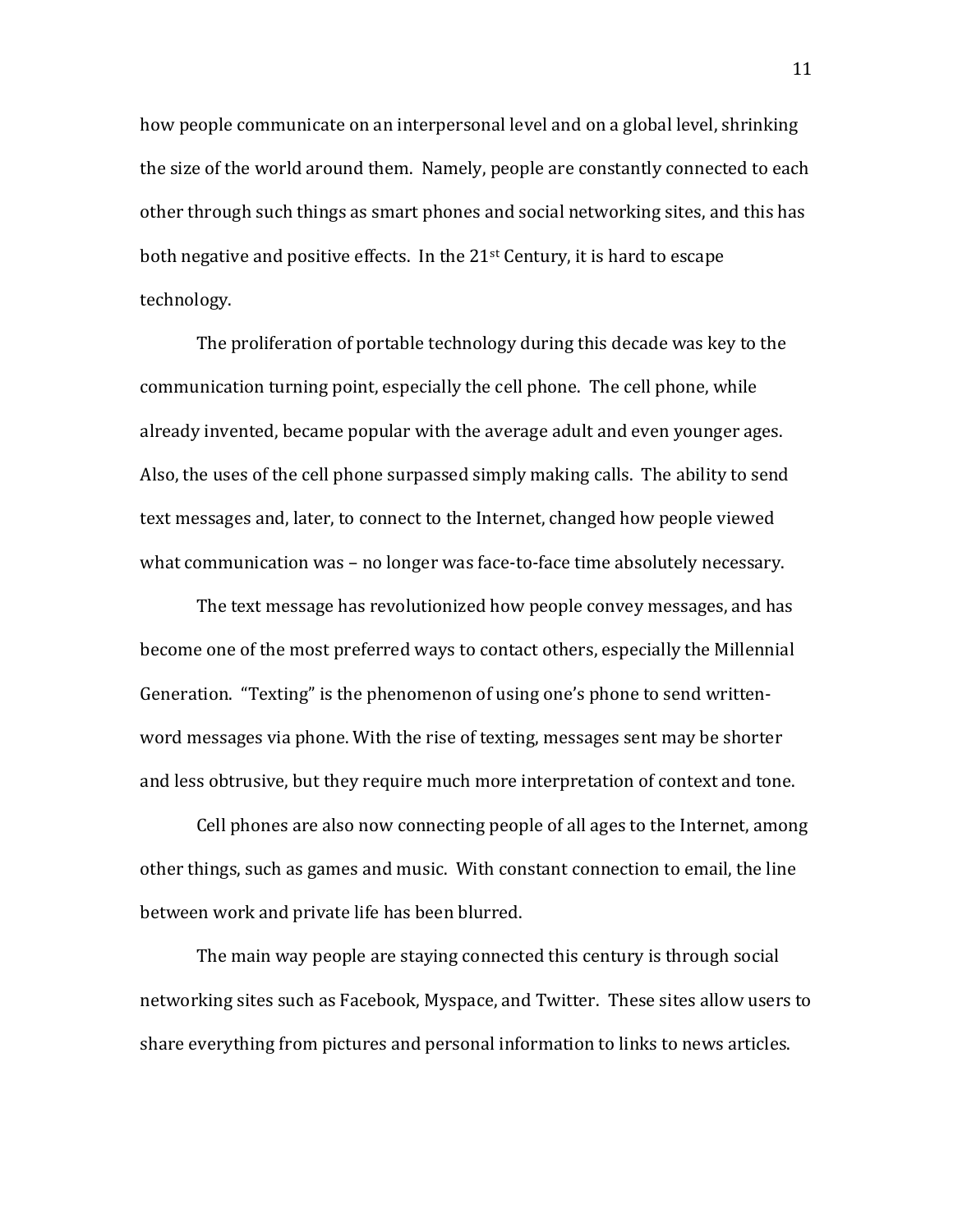how people communicate on an interpersonal level and on a global level, shrinking the size of the world around them. Namely, people are constantly connected to each other through such things as smart phones and social networking sites, and this has both negative and positive effects. In the  $21<sup>st</sup>$  Century, it is hard to escape technology.

The proliferation of portable technology during this decade was key to the communication turning point, especially the cell phone. The cell phone, while already invented, became popular with the average adult and even younger ages. Also, the uses of the cell phone surpassed simply making calls. The ability to send text messages and, later, to connect to the Internet, changed how people viewed what communication was – no longer was face-to-face time absolutely necessary.

The text message has revolutionized how people convey messages, and has become one of the most preferred ways to contact others, especially the Millennial Generation. "Texting" is the phenomenon of using one's phone to send writtenword messages via phone. With the rise of texting, messages sent may be shorter and less obtrusive, but they require much more interpretation of context and tone.

Cell phones are also now connecting people of all ages to the Internet, among other things, such as games and music. With constant connection to email, the line between work and private life has been blurred.

The main way people are staying connected this century is through social networking sites such as Facebook, Myspace, and Twitter. These sites allow users to share everything from pictures and personal information to links to news articles.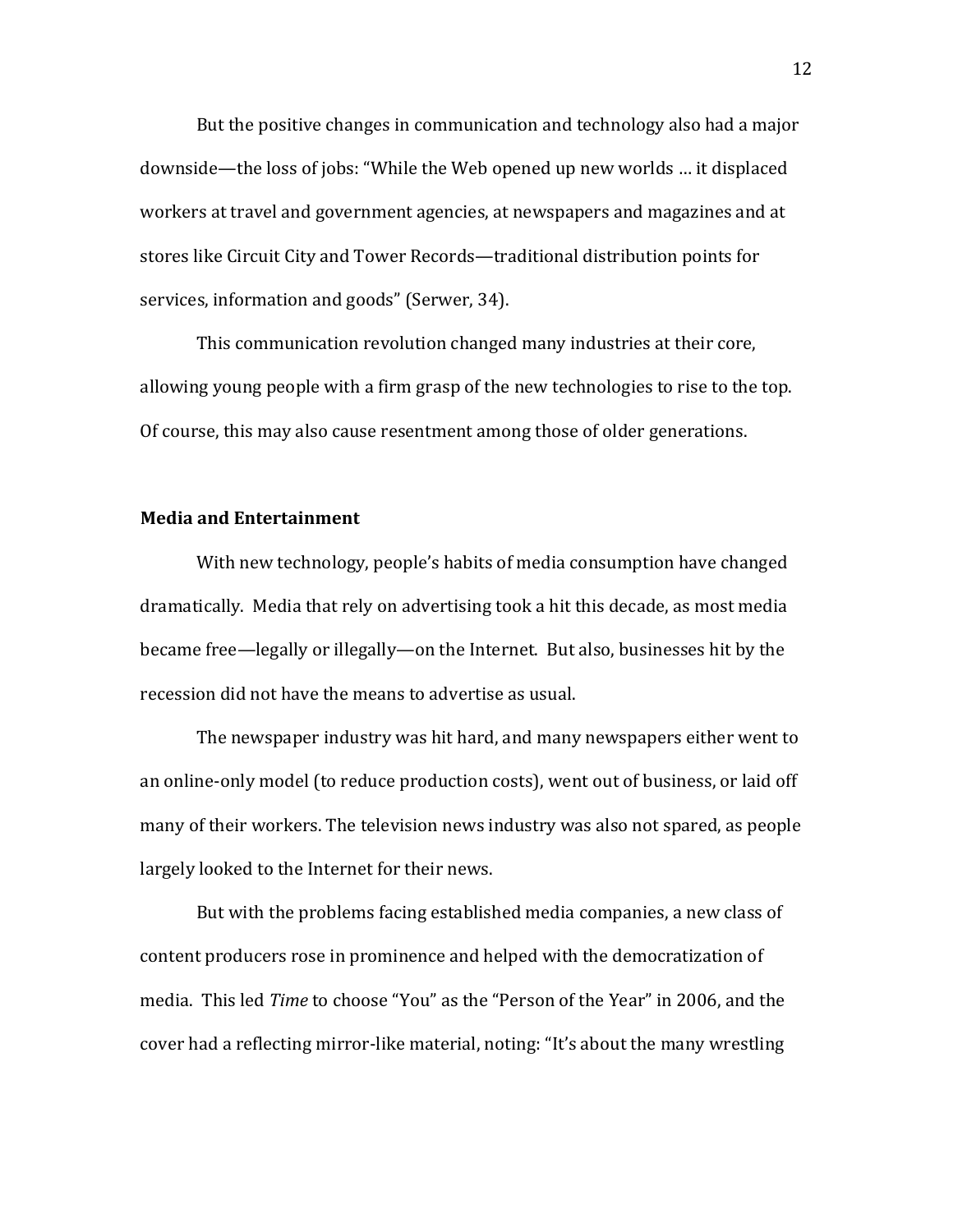But the positive changes in communication and technology also had a major downside—the loss of jobs: "While the Web opened up new worlds ... it displaced workers at travel and government agencies, at newspapers and magazines and at stores like Circuit City and Tower Records—traditional distribution points for services, information and goods" (Serwer, 34).

This communication revolution changed many industries at their core, allowing young people with a firm grasp of the new technologies to rise to the top. Of course, this may also cause resentment among those of older generations.

#### **Media and Entertainment**

With new technology, people's habits of media consumption have changed dramatically. Media that rely on advertising took a hit this decade, as most media became free—legally or illegally—on the Internet. But also, businesses hit by the recession did not have the means to advertise as usual.

The newspaper industry was hit hard, and many newspapers either went to an online-only model (to reduce production costs), went out of business, or laid off many of their workers. The television news industry was also not spared, as people largely looked to the Internet for their news.

But with the problems facing established media companies, a new class of content producers rose in prominence and helped with the democratization of media. This led *Time* to choose "You" as the "Person of the Year" in 2006, and the cover had a reflecting mirror-like material, noting: "It's about the many wrestling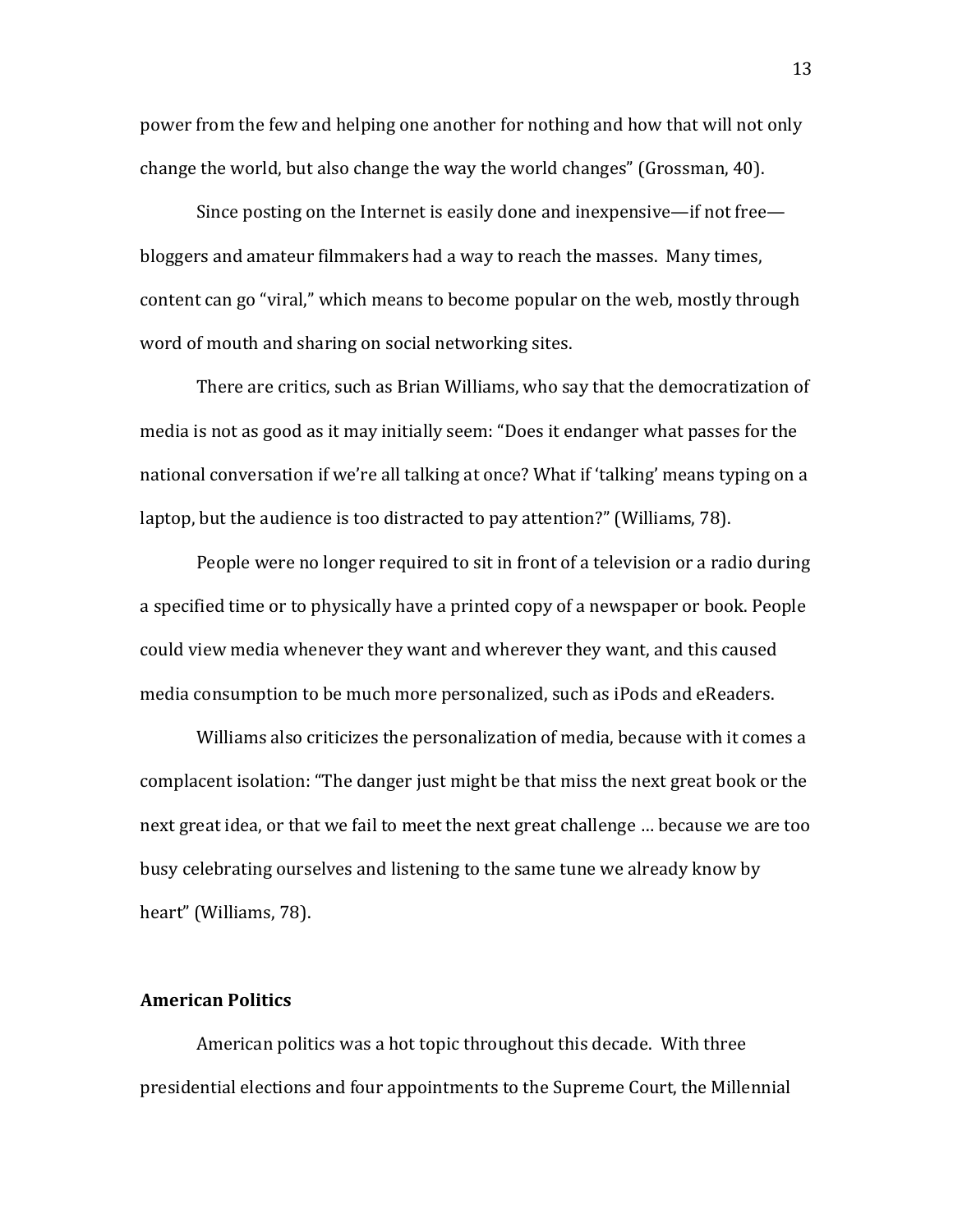power from the few and helping one another for nothing and how that will not only change the world, but also change the way the world changes" (Grossman, 40).

Since posting on the Internet is easily done and inexpensive—if not free bloggers and amateur filmmakers had a way to reach the masses. Many times, content can go "viral," which means to become popular on the web, mostly through word of mouth and sharing on social networking sites.

There are critics, such as Brian Williams, who say that the democratization of media is not as good as it may initially seem: "Does it endanger what passes for the national conversation if we're all talking at once? What if 'talking' means typing on a laptop, but the audience is too distracted to pay attention?" (Williams, 78).

People were no longer required to sit in front of a television or a radio during a specified time or to physically have a printed copy of a newspaper or book. People could view media whenever they want and wherever they want, and this caused media consumption to be much more personalized, such as iPods and eReaders.

Williams also criticizes the personalization of media, because with it comes a complacent isolation: "The danger just might be that miss the next great book or the next great idea, or that we fail to meet the next great challenge ... because we are too busy celebrating ourselves and listening to the same tune we already know by heart" (Williams, 78).

#### **American Politics**

American politics was a hot topic throughout this decade. With three presidential elections and four appointments to the Supreme Court, the Millennial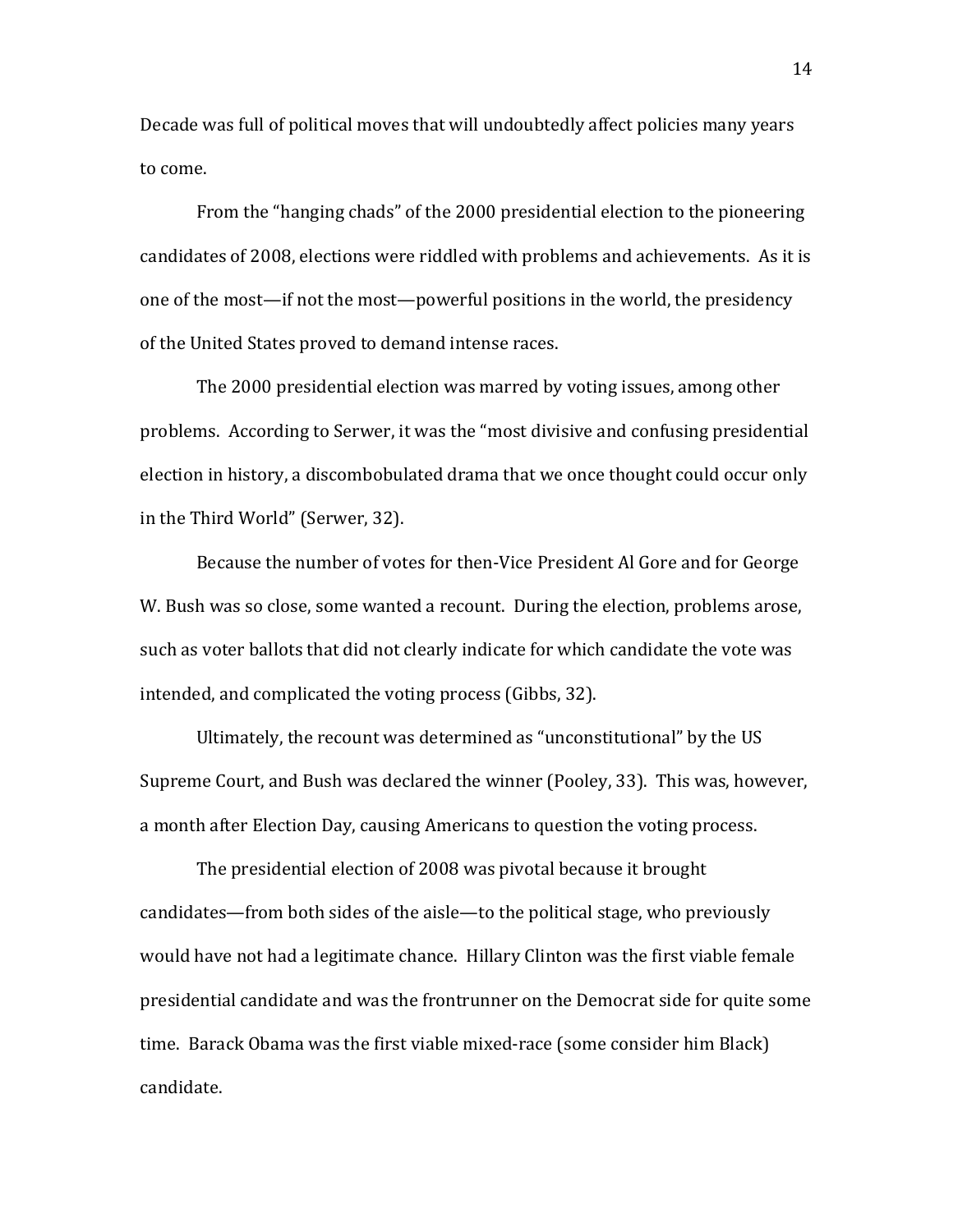Decade was full of political moves that will undoubtedly affect policies many years to come.

From the "hanging chads" of the 2000 presidential election to the pioneering candidates of 2008, elections were riddled with problems and achievements. As it is one of the most—if not the most—powerful positions in the world, the presidency of the United States proved to demand intense races.

The 2000 presidential election was marred by voting issues, among other problems. According to Serwer, it was the "most divisive and confusing presidential election in history, a discombobulated drama that we once thought could occur only in the Third World" (Serwer, 32).

Because the number of votes for then-Vice President Al Gore and for George W. Bush was so close, some wanted a recount. During the election, problems arose, such as voter ballots that did not clearly indicate for which candidate the vote was intended, and complicated the voting process (Gibbs, 32).

Ultimately, the recount was determined as "unconstitutional" by the US Supreme Court, and Bush was declared the winner (Pooley, 33). This was, however, a month after Election Day, causing Americans to question the voting process.

The presidential election of 2008 was pivotal because it brought candidates—from both sides of the aisle—to the political stage, who previously would have not had a legitimate chance. Hillary Clinton was the first viable female presidential candidate and was the frontrunner on the Democrat side for quite some time. Barack Obama was the first viable mixed-race (some consider him Black) candidate.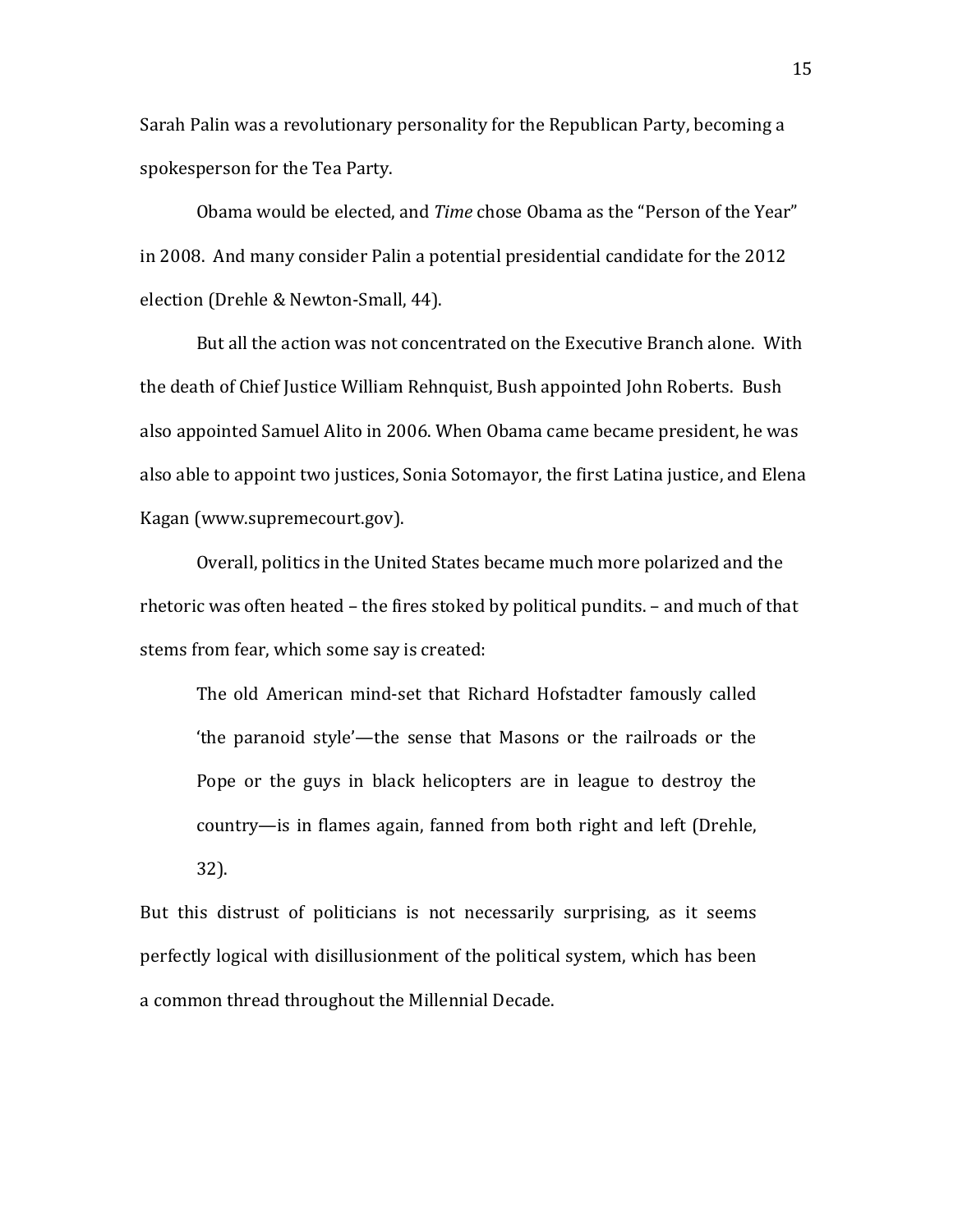Sarah Palin was a revolutionary personality for the Republican Party, becoming a spokesperson for the Tea Party.

Obama would be elected, and *Time* chose Obama as the "Person of the Year" in 2008. And many consider Palin a potential presidential candidate for the 2012 election (Drehle & Newton-Small, 44).

But all the action was not concentrated on the Executive Branch alone. With the death of Chief Justice William Rehnquist, Bush appointed John Roberts. Bush also appointed Samuel Alito in 2006. When Obama came became president, he was also able to appoint two justices, Sonia Sotomayor, the first Latina justice, and Elena Kagan (www.supremecourt.gov).

Overall, politics in the United States became much more polarized and the rhetoric was often heated – the fires stoked by political pundits. – and much of that stems from fear, which some say is created:

The old American mind-set that Richard Hofstadter famously called 'the paranoid style'—the sense that Masons or the railroads or the Pope or the guys in black helicopters are in league to destroy the country—is in flames again, fanned from both right and left (Drehle, 32).

But this distrust of politicians is not necessarily surprising, as it seems perfectly logical with disillusionment of the political system, which has been a common thread throughout the Millennial Decade.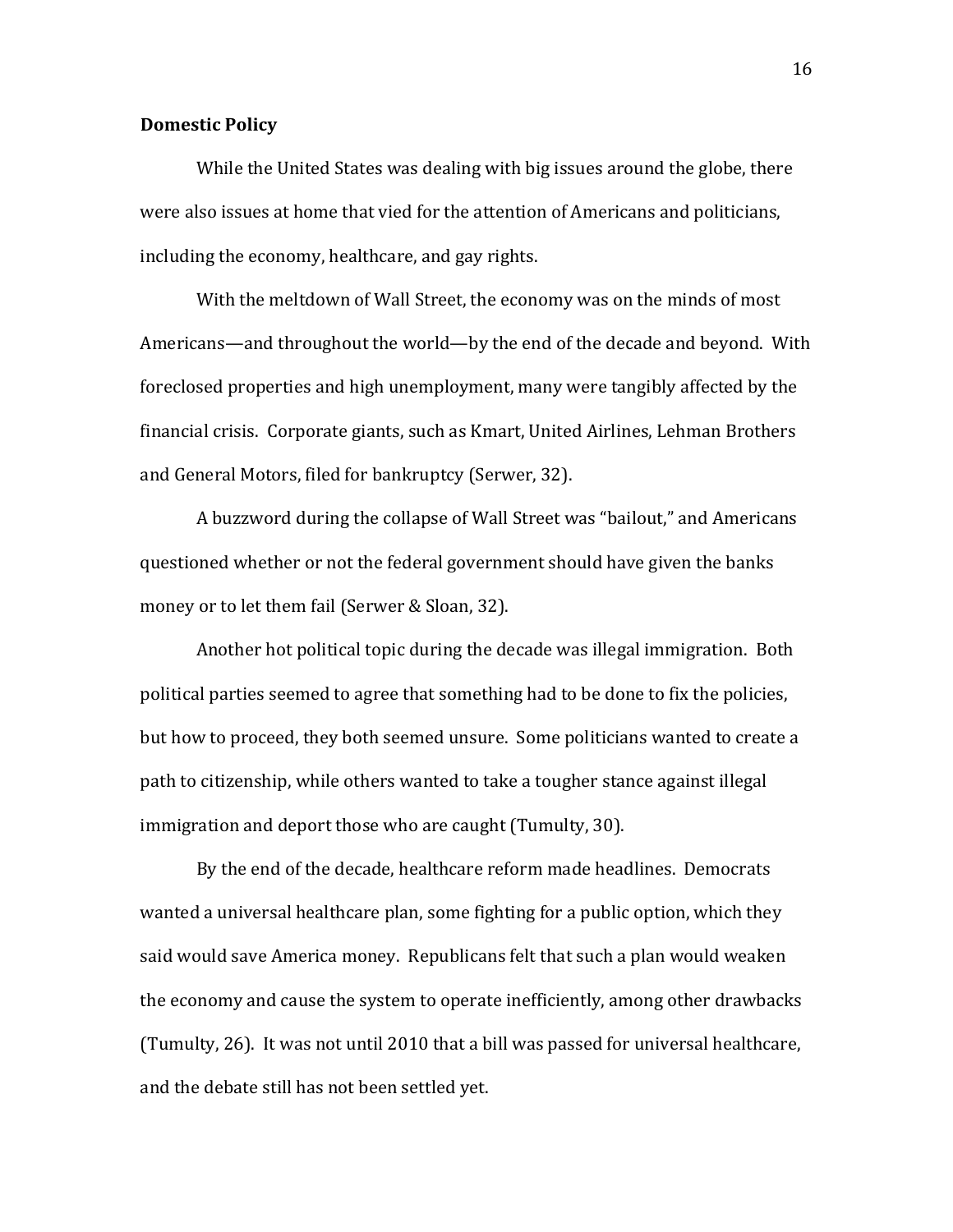#### **Domestic Policy**

While the United States was dealing with big issues around the globe, there were also issues at home that vied for the attention of Americans and politicians, including the economy, healthcare, and gay rights.

With the meltdown of Wall Street, the economy was on the minds of most Americans—and throughout the world—by the end of the decade and beyond. With foreclosed properties and high unemployment, many were tangibly affected by the financial crisis. Corporate giants, such as Kmart, United Airlines, Lehman Brothers and General Motors, filed for bankruptcy (Serwer, 32).

A buzzword during the collapse of Wall Street was "bailout," and Americans questioned whether or not the federal government should have given the banks money or to let them fail (Serwer & Sloan, 32).

Another hot political topic during the decade was illegal immigration. Both political parties seemed to agree that something had to be done to fix the policies, but how to proceed, they both seemed unsure. Some politicians wanted to create a path to citizenship, while others wanted to take a tougher stance against illegal immigration and deport those who are caught (Tumulty, 30).

By the end of the decade, healthcare reform made headlines. Democrats wanted a universal healthcare plan, some fighting for a public option, which they said would save America money. Republicans felt that such a plan would weaken the economy and cause the system to operate inefficiently, among other drawbacks (Tumulty, 26). It was not until 2010 that a bill was passed for universal healthcare, and the debate still has not been settled yet.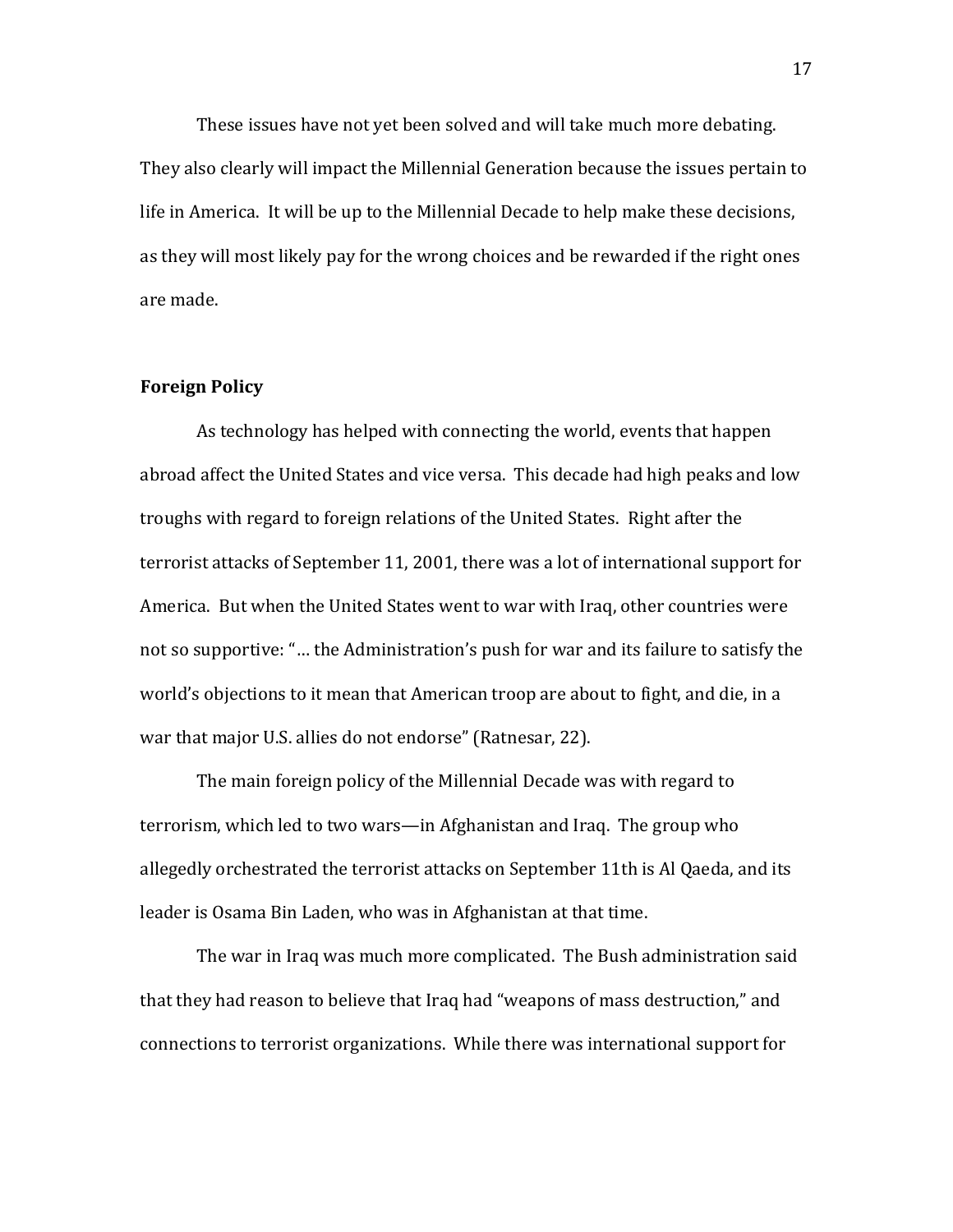These issues have not yet been solved and will take much more debating. They also clearly will impact the Millennial Generation because the issues pertain to life in America. It will be up to the Millennial Decade to help make these decisions, as they will most likely pay for the wrong choices and be rewarded if the right ones are made.

#### **Foreign Policy**

As technology has helped with connecting the world, events that happen abroad affect the United States and vice versa. This decade had high peaks and low troughs with regard to foreign relations of the United States. Right after the terrorist attacks of September 11, 2001, there was a lot of international support for America. But when the United States went to war with Iraq, other countries were not so supportive: "... the Administration's push for war and its failure to satisfy the world's objections to it mean that American troop are about to fight, and die, in a war that major U.S. allies do not endorse" (Ratnesar, 22).

The main foreign policy of the Millennial Decade was with regard to terrorism, which led to two wars—in Afghanistan and Iraq. The group who allegedly orchestrated the terrorist attacks on September 11th is Al Qaeda, and its leader is Osama Bin Laden, who was in Afghanistan at that time.

The war in Iraq was much more complicated. The Bush administration said that they had reason to believe that Iraq had "weapons of mass destruction," and connections to terrorist organizations. While there was international support for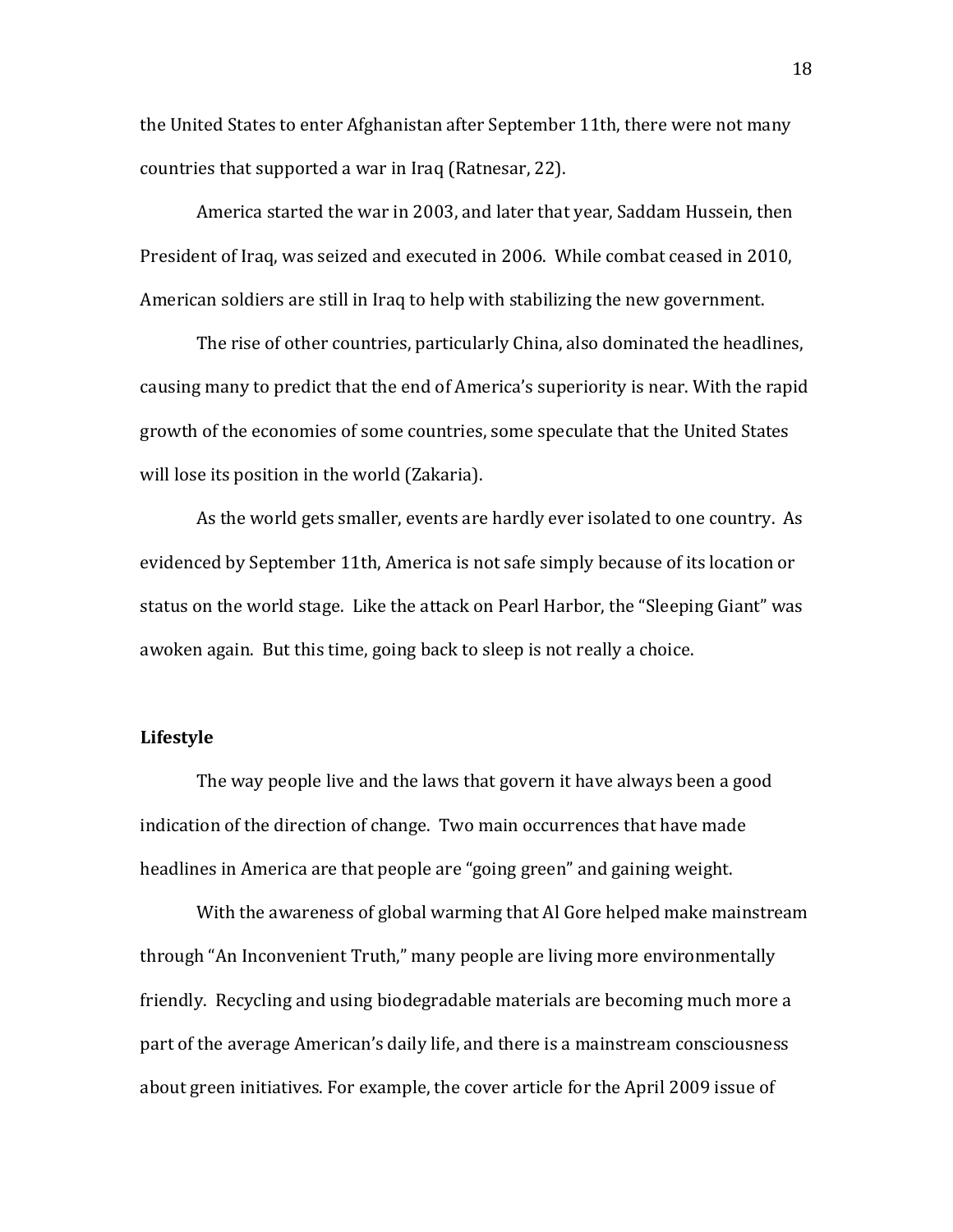the United States to enter Afghanistan after September 11th, there were not many countries that supported a war in Iraq (Ratnesar, 22).

America started the war in 2003, and later that year, Saddam Hussein, then President of Iraq, was seized and executed in 2006. While combat ceased in 2010, American soldiers are still in Iraq to help with stabilizing the new government.

The rise of other countries, particularly China, also dominated the headlines, causing many to predict that the end of America's superiority is near. With the rapid growth of the economies of some countries, some speculate that the United States will lose its position in the world (Zakaria).

As the world gets smaller, events are hardly ever isolated to one country. As evidenced by September 11th, America is not safe simply because of its location or status on the world stage. Like the attack on Pearl Harbor, the "Sleeping Giant" was awoken again. But this time, going back to sleep is not really a choice.

#### Lifestyle

The way people live and the laws that govern it have always been a good indication of the direction of change. Two main occurrences that have made headlines in America are that people are "going green" and gaining weight.

With the awareness of global warming that Al Gore helped make mainstream through "An Inconvenient Truth," many people are living more environmentally friendly. Recycling and using biodegradable materials are becoming much more a part of the average American's daily life, and there is a mainstream consciousness about green initiatives. For example, the cover article for the April 2009 issue of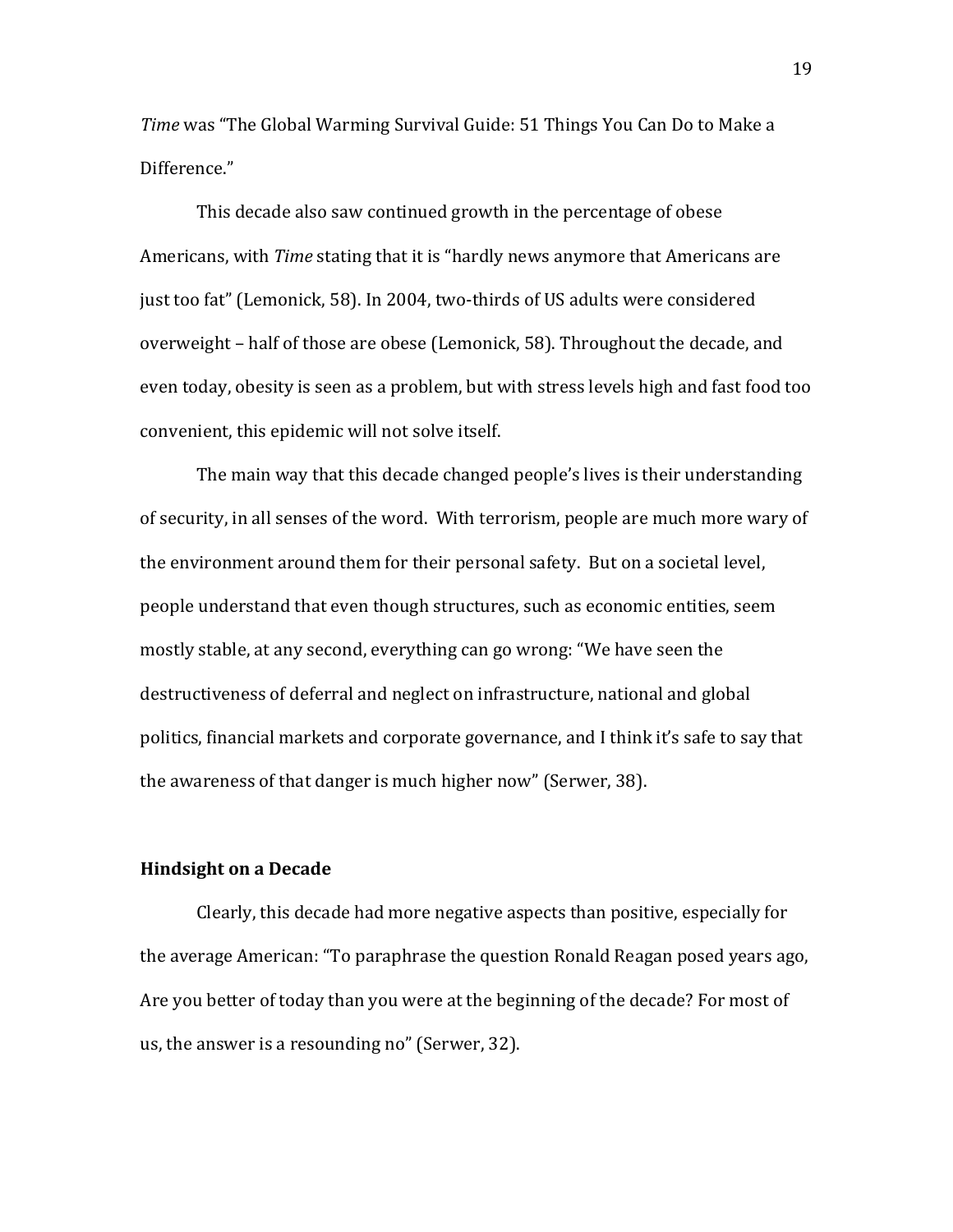*Time* was "The Global Warming Survival Guide: 51 Things You Can Do to Make a Difference."

This decade also saw continued growth in the percentage of obese Americans, with *Time* stating that it is "hardly news anymore that Americans are just too fat" (Lemonick, 58). In 2004, two-thirds of US adults were considered overweight – half of those are obese (Lemonick, 58). Throughout the decade, and even today, obesity is seen as a problem, but with stress levels high and fast food too convenient, this epidemic will not solve itself.

The main way that this decade changed people's lives is their understanding of security, in all senses of the word. With terrorism, people are much more wary of the environment around them for their personal safety. But on a societal level, people understand that even though structures, such as economic entities, seem mostly stable, at any second, everything can go wrong: "We have seen the destructiveness of deferral and neglect on infrastructure, national and global politics, financial markets and corporate governance, and I think it's safe to say that the awareness of that danger is much higher now" (Serwer, 38).

#### **Hindsight on a Decade**

Clearly, this decade had more negative aspects than positive, especially for the average American: "To paraphrase the question Ronald Reagan posed years ago, Are you better of today than you were at the beginning of the decade? For most of us, the answer is a resounding no" (Serwer, 32).

19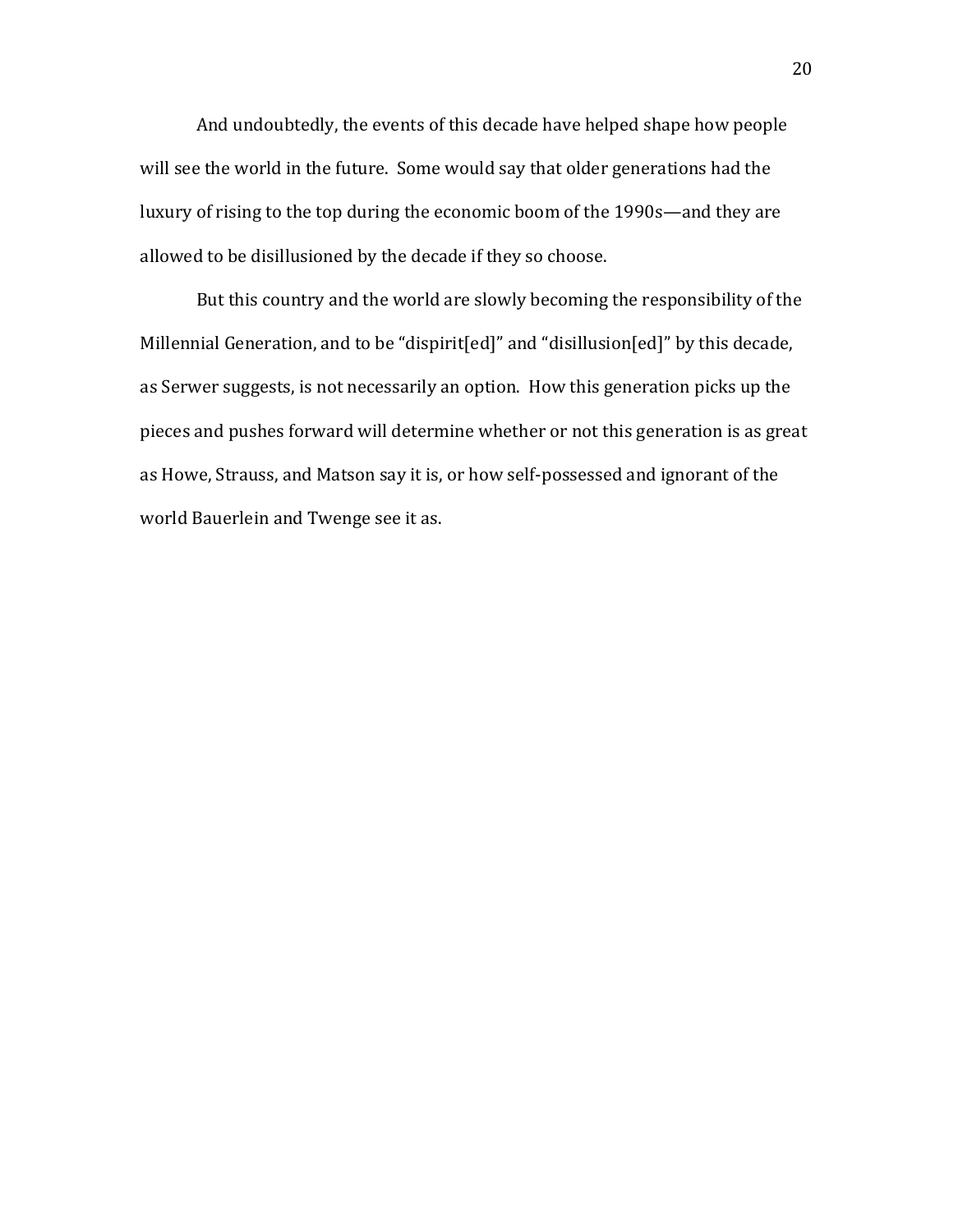And undoubtedly, the events of this decade have helped shape how people will see the world in the future. Some would say that older generations had the luxury of rising to the top during the economic boom of the 1990s—and they are allowed to be disillusioned by the decade if they so choose.

But this country and the world are slowly becoming the responsibility of the Millennial Generation, and to be "dispirit[ed]" and "disillusion[ed]" by this decade, as Serwer suggests, is not necessarily an option. How this generation picks up the pieces and pushes forward will determine whether or not this generation is as great as Howe, Strauss, and Matson say it is, or how self-possessed and ignorant of the world Bauerlein and Twenge see it as.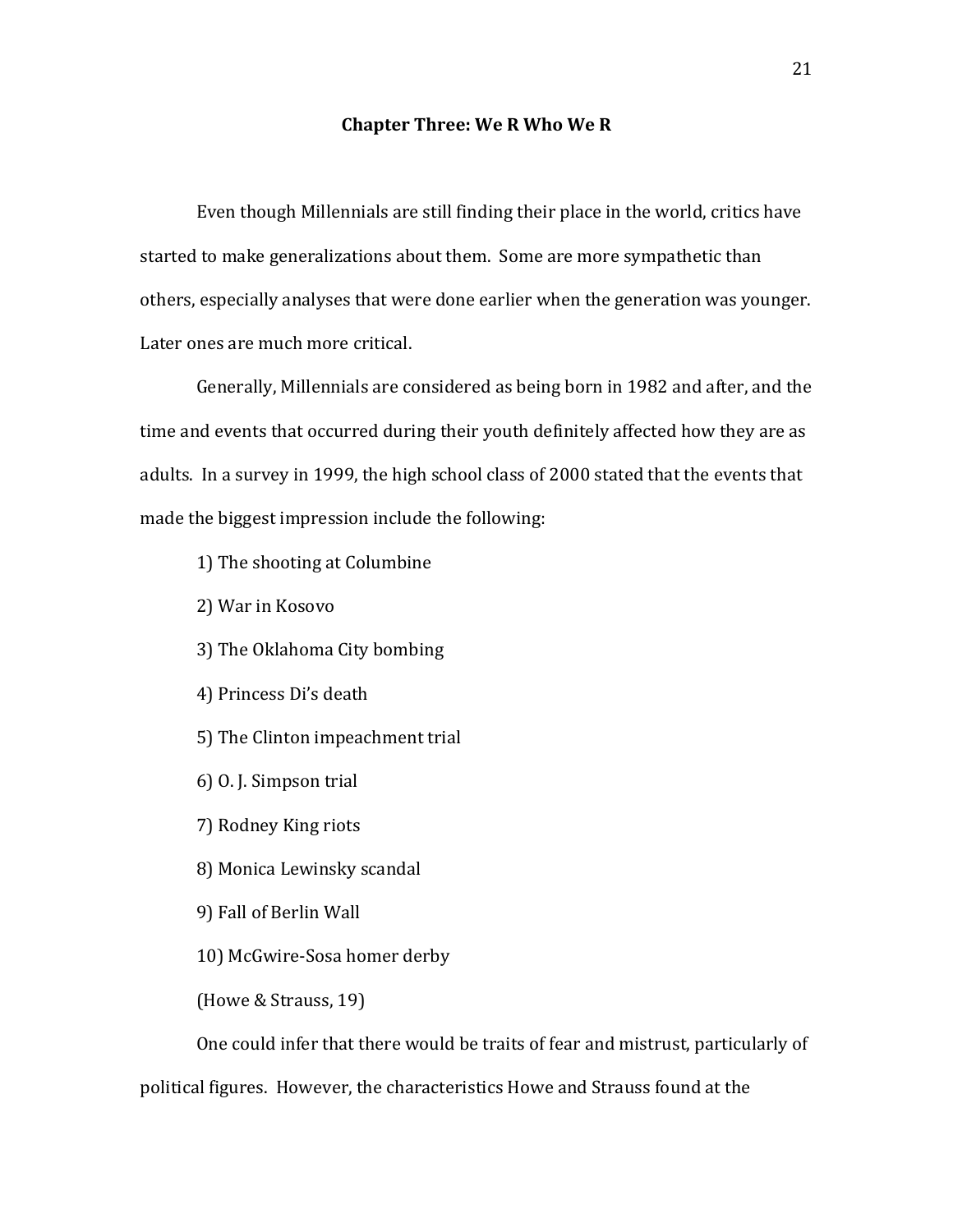#### **Chapter Three: We R Who We R**

Even though Millennials are still finding their place in the world, critics have started to make generalizations about them. Some are more sympathetic than others, especially analyses that were done earlier when the generation was younger. Later ones are much more critical.

Generally, Millennials are considered as being born in 1982 and after, and the time and events that occurred during their youth definitely affected how they are as adults. In a survey in 1999, the high school class of 2000 stated that the events that made the biggest impression include the following:

1) The shooting at Columbine

2) War in Kosovo

3) The Oklahoma City bombing

4) Princess Di's death

5) The Clinton impeachment trial

 $6$ ) O. J. Simpson trial

7) Rodney King riots

8) Monica Lewinsky scandal

9) Fall of Berlin Wall

10) McGwire-Sosa homer derby

(Howe & Strauss, 19)

One could infer that there would be traits of fear and mistrust, particularly of

political figures. However, the characteristics Howe and Strauss found at the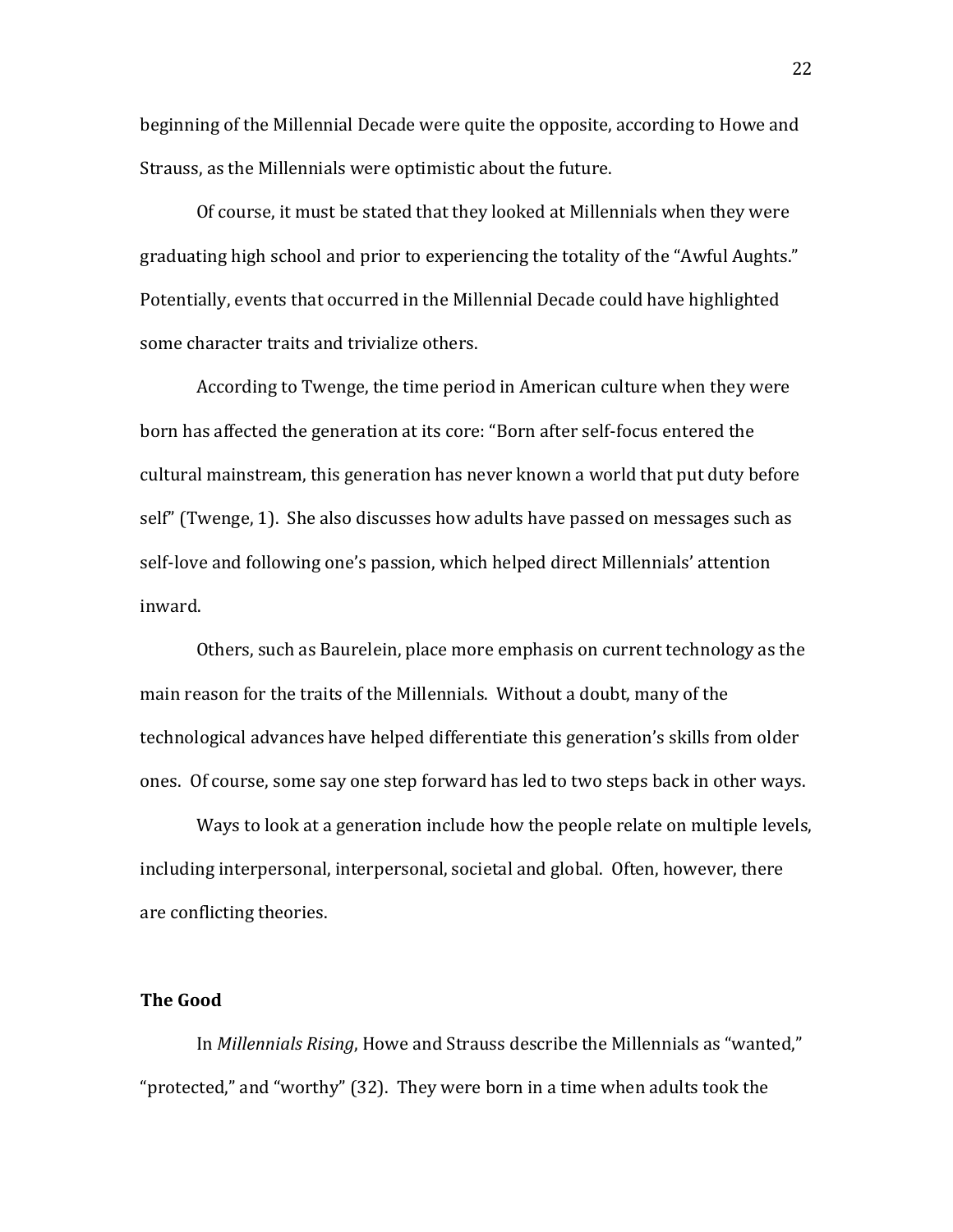beginning of the Millennial Decade were quite the opposite, according to Howe and Strauss, as the Millennials were optimistic about the future.

Of course, it must be stated that they looked at Millennials when they were graduating high school and prior to experiencing the totality of the "Awful Aughts." Potentially, events that occurred in the Millennial Decade could have highlighted some character traits and trivialize others.

According to Twenge, the time period in American culture when they were born has affected the generation at its core: "Born after self-focus entered the cultural mainstream, this generation has never known a world that put duty before self" (Twenge, 1). She also discusses how adults have passed on messages such as self-love and following one's passion, which helped direct Millennials' attention inward.

Others, such as Baurelein, place more emphasis on current technology as the main reason for the traits of the Millennials. Without a doubt, many of the technological advances have helped differentiate this generation's skills from older ones. Of course, some say one step forward has led to two steps back in other ways.

Ways to look at a generation include how the people relate on multiple levels, including interpersonal, interpersonal, societal and global. Often, however, there are conflicting theories.

#### **The Good**

In *Millennials Rising*, Howe and Strauss describe the Millennials as "wanted," "protected," and "worthy" (32). They were born in a time when adults took the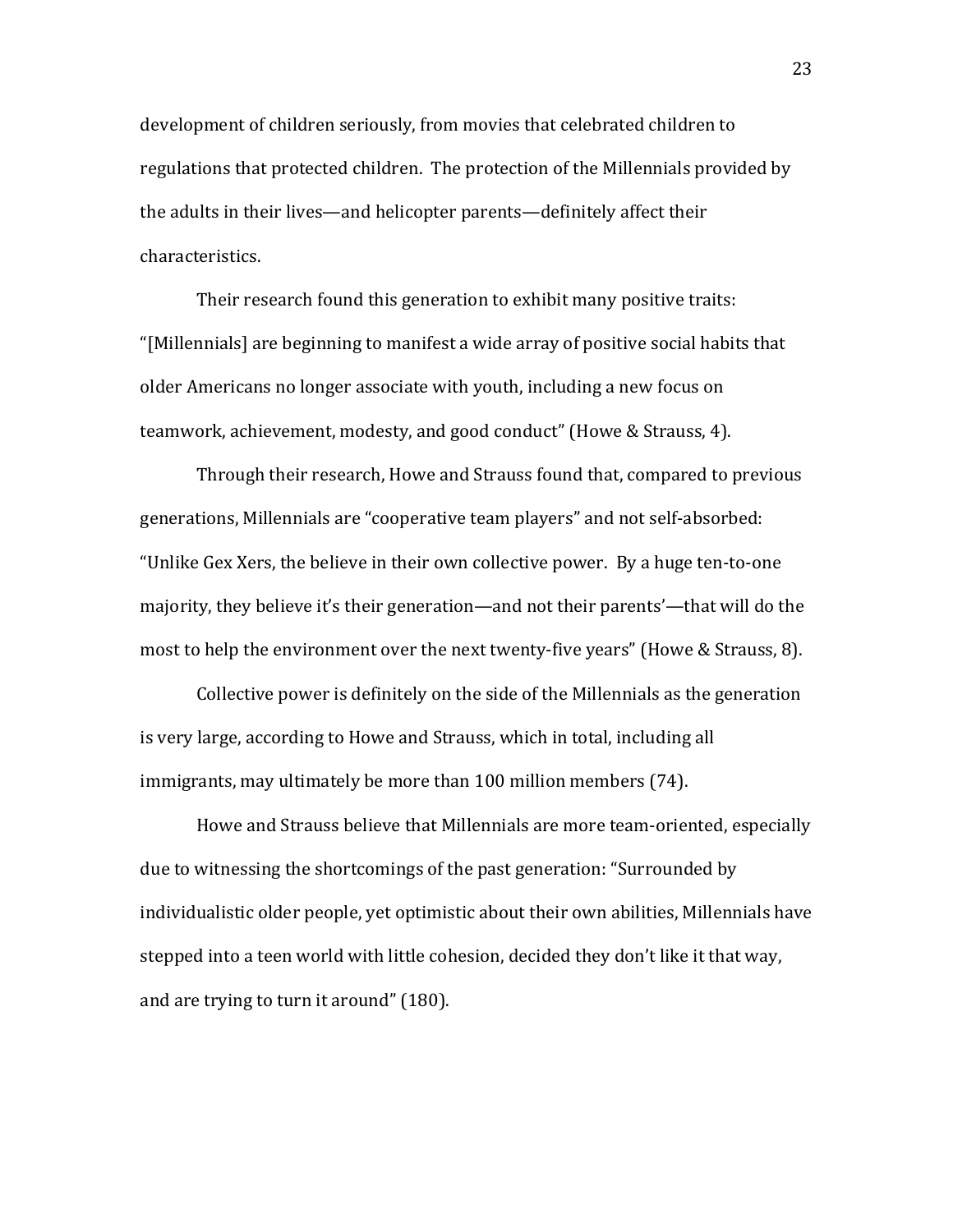development of children seriously, from movies that celebrated children to regulations that protected children. The protection of the Millennials provided by the adults in their lives—and helicopter parents—definitely affect their characteristics.

Their research found this generation to exhibit many positive traits: "[Millennials] are beginning to manifest a wide array of positive social habits that older Americans no longer associate with youth, including a new focus on teamwork, achievement, modesty, and good conduct" (Howe & Strauss, 4).

Through their research, Howe and Strauss found that, compared to previous generations, Millennials are "cooperative team players" and not self-absorbed: "Unlike Gex Xers, the believe in their own collective power. By a huge ten-to-one majority, they believe it's their generation—and not their parents'—that will do the most to help the environment over the next twenty-five years" (Howe & Strauss, 8).

Collective power is definitely on the side of the Millennials as the generation is very large, according to Howe and Strauss, which in total, including all immigrants, may ultimately be more than 100 million members (74).

Howe and Strauss believe that Millennials are more team-oriented, especially due to witnessing the shortcomings of the past generation: "Surrounded by individualistic older people, yet optimistic about their own abilities, Millennials have stepped into a teen world with little cohesion, decided they don't like it that way, and are trying to turn it around" (180).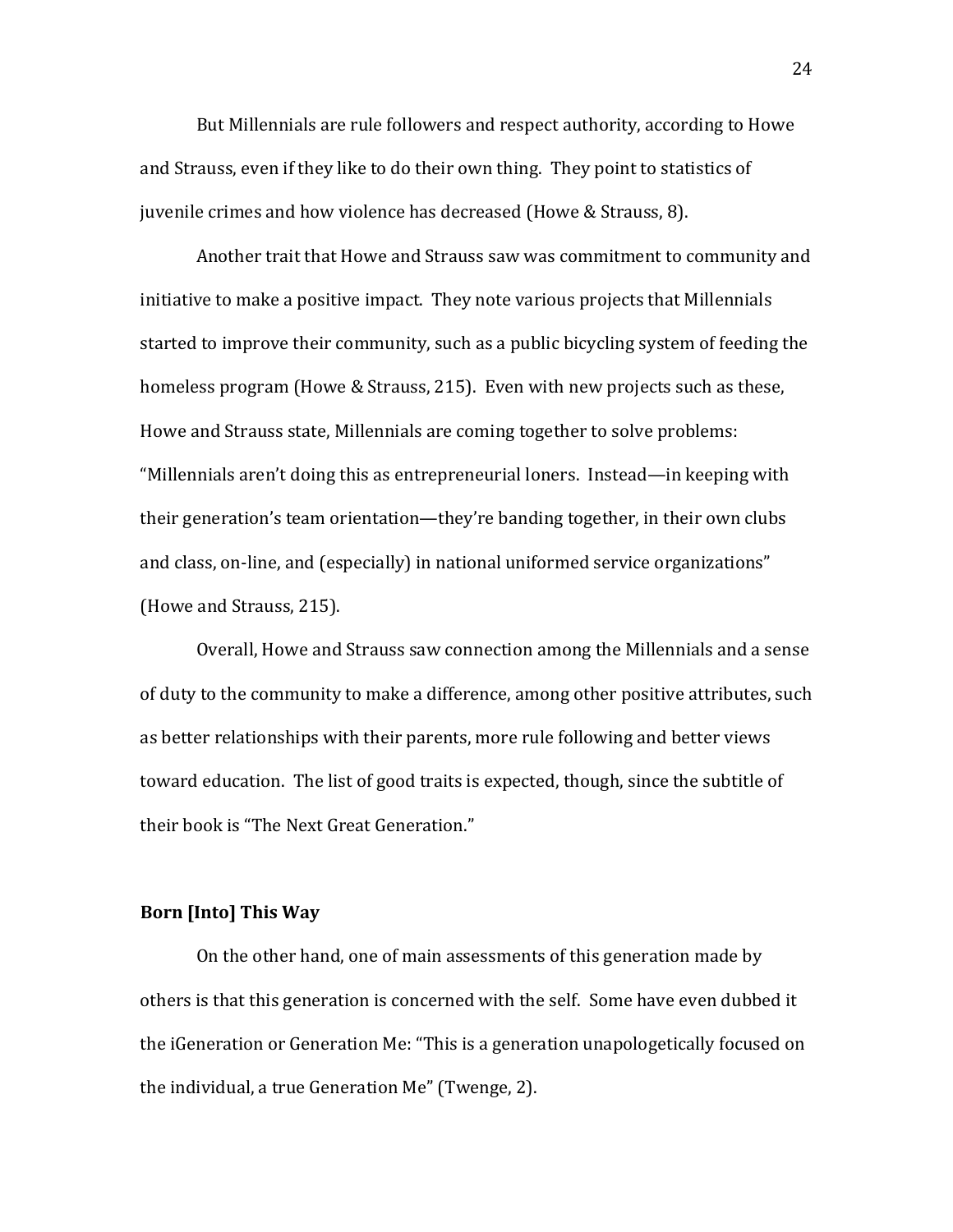But Millennials are rule followers and respect authority, according to Howe and Strauss, even if they like to do their own thing. They point to statistics of juvenile crimes and how violence has decreased (Howe & Strauss, 8).

Another trait that Howe and Strauss saw was commitment to community and initiative to make a positive impact. They note various projects that Millennials started to improve their community, such as a public bicycling system of feeding the homeless program (Howe & Strauss, 215). Even with new projects such as these, Howe and Strauss state, Millennials are coming together to solve problems: "Millennials aren't doing this as entrepreneurial loners. Instead—in keeping with their generation's team orientation—they're banding together, in their own clubs and class, on-line, and (especially) in national uniformed service organizations" (Howe and Strauss, 215).

Overall, Howe and Strauss saw connection among the Millennials and a sense of duty to the community to make a difference, among other positive attributes, such as better relationships with their parents, more rule following and better views toward education. The list of good traits is expected, though, since the subtitle of their book is "The Next Great Generation."

#### **Born [Into] This Way**

On the other hand, one of main assessments of this generation made by others is that this generation is concerned with the self. Some have even dubbed it the iGeneration or Generation Me: "This is a generation unapologetically focused on the individual, a true Generation Me" (Twenge, 2).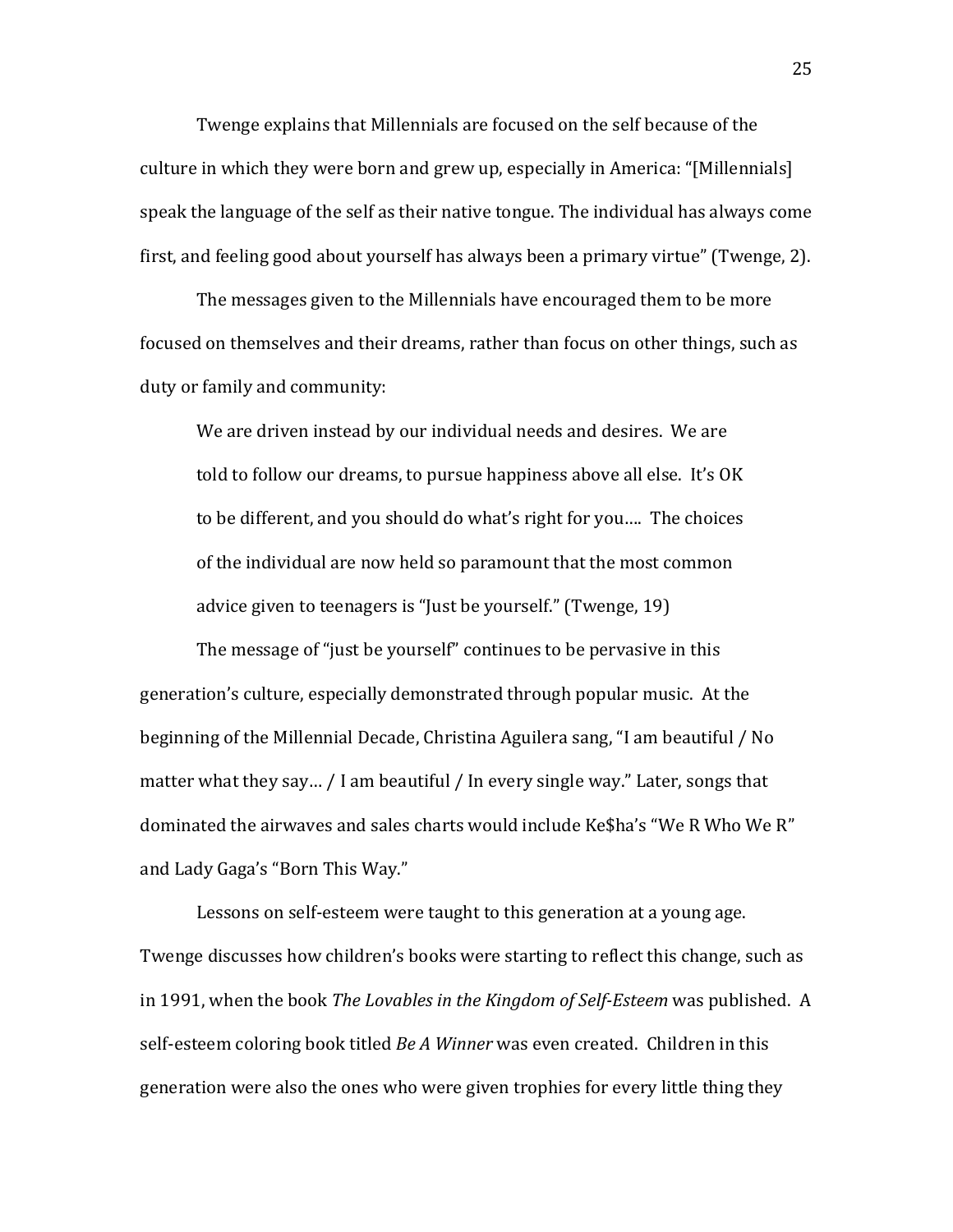Twenge explains that Millennials are focused on the self because of the culture in which they were born and grew up, especially in America: "[Millennials] speak the language of the self as their native tongue. The individual has always come first, and feeling good about yourself has always been a primary virtue" (Twenge, 2).

The messages given to the Millennials have encouraged them to be more focused on themselves and their dreams, rather than focus on other things, such as duty or family and community:

We are driven instead by our individual needs and desires. We are told to follow our dreams, to pursue happiness above all else. It's OK to be different, and you should do what's right for you.... The choices of the individual are now held so paramount that the most common advice given to teenagers is "Just be yourself." (Twenge, 19)

The message of "just be yourself" continues to be pervasive in this generation's culture, especially demonstrated through popular music. At the beginning of the Millennial Decade, Christina Aguilera sang, "I am beautiful / No matter what they say... / I am beautiful / In every single way." Later, songs that dominated the airwaves and sales charts would include Ke\$ha's "We R Who We R" and Lady Gaga's "Born This Way."

Lessons on self-esteem were taught to this generation at a young age. Twenge discusses how children's books were starting to reflect this change, such as in 1991, when the book *The Lovables in the Kingdom of Self-Esteem* was published. A self-esteem coloring book titled *Be A Winner* was even created. Children in this generation were also the ones who were given trophies for every little thing they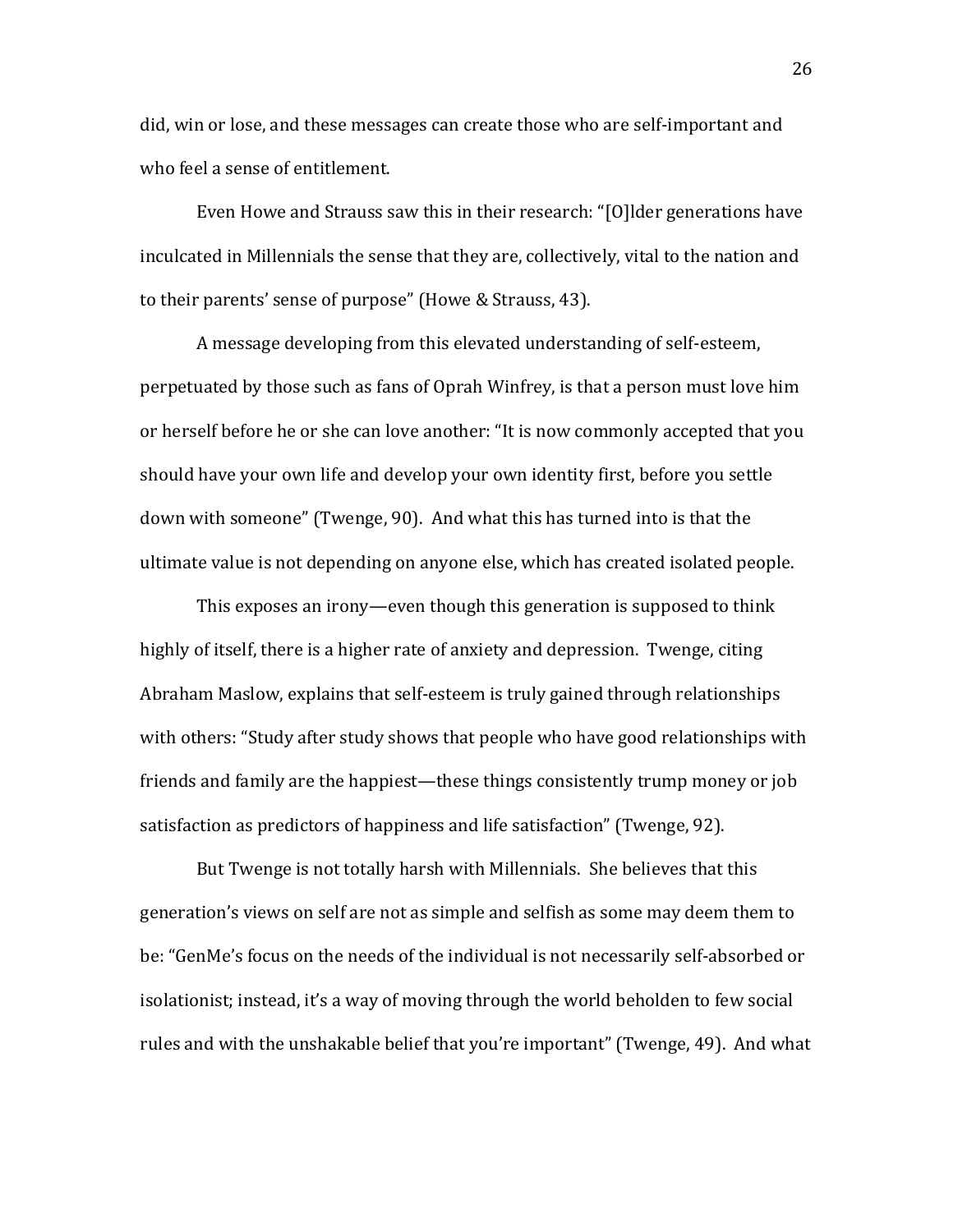did, win or lose, and these messages can create those who are self-important and who feel a sense of entitlement.

Even Howe and Strauss saw this in their research: "[O]lder generations have inculcated in Millennials the sense that they are, collectively, vital to the nation and to their parents' sense of purpose" (Howe & Strauss, 43).

A message developing from this elevated understanding of self-esteem, perpetuated by those such as fans of Oprah Winfrey, is that a person must love him or herself before he or she can love another: "It is now commonly accepted that you should have your own life and develop your own identity first, before you settle down with someone" (Twenge, 90). And what this has turned into is that the ultimate value is not depending on anyone else, which has created isolated people.

This exposes an irony—even though this generation is supposed to think highly of itself, there is a higher rate of anxiety and depression. Twenge, citing Abraham Maslow, explains that self-esteem is truly gained through relationships with others: "Study after study shows that people who have good relationships with friends and family are the happiest—these things consistently trump money or job satisfaction as predictors of happiness and life satisfaction" (Twenge, 92).

But Twenge is not totally harsh with Millennials. She believes that this generation's views on self are not as simple and selfish as some may deem them to be: "GenMe's focus on the needs of the individual is not necessarily self-absorbed or isolationist; instead, it's a way of moving through the world beholden to few social rules and with the unshakable belief that you're important" (Twenge, 49). And what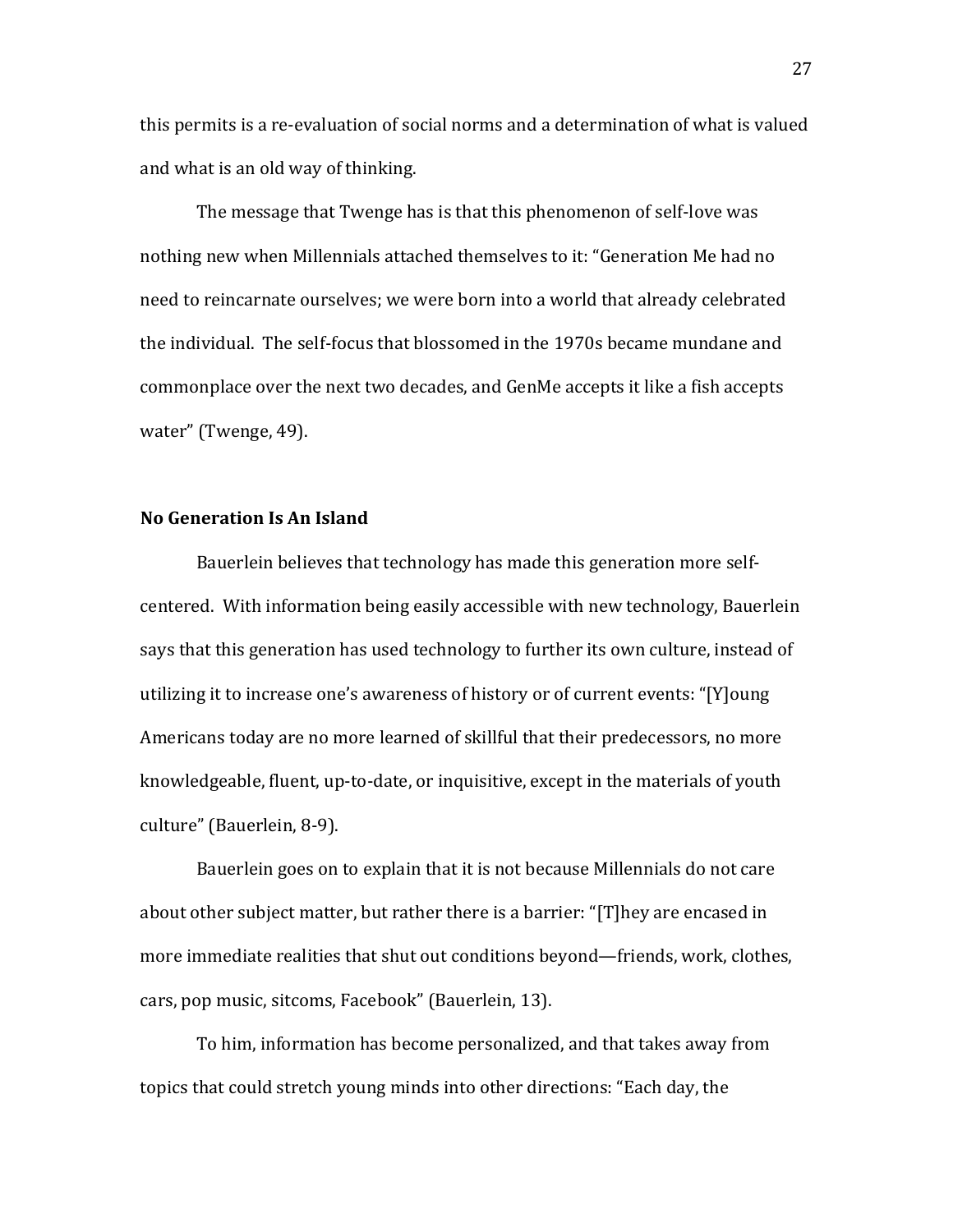this permits is a re-evaluation of social norms and a determination of what is valued and what is an old way of thinking.

The message that Twenge has is that this phenomenon of self-love was nothing new when Millennials attached themselves to it: "Generation Me had no need to reincarnate ourselves; we were born into a world that already celebrated the individual. The self-focus that blossomed in the 1970s became mundane and commonplace over the next two decades, and GenMe accepts it like a fish accepts water" (Twenge, 49).

#### **No Generation Is An Island**

Bauerlein believes that technology has made this generation more selfcentered. With information being easily accessible with new technology, Bauerlein says that this generation has used technology to further its own culture, instead of utilizing it to increase one's awareness of history or of current events: "[Y]oung Americans today are no more learned of skillful that their predecessors, no more knowledgeable, fluent, up-to-date, or inquisitive, except in the materials of youth culture" (Bauerlein, 8-9).

Bauerlein goes on to explain that it is not because Millennials do not care about other subject matter, but rather there is a barrier: "[T]hey are encased in more immediate realities that shut out conditions beyond—friends, work, clothes, cars, pop music, sitcoms, Facebook" (Bauerlein, 13).

To him, information has become personalized, and that takes away from topics that could stretch young minds into other directions: "Each day, the

27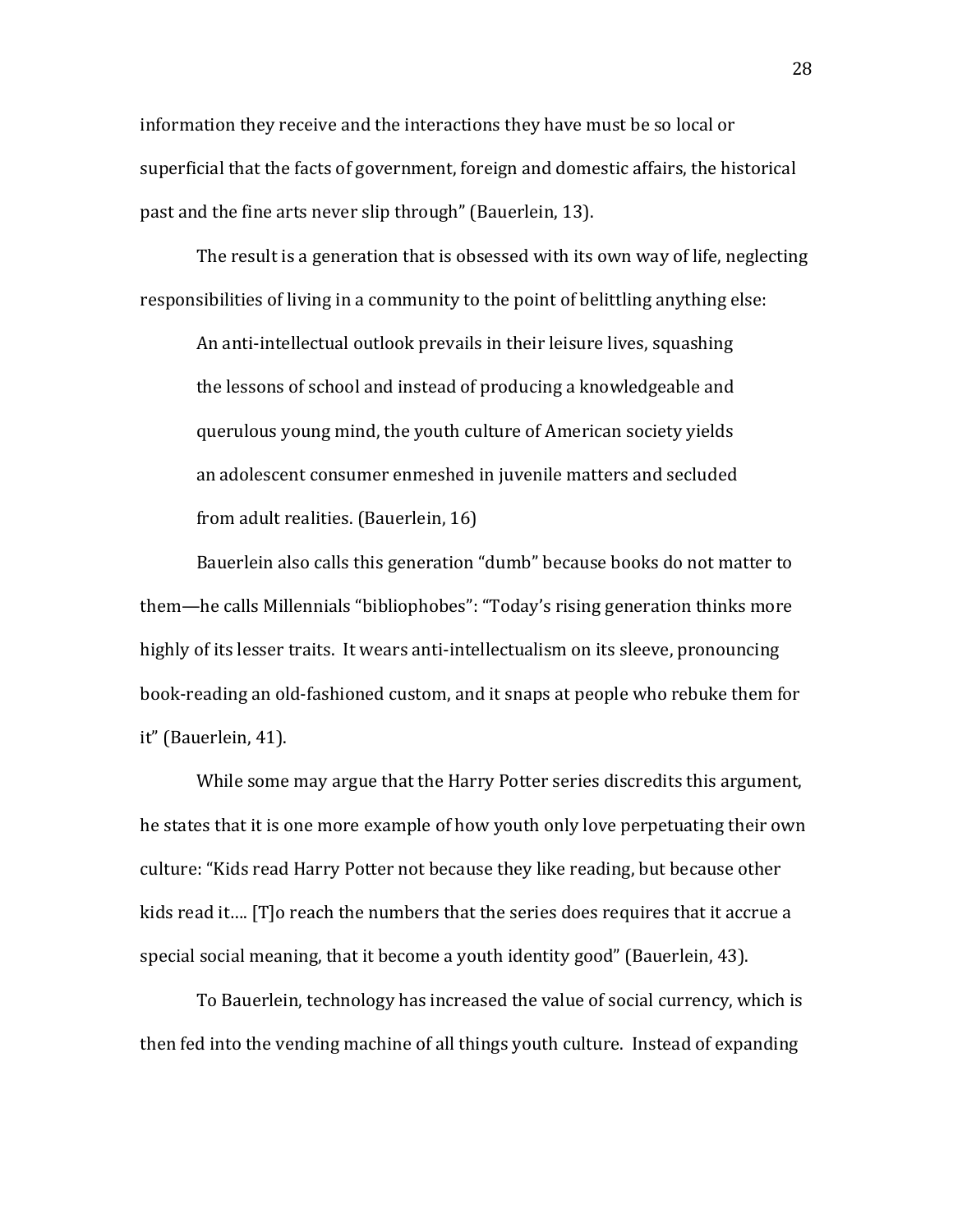information they receive and the interactions they have must be so local or superficial that the facts of government, foreign and domestic affairs, the historical past and the fine arts never slip through" (Bauerlein, 13).

The result is a generation that is obsessed with its own way of life, neglecting responsibilities of living in a community to the point of belittling anything else:

An anti-intellectual outlook prevails in their leisure lives, squashing the lessons of school and instead of producing a knowledgeable and querulous voung mind, the youth culture of American society vields an adolescent consumer enmeshed in juvenile matters and secluded from adult realities. (Bauerlein, 16)

Bauerlein also calls this generation "dumb" because books do not matter to them—he calls Millennials "bibliophobes": "Today's rising generation thinks more highly of its lesser traits. It wears anti-intellectualism on its sleeve, pronouncing book-reading an old-fashioned custom, and it snaps at people who rebuke them for it" (Bauerlein, 41).

While some may argue that the Harry Potter series discredits this argument, he states that it is one more example of how youth only love perpetuating their own culture: "Kids read Harry Potter not because they like reading, but because other kids read it…. [T]o reach the numbers that the series does requires that it accrue a special social meaning, that it become a youth identity good" (Bauerlein, 43).

To Bauerlein, technology has increased the value of social currency, which is then fed into the vending machine of all things youth culture. Instead of expanding

28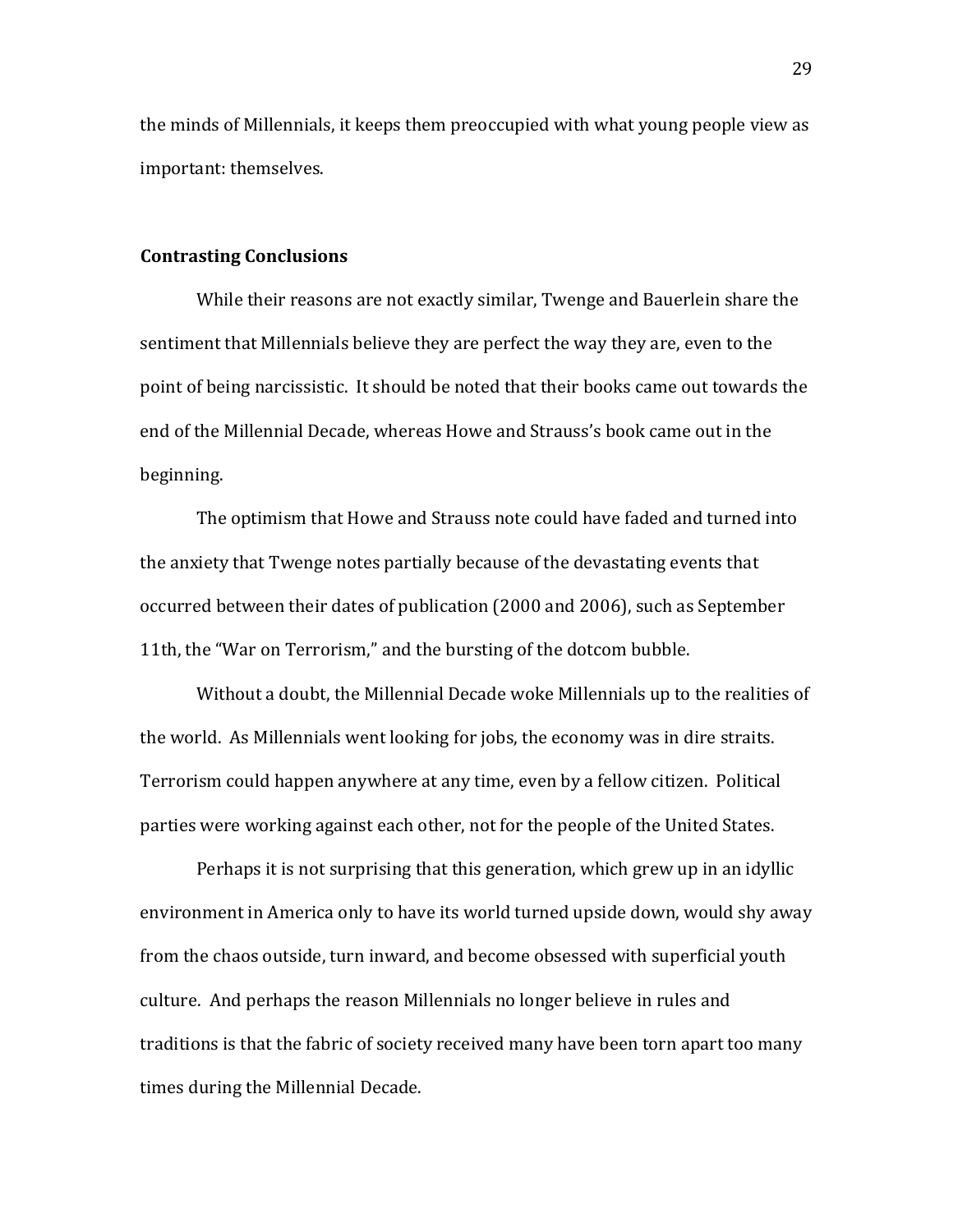the minds of Millennials, it keeps them preoccupied with what young people view as important: themselves.

#### **Contrasting Conclusions**

While their reasons are not exactly similar, Twenge and Bauerlein share the sentiment that Millennials believe they are perfect the way they are, even to the point of being narcissistic. It should be noted that their books came out towards the end of the Millennial Decade, whereas Howe and Strauss's book came out in the beginning.

The optimism that Howe and Strauss note could have faded and turned into the anxiety that Twenge notes partially because of the devastating events that occurred between their dates of publication (2000 and 2006), such as September 11th, the "War on Terrorism," and the bursting of the dotcom bubble.

Without a doubt, the Millennial Decade woke Millennials up to the realities of the world. As Millennials went looking for jobs, the economy was in dire straits. Terrorism could happen anywhere at any time, even by a fellow citizen. Political parties were working against each other, not for the people of the United States.

Perhaps it is not surprising that this generation, which grew up in an idyllic environment in America only to have its world turned upside down, would shy away from the chaos outside, turn inward, and become obsessed with superficial youth culture. And perhaps the reason Millennials no longer believe in rules and traditions is that the fabric of society received many have been torn apart too many times during the Millennial Decade.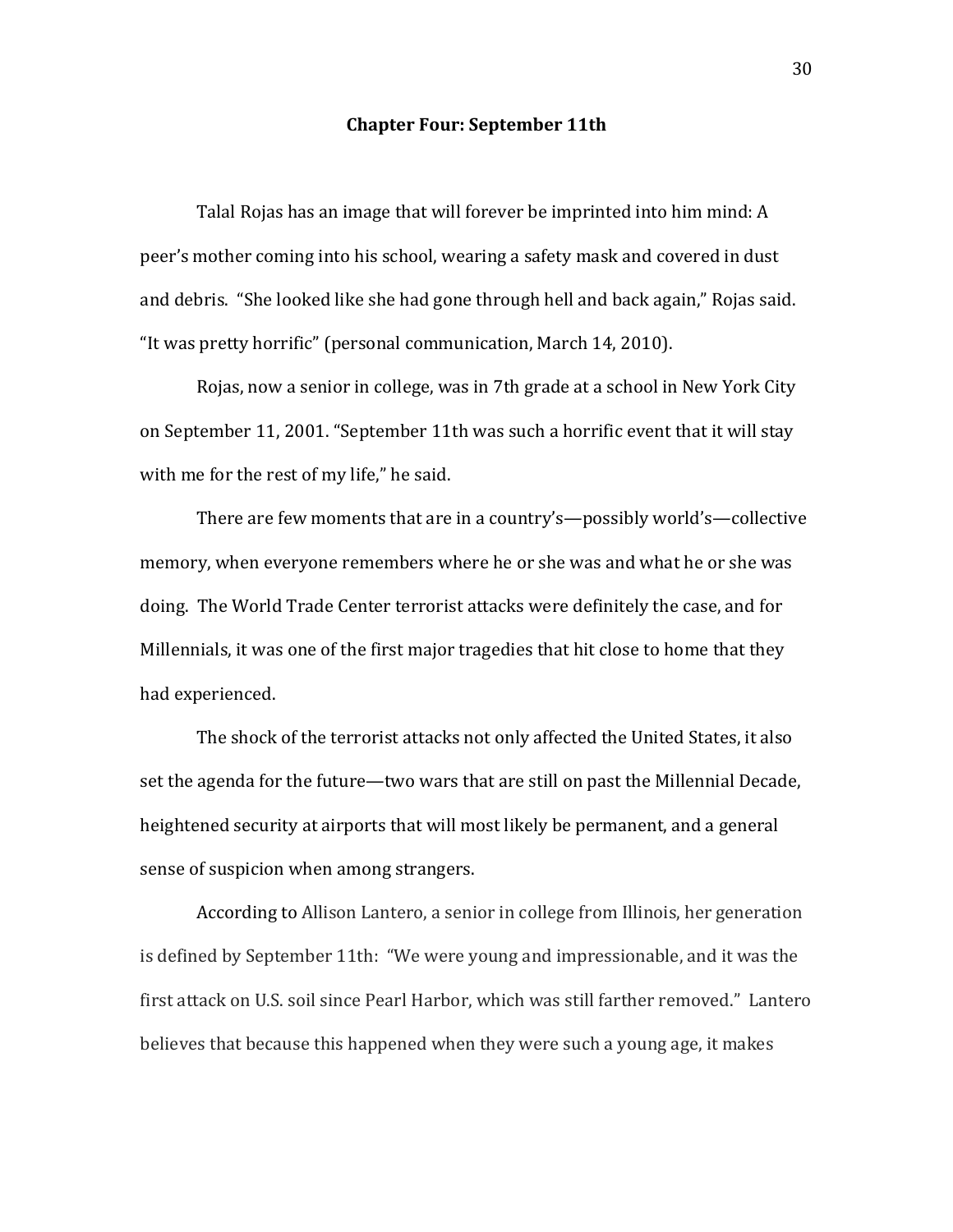#### **Chapter Four: September 11th**

Talal Rojas has an image that will forever be imprinted into him mind: A peer's mother coming into his school, wearing a safety mask and covered in dust and debris. "She looked like she had gone through hell and back again," Rojas said. "It was pretty horrific" (personal communication, March 14, 2010).

Rojas, now a senior in college, was in 7th grade at a school in New York City on September 11, 2001. "September 11th was such a horrific event that it will stay with me for the rest of my life," he said.

There are few moments that are in a country's—possibly world's—collective memory, when everyone remembers where he or she was and what he or she was doing. The World Trade Center terrorist attacks were definitely the case, and for Millennials, it was one of the first major tragedies that hit close to home that they had experienced.

The shock of the terrorist attacks not only affected the United States, it also set the agenda for the future—two wars that are still on past the Millennial Decade, heightened security at airports that will most likely be permanent, and a general sense of suspicion when among strangers.

According to Allison Lantero, a senior in college from Illinois, her generation is defined by September 11th: "We were young and impressionable, and it was the first attack on U.S. soil since Pearl Harbor, which was still farther removed." Lantero believes that because this happened when they were such a young age, it makes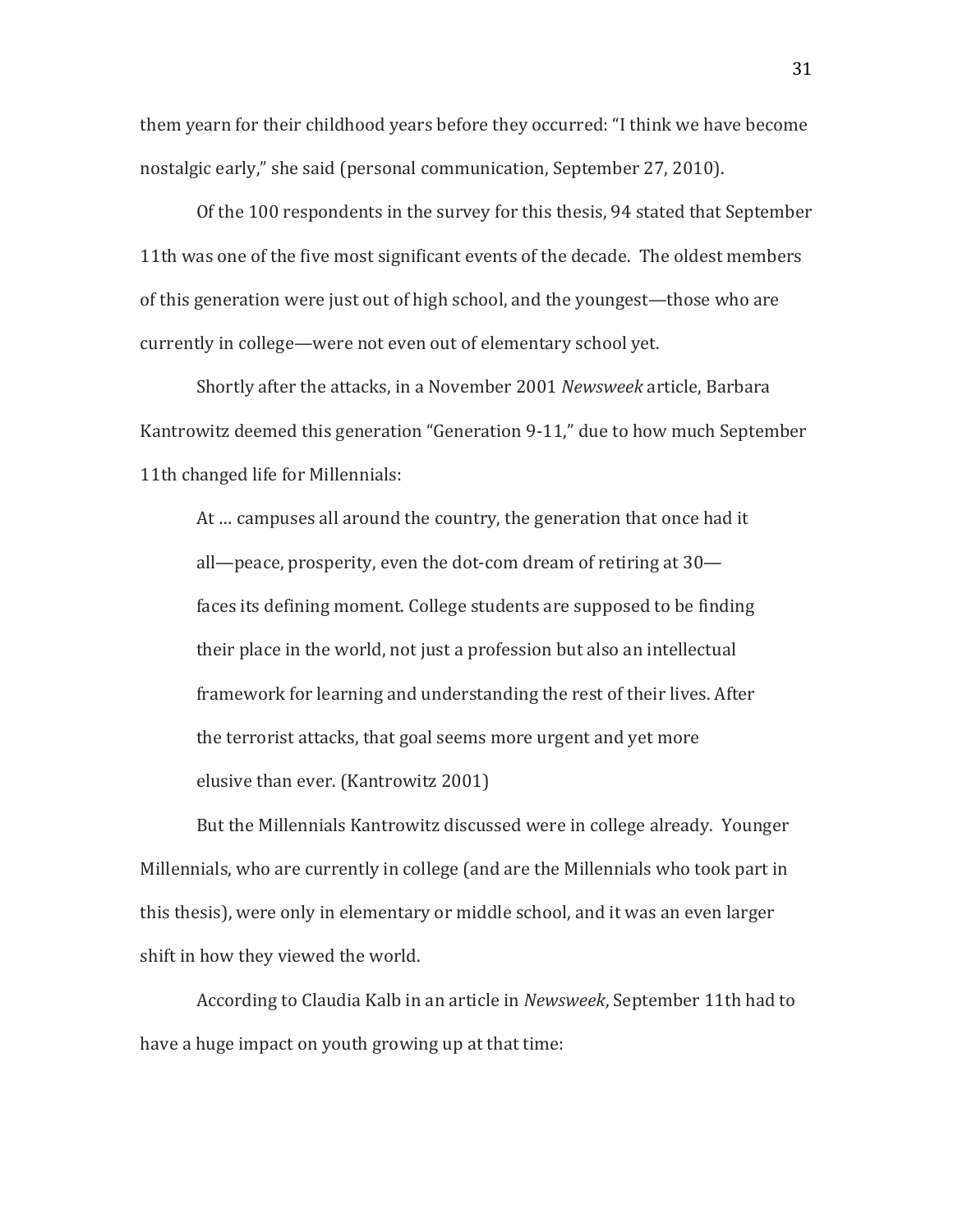them yearn for their childhood years before they occurred: "I think we have become nostalgic early," she said (personal communication, September 27, 2010).

Of the 100 respondents in the survey for this thesis, 94 stated that September 11th was one of the five most significant events of the decade. The oldest members of this generation were just out of high school, and the youngest—those who are currently in college—were not even out of elementary school yet.

Shortly after the attacks, in a November 2001 Newsweek article, Barbara Kantrowitz deemed this generation "Generation 9-11," due to how much September 11th changed life for Millennials:

At ... campuses all around the country, the generation that once had it all—peace, prosperity, even the dot-com dream of retiring at  $30$ faces its defining moment. College students are supposed to be finding their place in the world, not just a profession but also an intellectual framework for learning and understanding the rest of their lives. After the terrorist attacks, that goal seems more urgent and yet more elusive than ever. (Kantrowitz 2001)

But the Millennials Kantrowitz discussed were in college already. Younger Millennials, who are currently in college (and are the Millennials who took part in this thesis), were only in elementary or middle school, and it was an even larger shift in how they viewed the world.

According to Claudia Kalb in an article in *Newsweek*, September 11th had to have a huge impact on youth growing up at that time: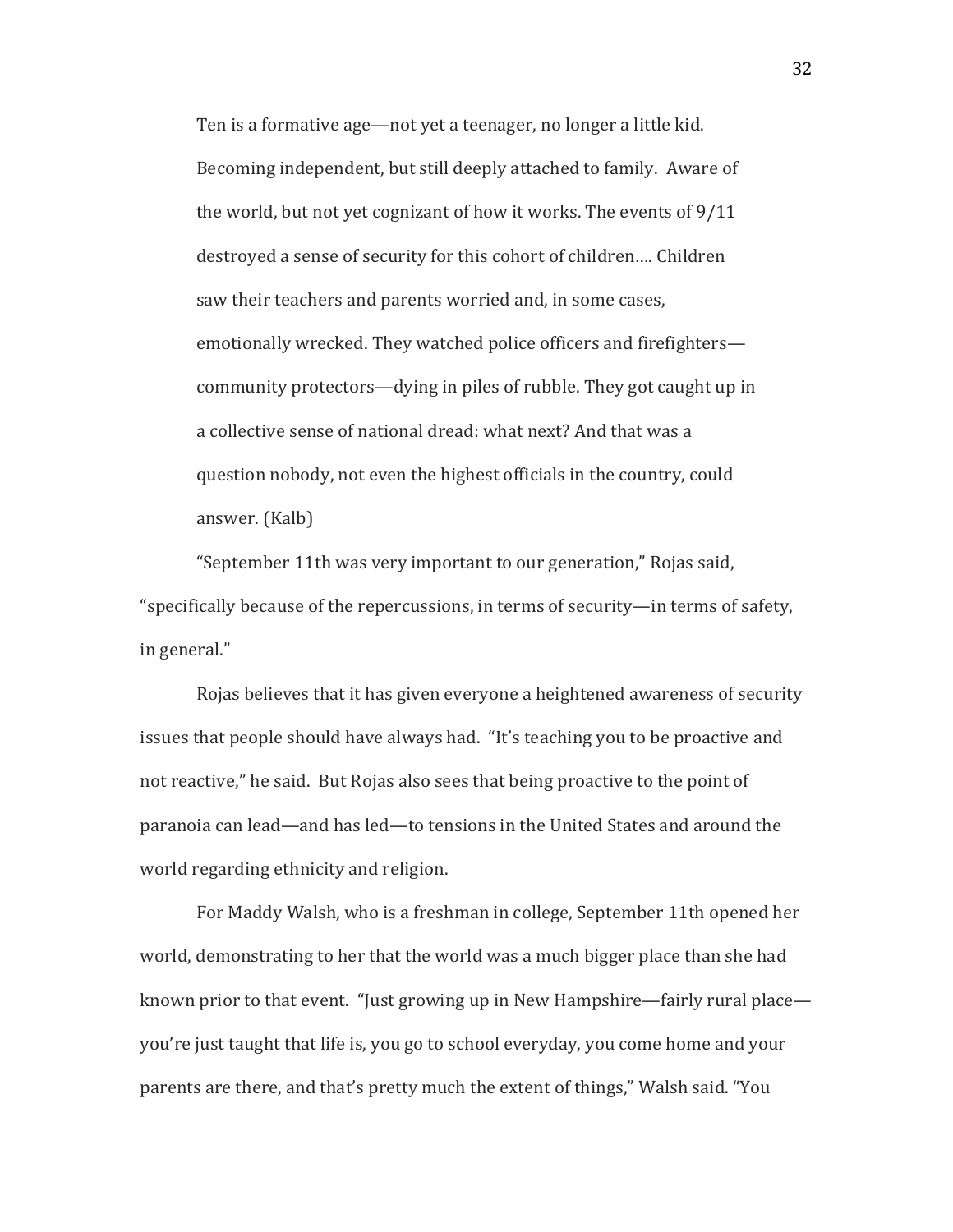Ten is a formative age—not yet a teenager, no longer a little kid. Becoming independent, but still deeply attached to family. Aware of the world, but not yet cognizant of how it works. The events of  $9/11$ destroyed a sense of security for this cohort of children.... Children saw their teachers and parents worried and, in some cases, emotionally wrecked. They watched police officers and firefighters community protectors—dying in piles of rubble. They got caught up in a collective sense of national dread: what next? And that was a question nobody, not even the highest officials in the country, could answer. (Kalb)

"September 11th was very important to our generation," Rojas said, "specifically because of the repercussions, in terms of security—in terms of safety, in general."

Rojas believes that it has given everyone a heightened awareness of security issues that people should have always had. "It's teaching you to be proactive and not reactive," he said. But Rojas also sees that being proactive to the point of paranoia can lead—and has led—to tensions in the United States and around the world regarding ethnicity and religion.

For Maddy Walsh, who is a freshman in college, September 11th opened her world, demonstrating to her that the world was a much bigger place than she had known prior to that event. "Just growing up in New Hampshire—fairly rural place you're just taught that life is, you go to school everyday, you come home and your parents are there, and that's pretty much the extent of things," Walsh said. "You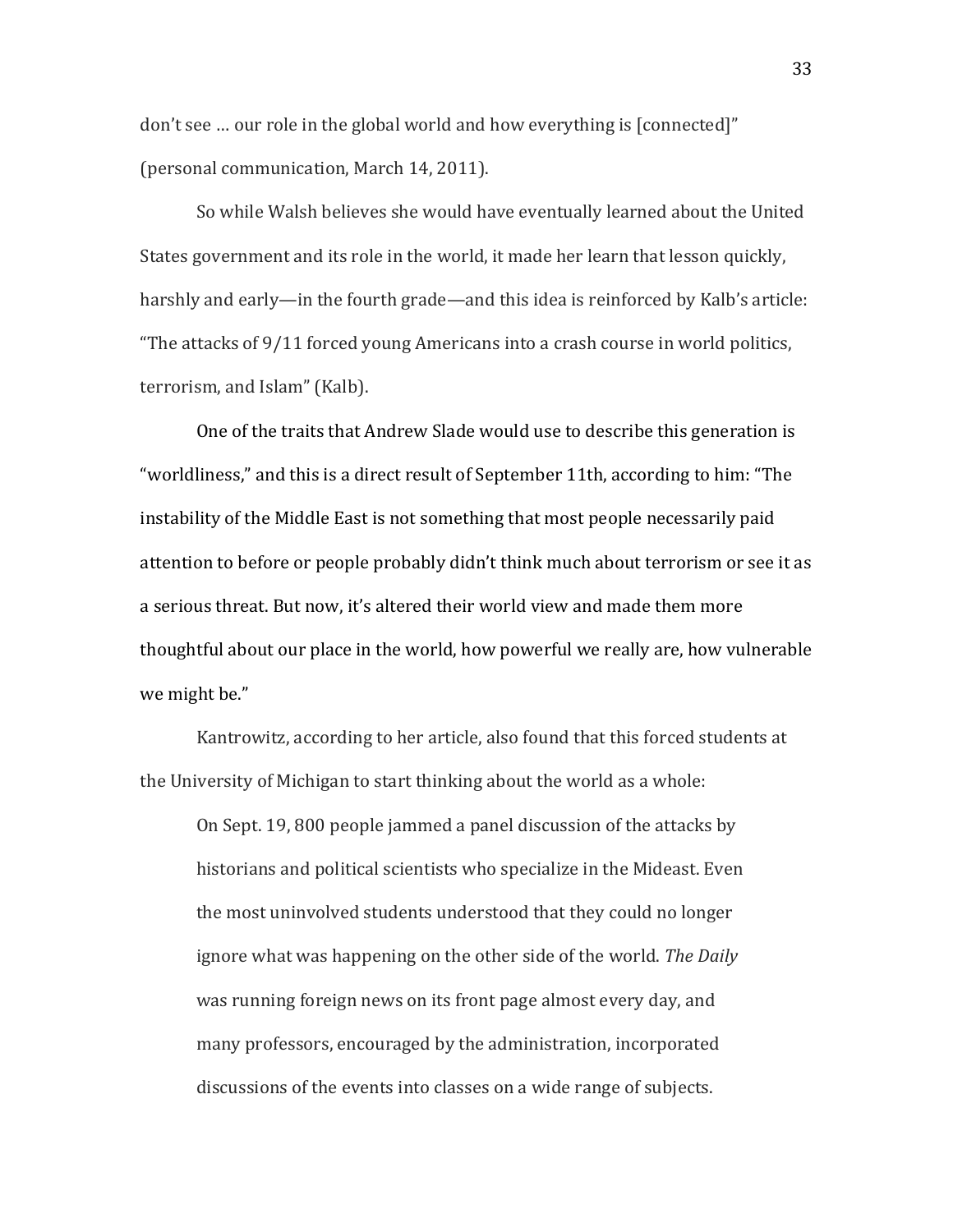don't see ... our role in the global world and how everything is [connected]" (personal communication, March 14, 2011).

So while Walsh believes she would have eventually learned about the United States government and its role in the world, it made her learn that lesson quickly, harshly and early—in the fourth grade—and this idea is reinforced by Kalb's article: "The attacks of  $9/11$  forced young Americans into a crash course in world politics, terrorism, and Islam" (Kalb).

One of the traits that Andrew Slade would use to describe this generation is "worldliness," and this is a direct result of September 11th, according to him: "The instability of the Middle East is not something that most people necessarily paid attention to before or people probably didn't think much about terrorism or see it as a serious threat. But now, it's altered their world view and made them more thoughtful about our place in the world, how powerful we really are, how vulnerable we might be."

Kantrowitz, according to her article, also found that this forced students at the University of Michigan to start thinking about the world as a whole:

On Sept. 19, 800 people jammed a panel discussion of the attacks by historians and political scientists who specialize in the Mideast. Even the most uninvolved students understood that they could no longer ignore what was happening on the other side of the world. *The Daily* was running foreign news on its front page almost every day, and many professors, encouraged by the administration, incorporated discussions of the events into classes on a wide range of subjects.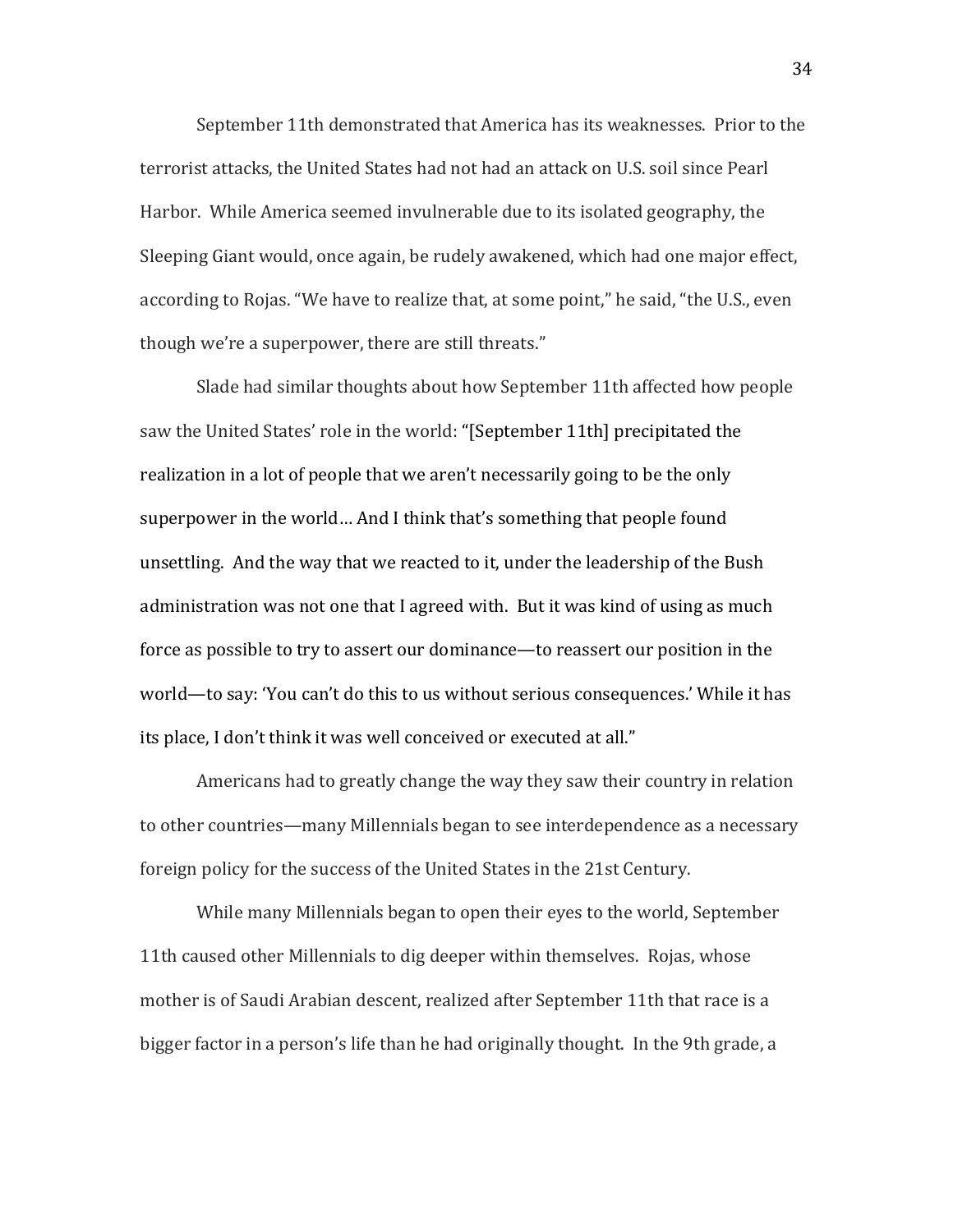September 11th demonstrated that America has its weaknesses. Prior to the terrorist attacks, the United States had not had an attack on U.S. soil since Pearl Harbor. While America seemed invulnerable due to its isolated geography, the Sleeping Giant would, once again, be rudely awakened, which had one major effect, according to Rojas. "We have to realize that, at some point," he said, "the U.S., even though we're a superpower, there are still threats."

Slade had similar thoughts about how September 11th affected how people saw the United States' role in the world: "[September 11th] precipitated the realization in a lot of people that we aren't necessarily going to be the only superpower in the world... And I think that's something that people found unsettling. And the way that we reacted to it, under the leadership of the Bush administration was not one that I agreed with. But it was kind of using as much force as possible to try to assert our dominance—to reassert our position in the world—to say: 'You can't do this to us without serious consequences.' While it has its place, I don't think it was well conceived or executed at all."

Americans had to greatly change the way they saw their country in relation to other countries—many Millennials began to see interdependence as a necessary foreign policy for the success of the United States in the 21st Century.

While many Millennials began to open their eyes to the world, September 11th caused other Millennials to dig deeper within themselves. Rojas, whose mother is of Saudi Arabian descent, realized after September 11th that race is a bigger factor in a person's life than he had originally thought. In the 9th grade, a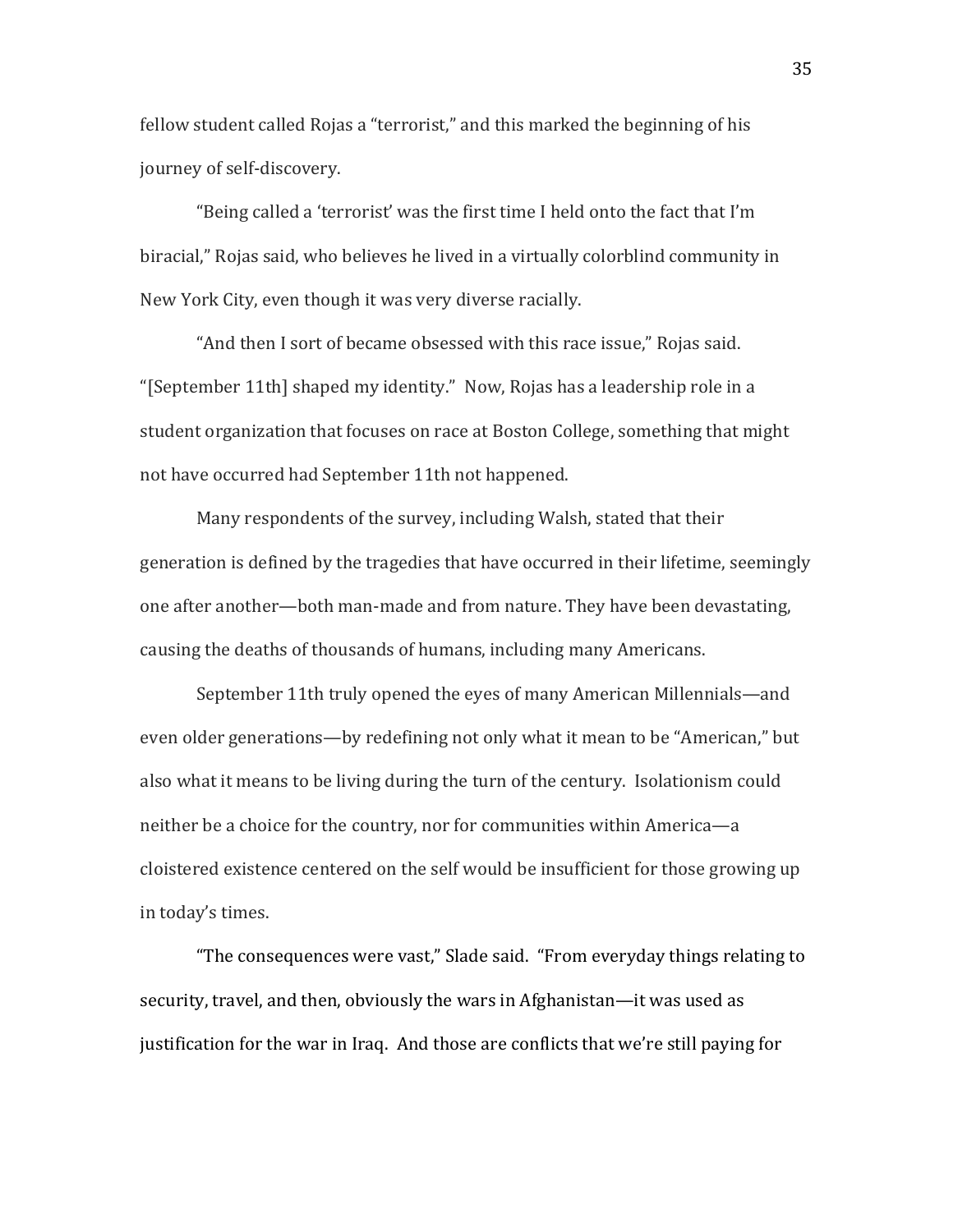fellow student called Rojas a "terrorist," and this marked the beginning of his journey of self-discovery.

"Being called a 'terrorist' was the first time I held onto the fact that I'm biracial," Rojas said, who believes he lived in a virtually colorblind community in New York City, even though it was very diverse racially.

"And then I sort of became obsessed with this race issue," Rojas said. "[September 11th] shaped my identity." Now, Rojas has a leadership role in a student organization that focuses on race at Boston College, something that might not have occurred had September 11th not happened.

Many respondents of the survey, including Walsh, stated that their generation is defined by the tragedies that have occurred in their lifetime, seemingly one after another—both man-made and from nature. They have been devastating, causing the deaths of thousands of humans, including many Americans.

September 11th truly opened the eyes of many American Millennials—and even older generations—by redefining not only what it mean to be "American," but also what it means to be living during the turn of the century. Isolationism could neither be a choice for the country, nor for communities within America—a cloistered existence centered on the self would be insufficient for those growing up in today's times.

"The consequences were vast," Slade said. "From everyday things relating to security, travel, and then, obviously the wars in Afghanistan—it was used as justification for the war in Iraq. And those are conflicts that we're still paying for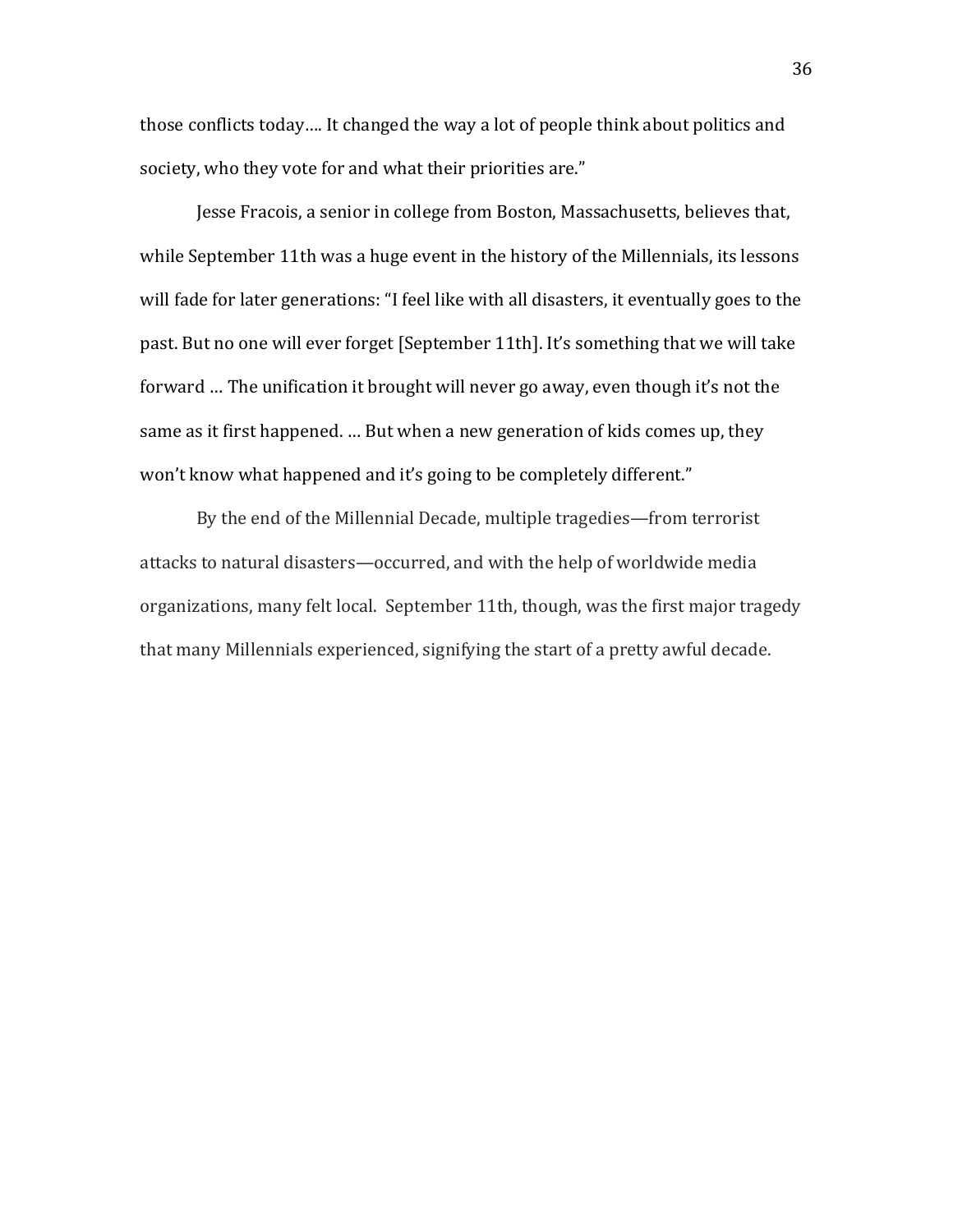those conflicts today.... It changed the way a lot of people think about politics and society, who they vote for and what their priorities are."

Jesse Fracois, a senior in college from Boston, Massachusetts, believes that, while September 11th was a huge event in the history of the Millennials, its lessons will fade for later generations: "I feel like with all disasters, it eventually goes to the past. But no one will ever forget [September 11th]. It's something that we will take forward ... The unification it brought will never go away, even though it's not the same as it first happened. ... But when a new generation of kids comes up, they won't know what happened and it's going to be completely different."

By the end of the Millennial Decade, multiple tragedies—from terrorist attacks to natural disasters—occurred, and with the help of worldwide media organizations, many felt local. September 11th, though, was the first major tragedy that many Millennials experienced, signifying the start of a pretty awful decade.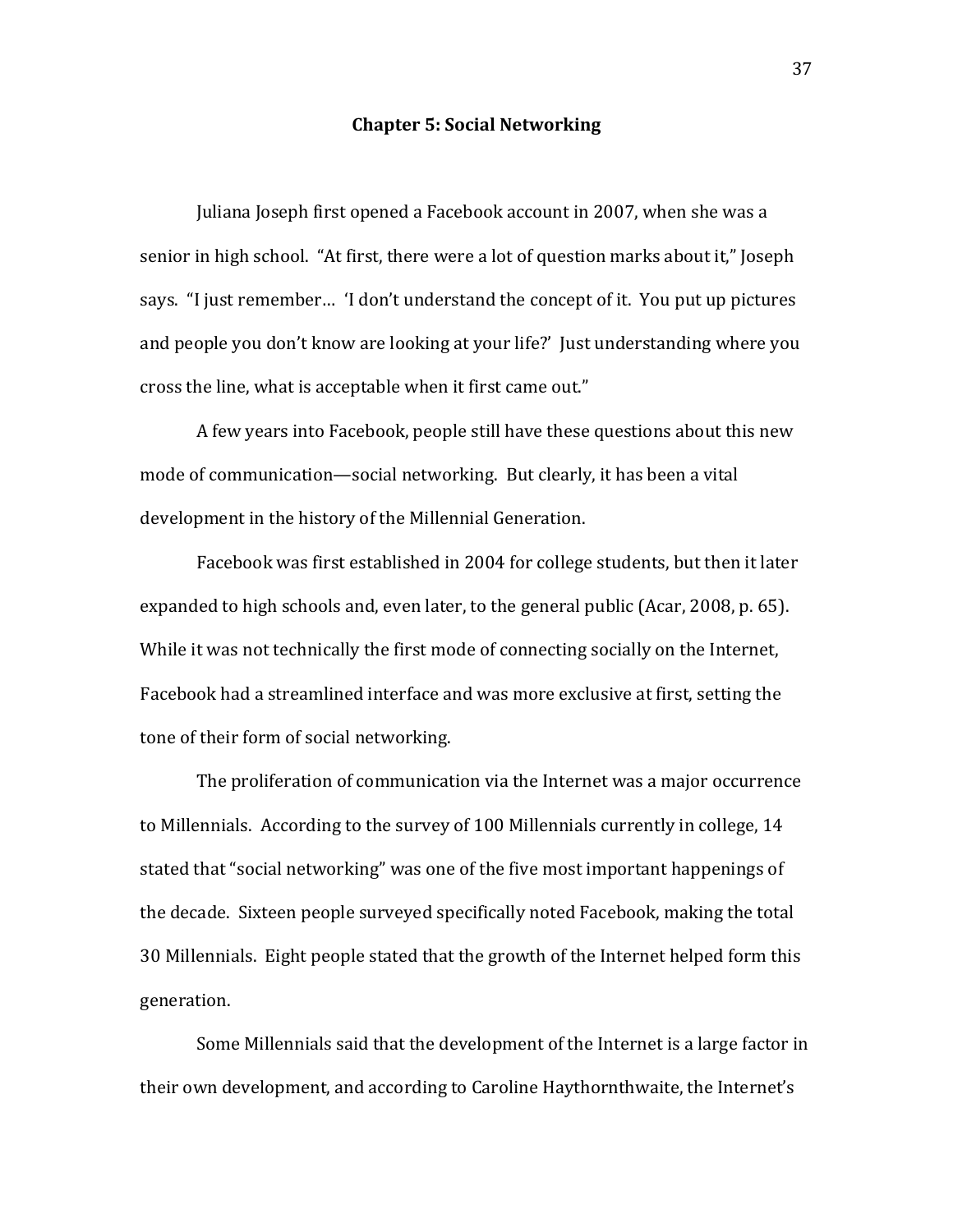## **Chapter 5: Social Networking**

Juliana Joseph first opened a Facebook account in 2007, when she was a senior in high school. "At first, there were a lot of question marks about it," Joseph says. "I just remember... 'I don't understand the concept of it. You put up pictures and people you don't know are looking at your life?' Just understanding where you cross the line, what is acceptable when it first came out."

A few years into Facebook, people still have these questions about this new mode of communication—social networking. But clearly, it has been a vital development in the history of the Millennial Generation.

Facebook was first established in 2004 for college students, but then it later expanded to high schools and, even later, to the general public (Acar, 2008, p. 65). While it was not technically the first mode of connecting socially on the Internet, Facebook had a streamlined interface and was more exclusive at first, setting the tone of their form of social networking.

The proliferation of communication via the Internet was a major occurrence to Millennials. According to the survey of 100 Millennials currently in college, 14 stated that "social networking" was one of the five most important happenings of the decade. Sixteen people surveyed specifically noted Facebook, making the total 30 Millennials. Eight people stated that the growth of the Internet helped form this generation.

Some Millennials said that the development of the Internet is a large factor in their own development, and according to Caroline Haythornthwaite, the Internet's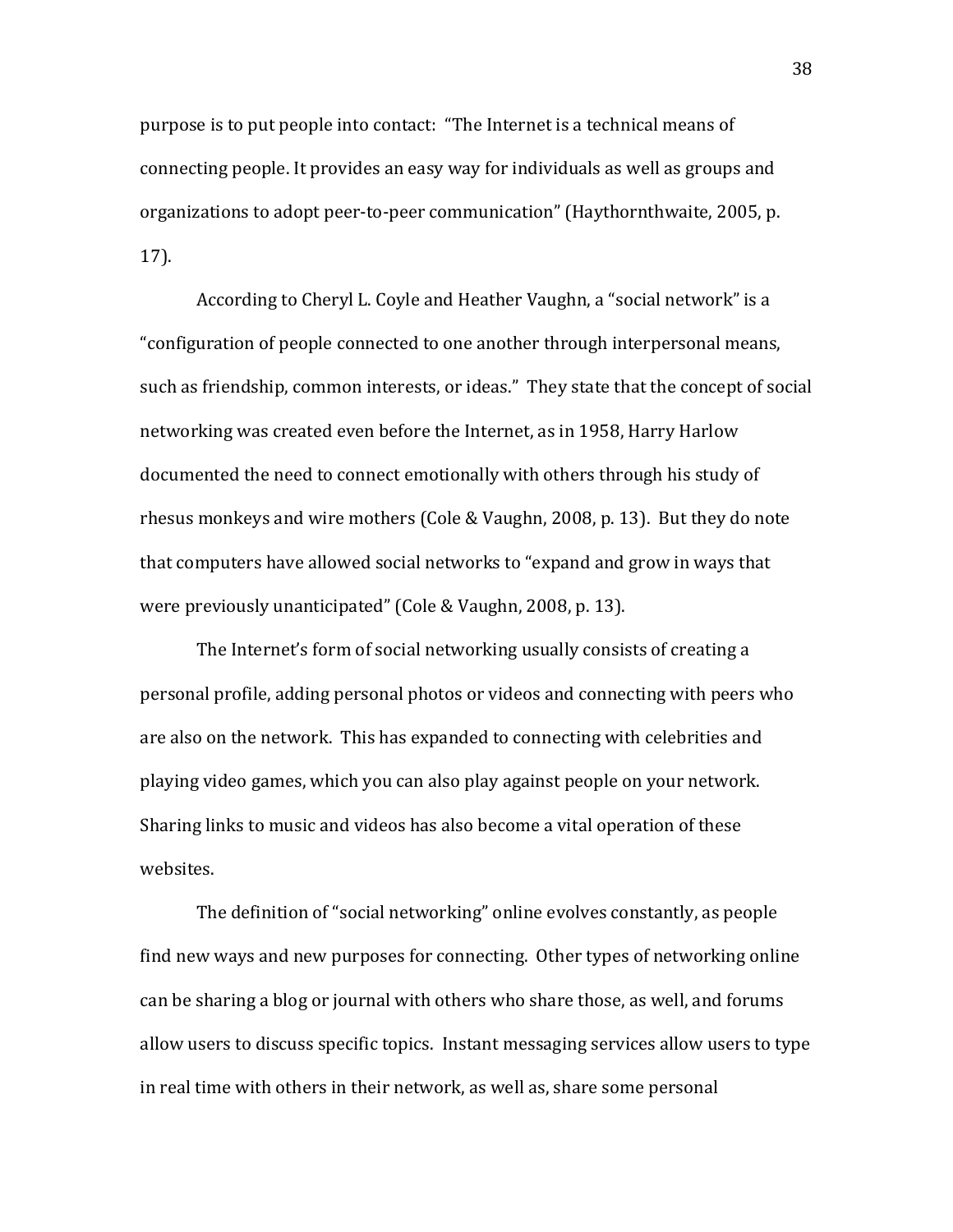purpose is to put people into contact: "The Internet is a technical means of connecting people. It provides an easy way for individuals as well as groups and organizations to adopt peer-to-peer communication" (Haythornthwaite, 2005, p. 17).

According to Cheryl L. Coyle and Heather Vaughn, a "social network" is a "configuration of people connected to one another through interpersonal means, such as friendship, common interests, or ideas." They state that the concept of social networking was created even before the Internet, as in 1958. Harry Harlow documented the need to connect emotionally with others through his study of rhesus monkeys and wire mothers (Cole & Vaughn, 2008, p. 13). But they do note that computers have allowed social networks to "expand and grow in ways that were previously unanticipated" (Cole & Vaughn, 2008, p. 13).

The Internet's form of social networking usually consists of creating a personal profile, adding personal photos or videos and connecting with peers who are also on the network. This has expanded to connecting with celebrities and playing video games, which you can also play against people on your network. Sharing links to music and videos has also become a vital operation of these websites.

The definition of "social networking" online evolves constantly, as people find new ways and new purposes for connecting. Other types of networking online can be sharing a blog or journal with others who share those, as well, and forums allow users to discuss specific topics. Instant messaging services allow users to type in real time with others in their network, as well as, share some personal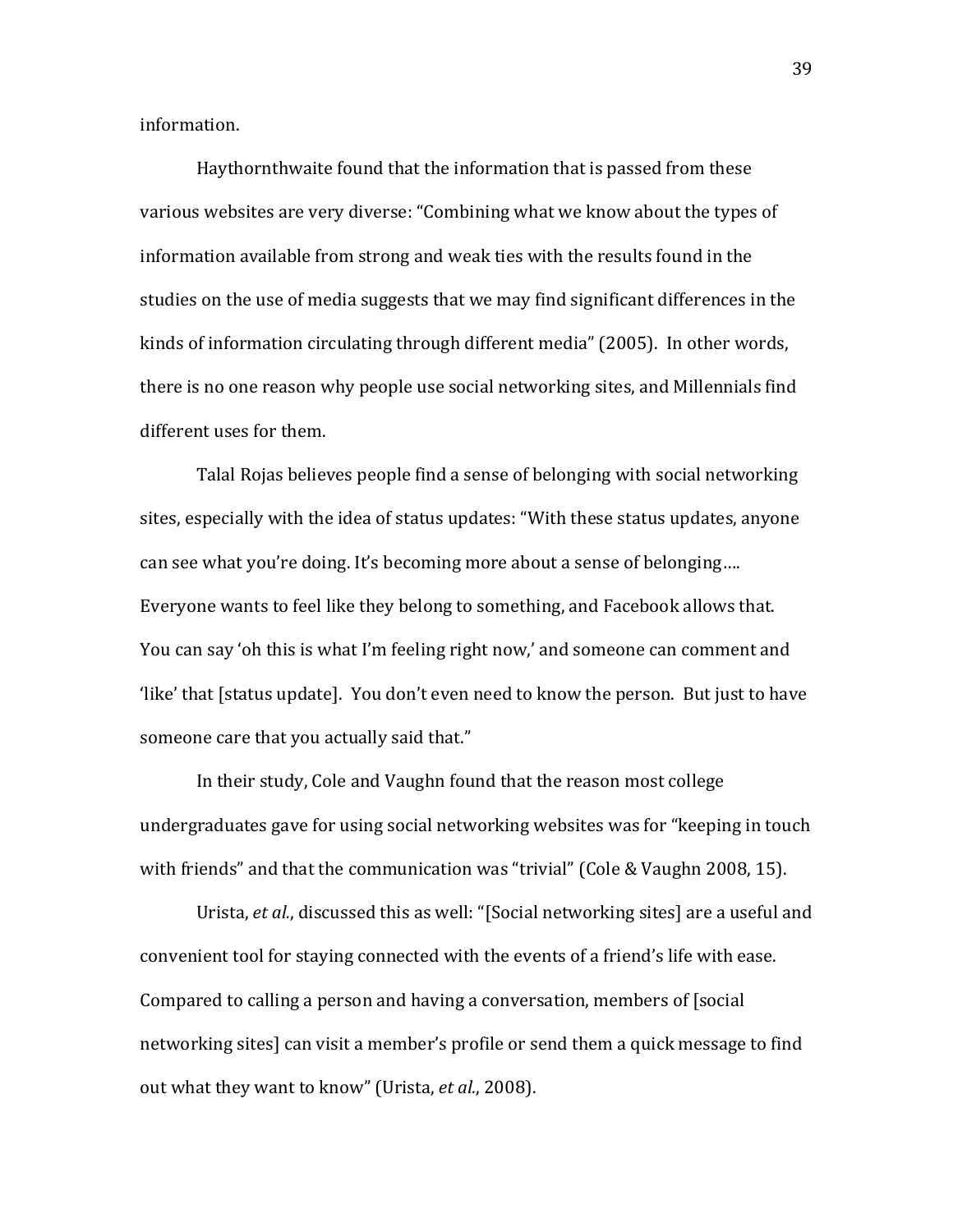information.

Haythornthwaite found that the information that is passed from these various websites are very diverse: "Combining what we know about the types of information available from strong and weak ties with the results found in the studies on the use of media suggests that we may find significant differences in the kinds of information circulating through different media" (2005). In other words, there is no one reason why people use social networking sites, and Millennials find different uses for them.

Talal Rojas believes people find a sense of belonging with social networking sites, especially with the idea of status updates: "With these status updates, anyone can see what you're doing. It's becoming more about a sense of belonging.... Everyone wants to feel like they belong to something, and Facebook allows that. You can say 'oh this is what I'm feeling right now,' and someone can comment and 'like' that [status update]. You don't even need to know the person. But just to have someone care that you actually said that."

In their study, Cole and Vaughn found that the reason most college undergraduates gave for using social networking websites was for "keeping in touch" with friends" and that the communication was "trivial" (Cole & Vaughn 2008, 15).

Urista, *et al.*, discussed this as well: "[Social networking sites] are a useful and convenient tool for staying connected with the events of a friend's life with ease. Compared to calling a person and having a conversation, members of [social] networking sites] can visit a member's profile or send them a quick message to find out what they want to know" (Urista, *et al.*, 2008).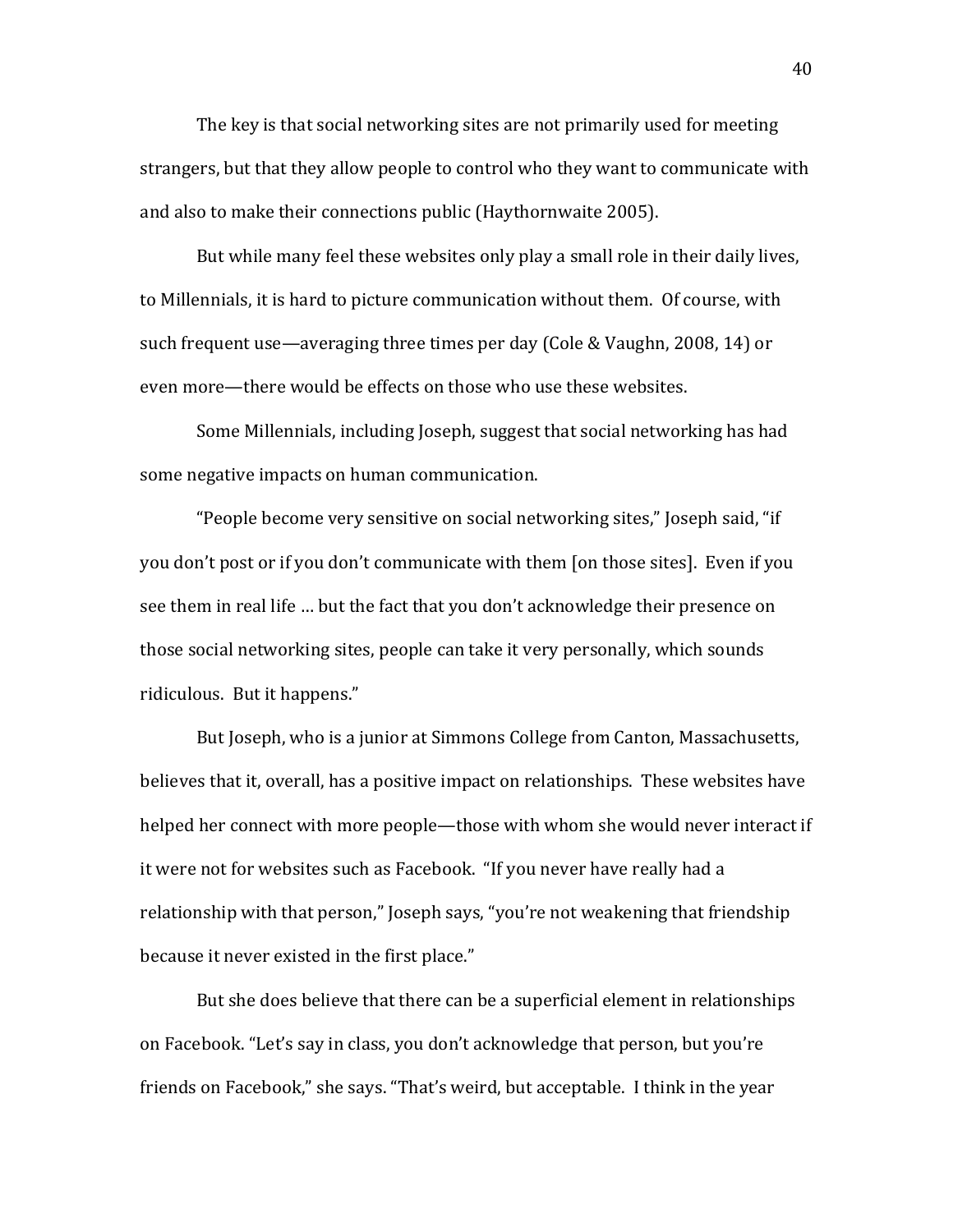The key is that social networking sites are not primarily used for meeting strangers, but that they allow people to control who they want to communicate with and also to make their connections public (Haythornwaite 2005).

But while many feel these websites only play a small role in their daily lives, to Millennials, it is hard to picture communication without them. Of course, with such frequent use—averaging three times per day (Cole & Vaughn, 2008, 14) or even more—there would be effects on those who use these websites.

Some Millennials, including Joseph, suggest that social networking has had some negative impacts on human communication.

"People become very sensitive on social networking sites," Joseph said, "if" you don't post or if you don't communicate with them [on those sites]. Even if you see them in real life ... but the fact that you don't acknowledge their presence on those social networking sites, people can take it very personally, which sounds ridiculous. But it happens."

But Joseph, who is a junior at Simmons College from Canton, Massachusetts, believes that it, overall, has a positive impact on relationships. These websites have helped her connect with more people—those with whom she would never interact if it were not for websites such as Facebook. "If you never have really had a relationship with that person," Joseph says, "you're not weakening that friendship because it never existed in the first place."

But she does believe that there can be a superficial element in relationships on Facebook. "Let's say in class, you don't acknowledge that person, but you're friends on Facebook," she says. "That's weird, but acceptable. I think in the year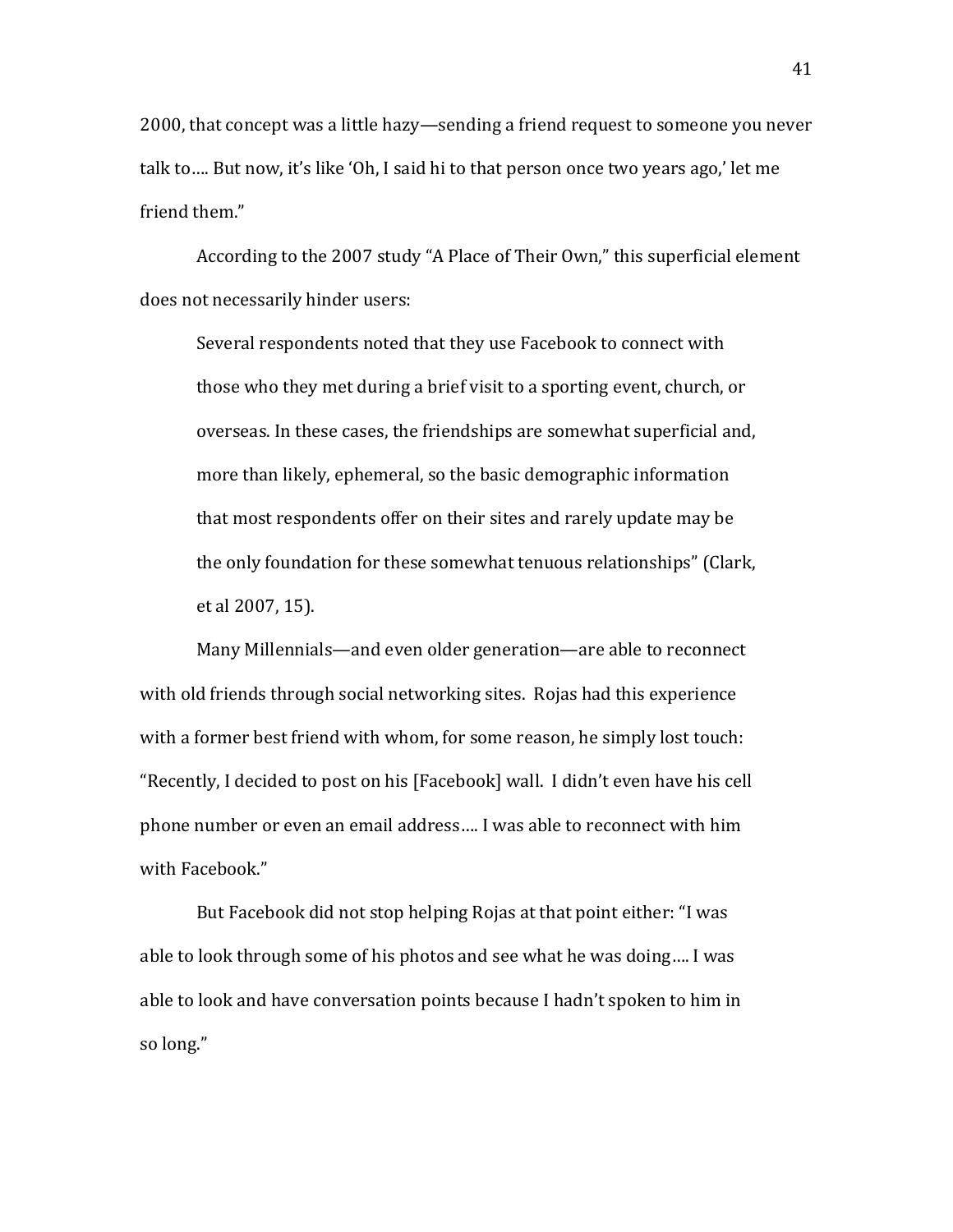2000, that concept was a little hazy—sending a friend request to someone you never talk to.... But now, it's like 'Oh, I said hi to that person once two years ago,' let me friend them."

According to the 2007 study "A Place of Their Own," this superficial element does not necessarily hinder users:

Several respondents noted that they use Facebook to connect with those who they met during a brief visit to a sporting event, church, or overseas. In these cases, the friendships are somewhat superficial and, more than likely, ephemeral, so the basic demographic information that most respondents offer on their sites and rarely update may be the only foundation for these somewhat tenuous relationships" (Clark, et al 2007, 15).

Many Millennials—and even older generation—are able to reconnect with old friends through social networking sites. Rojas had this experience with a former best friend with whom, for some reason, he simply lost touch: "Recently, I decided to post on his [Facebook] wall. I didn't even have his cell phone number or even an email address.... I was able to reconnect with him with Facebook."

But Facebook did not stop helping Rojas at that point either: "I was able to look through some of his photos and see what he was doing.... I was able to look and have conversation points because I hadn't spoken to him in so long."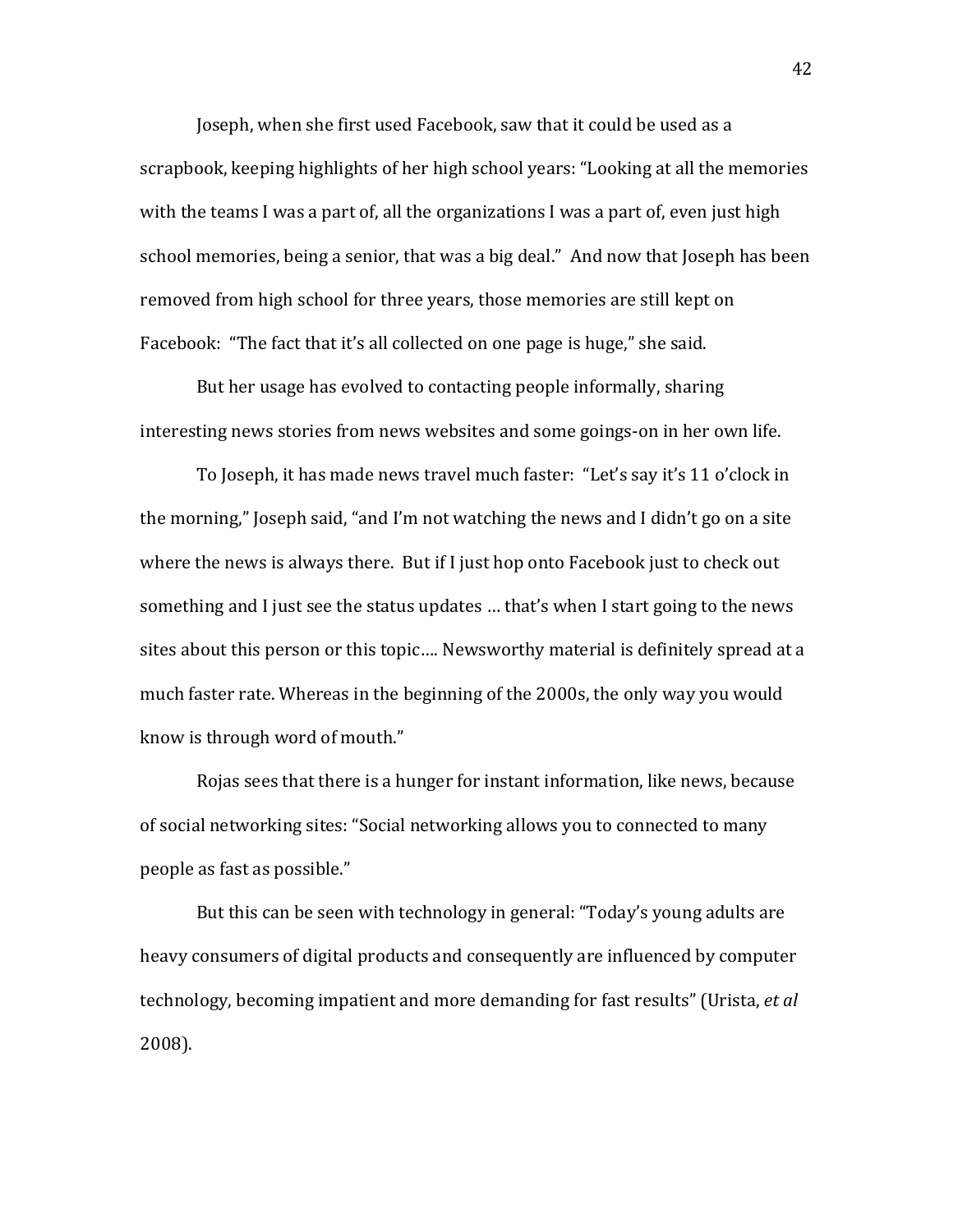Joseph, when she first used Facebook, saw that it could be used as a scrapbook, keeping highlights of her high school years: "Looking at all the memories" with the teams I was a part of, all the organizations I was a part of, even just high school memories, being a senior, that was a big deal." And now that Joseph has been removed from high school for three years, those memories are still kept on Facebook: "The fact that it's all collected on one page is huge," she said.

But her usage has evolved to contacting people informally, sharing interesting news stories from news websites and some goings-on in her own life.

To Joseph, it has made news travel much faster: "Let's say it's 11 o'clock in the morning," Joseph said, "and I'm not watching the news and I didn't go on a site where the news is always there. But if I just hop onto Facebook just to check out something and I just see the status updates ... that's when I start going to the news sites about this person or this topic.... Newsworthy material is definitely spread at a much faster rate. Whereas in the beginning of the 2000s, the only way you would know is through word of mouth."

Rojas sees that there is a hunger for instant information, like news, because of social networking sites: "Social networking allows you to connected to many people as fast as possible."

But this can be seen with technology in general: "Today's young adults are heavy consumers of digital products and consequently are influenced by computer technology, becoming impatient and more demanding for fast results" (Urista, *et al* 2008).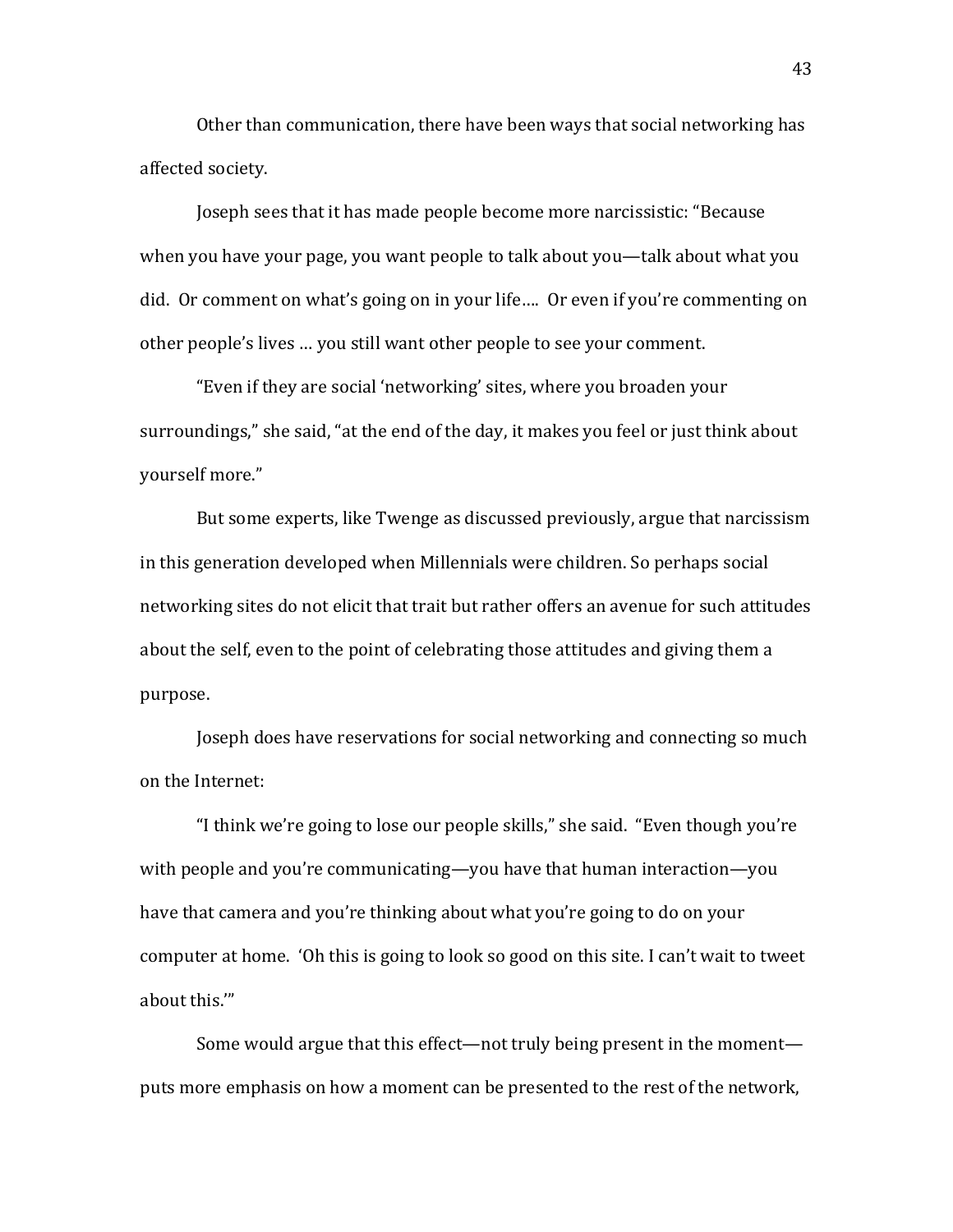Other than communication, there have been ways that social networking has affected society.

Joseph sees that it has made people become more narcissistic: "Because when you have your page, you want people to talk about you—talk about what you did. Or comment on what's going on in your life.... Or even if you're commenting on other people's lives ... you still want other people to see your comment.

"Even if they are social 'networking' sites, where you broaden your surroundings," she said, "at the end of the day, it makes you feel or just think about vourself more."

But some experts, like Twenge as discussed previously, argue that narcissism in this generation developed when Millennials were children. So perhaps social networking sites do not elicit that trait but rather offers an avenue for such attitudes about the self, even to the point of celebrating those attitudes and giving them a purpose.

Joseph does have reservations for social networking and connecting so much on the Internet:

"I think we're going to lose our people skills," she said. "Even though you're" with people and you're communicating—you have that human interaction—you have that camera and you're thinking about what you're going to do on your computer at home. 'Oh this is going to look so good on this site. I can't wait to tweet about this.""

Some would argue that this effect—not truly being present in the moment puts more emphasis on how a moment can be presented to the rest of the network,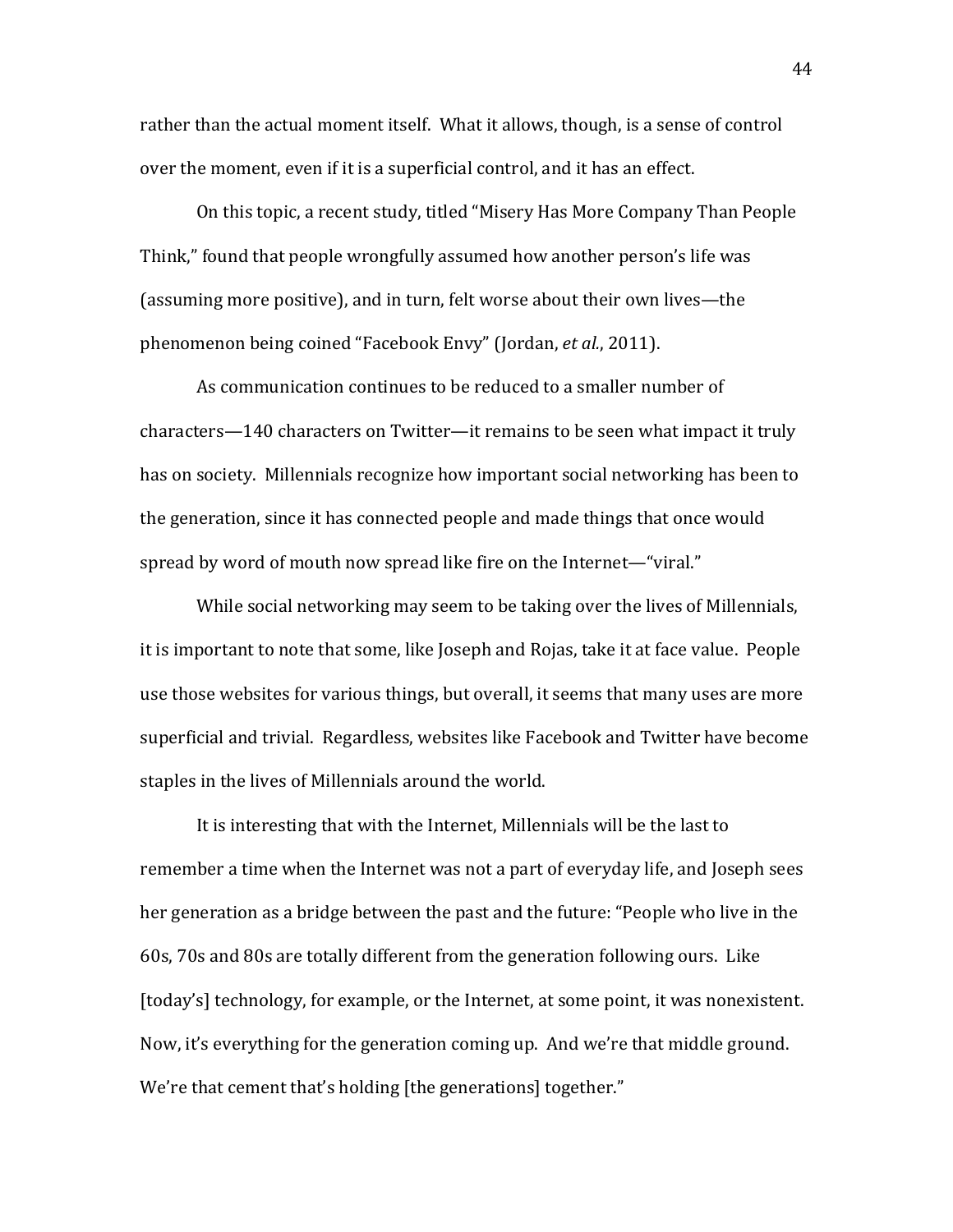rather than the actual moment itself. What it allows, though, is a sense of control over the moment, even if it is a superficial control, and it has an effect.

On this topic, a recent study, titled "Misery Has More Company Than People Think," found that people wrongfully assumed how another person's life was (assuming more positive), and in turn, felt worse about their own lives—the phenomenon being coined "Facebook Envy" (Jordan, *et al.*, 2011).

As communication continues to be reduced to a smaller number of characters—140 characters on Twitter—it remains to be seen what impact it truly has on society. Millennials recognize how important social networking has been to the generation, since it has connected people and made things that once would spread by word of mouth now spread like fire on the Internet—"viral."

While social networking may seem to be taking over the lives of Millennials, it is important to note that some, like Joseph and Rojas, take it at face value. People use those websites for various things, but overall, it seems that many uses are more superficial and trivial. Regardless, websites like Facebook and Twitter have become staples in the lives of Millennials around the world.

It is interesting that with the Internet, Millennials will be the last to remember a time when the Internet was not a part of everyday life, and Joseph sees her generation as a bridge between the past and the future: "People who live in the 60s, 70s and 80s are totally different from the generation following ours. Like [today's] technology, for example, or the Internet, at some point, it was nonexistent. Now, it's everything for the generation coming up. And we're that middle ground. We're that cement that's holding [the generations] together."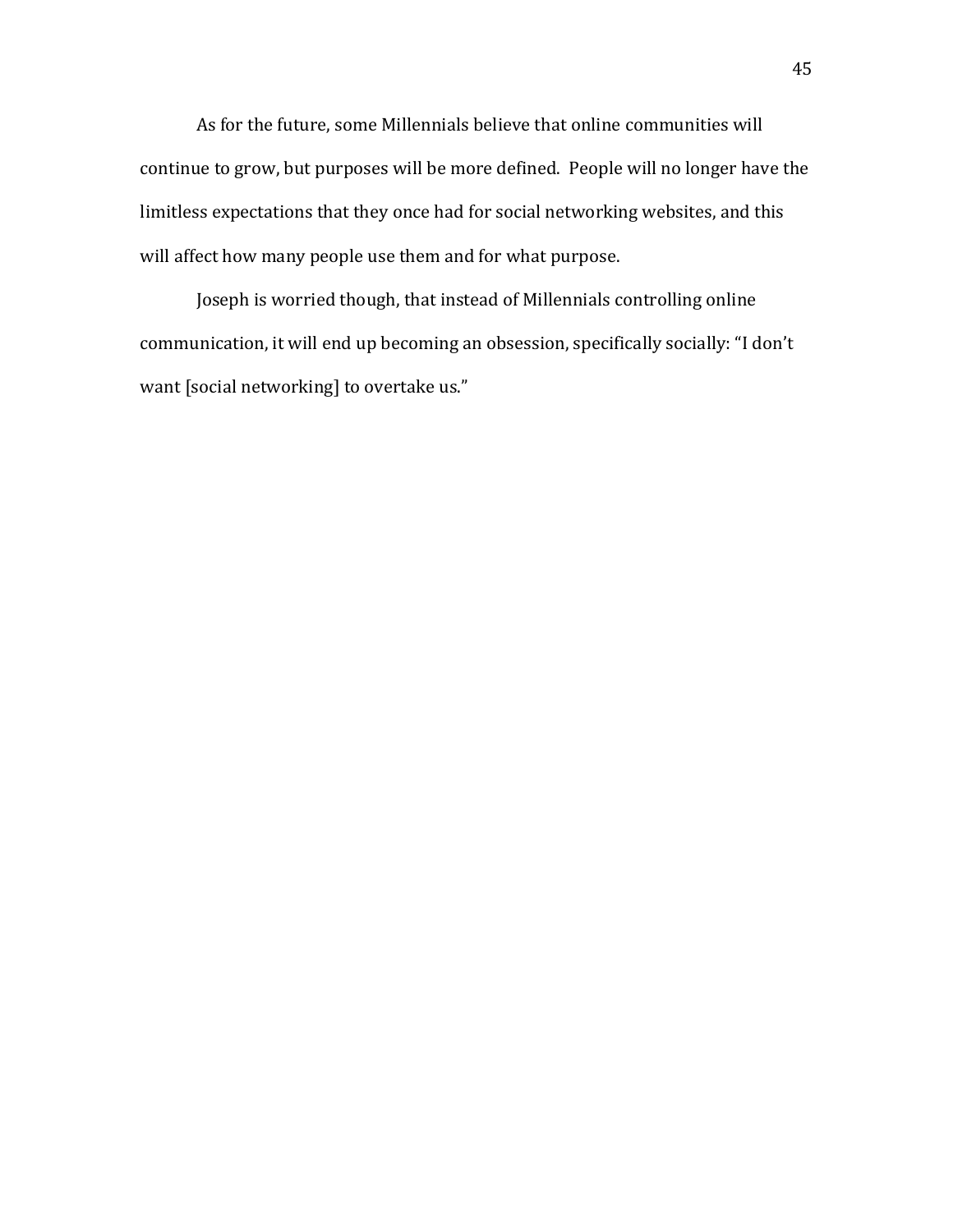As for the future, some Millennials believe that online communities will continue to grow, but purposes will be more defined. People will no longer have the limitless expectations that they once had for social networking websites, and this will affect how many people use them and for what purpose.

Joseph is worried though, that instead of Millennials controlling online communication, it will end up becoming an obsession, specifically socially: "I don't want [social networking] to overtake us."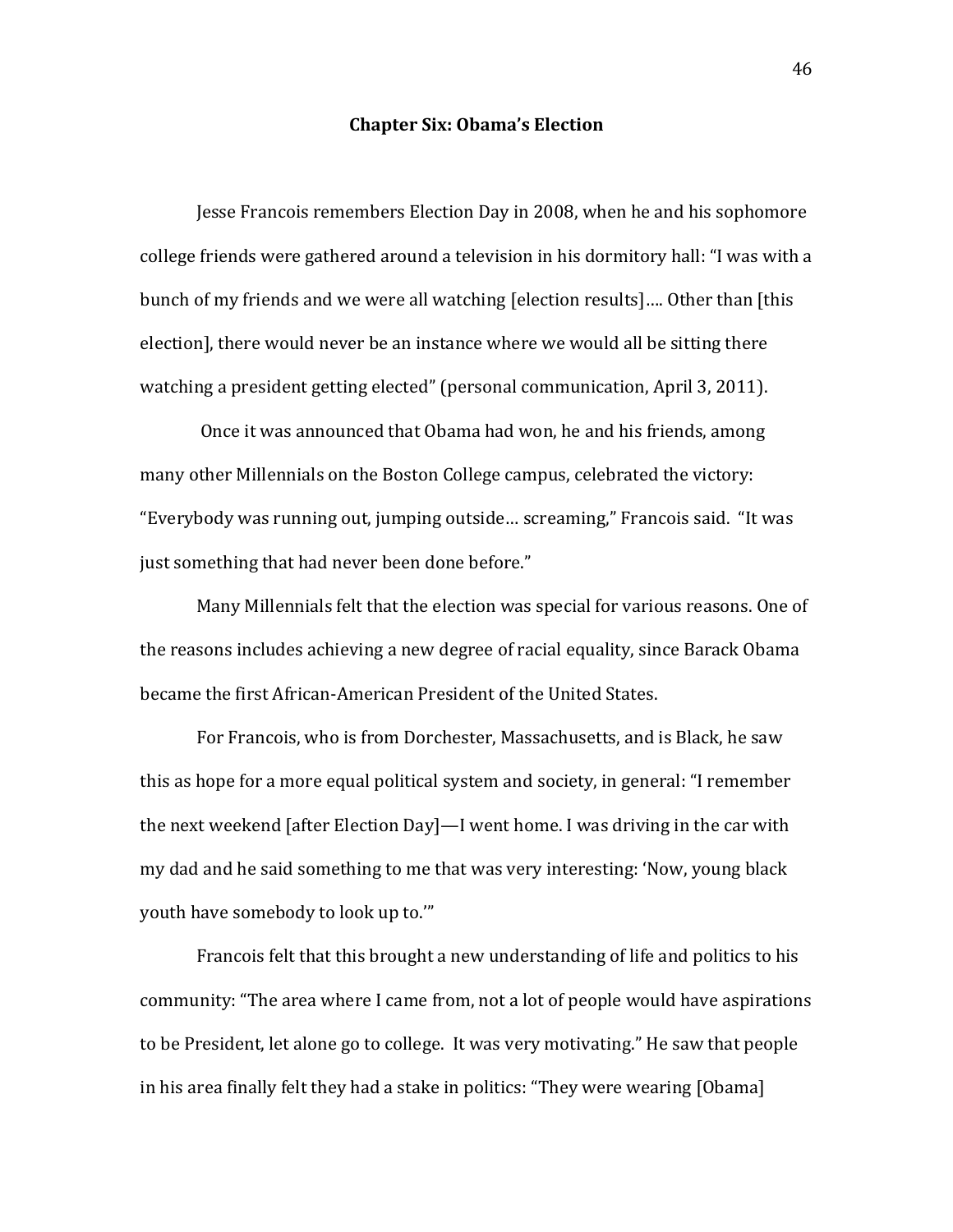## **Chapter Six: Obama's Election**

Jesse Francois remembers Election Day in 2008, when he and his sophomore college friends were gathered around a television in his dormitory hall: "I was with a bunch of my friends and we were all watching [election results].... Other than [this] election], there would never be an instance where we would all be sitting there watching a president getting elected" (personal communication, April 3, 2011).

Once it was announced that Obama had won, he and his friends, among many other Millennials on the Boston College campus, celebrated the victory: "Everybody was running out, jumping outside... screaming," Francois said. "It was just something that had never been done before."

Many Millennials felt that the election was special for various reasons. One of the reasons includes achieving a new degree of racial equality, since Barack Obama became the first African-American President of the United States.

For Francois, who is from Dorchester, Massachusetts, and is Black, he saw this as hope for a more equal political system and society, in general: "I remember the next weekend [after Election Day]—I went home. I was driving in the car with my dad and he said something to me that was very interesting: 'Now, young black youth have somebody to look up to."

Francois felt that this brought a new understanding of life and politics to his community: "The area where I came from, not a lot of people would have aspirations to be President, let alone go to college. It was very motivating." He saw that people in his area finally felt they had a stake in politics: "They were wearing [Obama]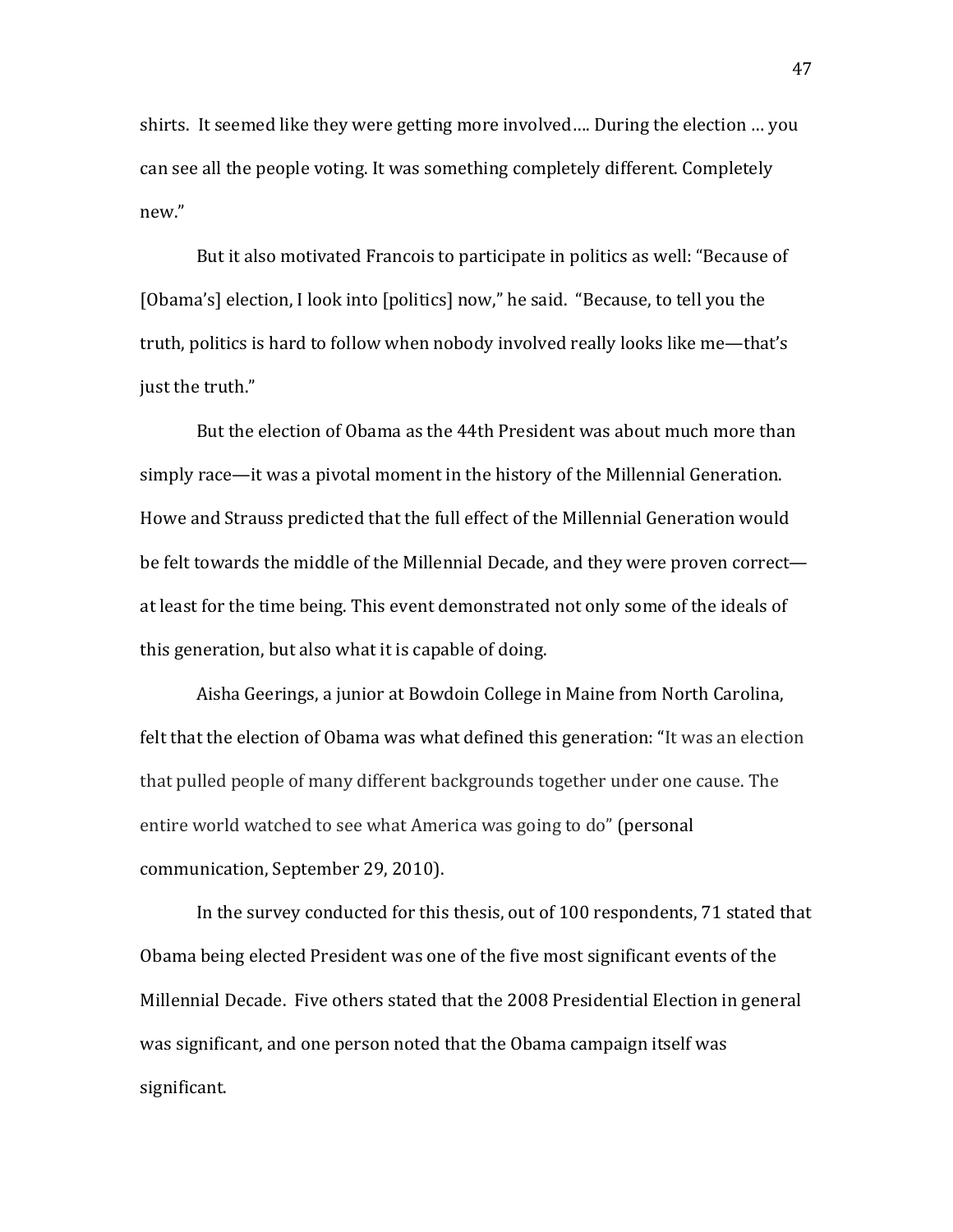shirts. It seemed like they were getting more involved.... During the election ... you can see all the people voting. It was something completely different. Completely new."

But it also motivated Francois to participate in politics as well: "Because of [Obama's] election, I look into [politics] now," he said. "Because, to tell you the truth, politics is hard to follow when nobody involved really looks like me—that's just the truth."

But the election of Obama as the 44th President was about much more than simply race—it was a pivotal moment in the history of the Millennial Generation. Howe and Strauss predicted that the full effect of the Millennial Generation would be felt towards the middle of the Millennial Decade, and they were proven correct at least for the time being. This event demonstrated not only some of the ideals of this generation, but also what it is capable of doing.

Aisha Geerings, a junior at Bowdoin College in Maine from North Carolina, felt that the election of Obama was what defined this generation: "It was an election that pulled people of many different backgrounds together under one cause. The entire world watched to see what America was going to do" (personal communication, September 29, 2010).

In the survey conducted for this thesis, out of 100 respondents, 71 stated that Obama being elected President was one of the five most significant events of the Millennial Decade. Five others stated that the 2008 Presidential Election in general was significant, and one person noted that the Obama campaign itself was significant.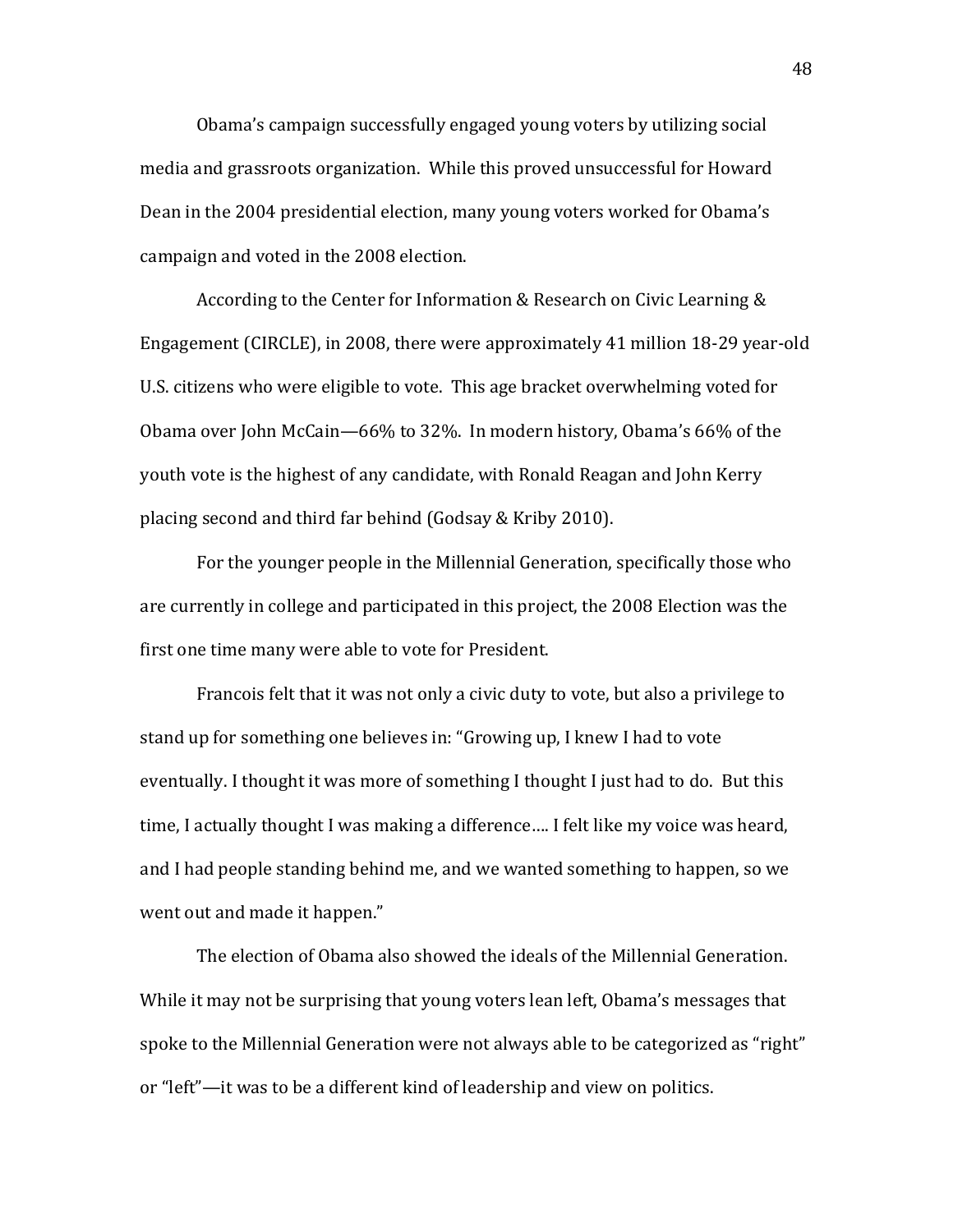Obama's campaign successfully engaged young voters by utilizing social media and grassroots organization. While this proved unsuccessful for Howard Dean in the 2004 presidential election, many young voters worked for Obama's campaign and voted in the 2008 election.

According to the Center for Information & Research on Civic Learning & Engagement (CIRCLE), in 2008, there were approximately 41 million 18-29 year-old U.S. citizens who were eligible to vote. This age bracket overwhelming voted for Obama over John McCain—66% to 32%. In modern history, Obama's  $66\%$  of the youth vote is the highest of any candidate, with Ronald Reagan and John Kerry placing second and third far behind (Godsay & Kriby 2010).

For the younger people in the Millennial Generation, specifically those who are currently in college and participated in this project, the 2008 Election was the first one time many were able to vote for President.

Francois felt that it was not only a civic duty to vote, but also a privilege to stand up for something one believes in: "Growing up, I knew I had to vote eventually. I thought it was more of something I thought I just had to do. But this time, I actually thought I was making a difference.... I felt like my voice was heard, and I had people standing behind me, and we wanted something to happen, so we went out and made it happen."

The election of Obama also showed the ideals of the Millennial Generation. While it may not be surprising that young voters lean left, Obama's messages that spoke to the Millennial Generation were not always able to be categorized as "right" or "left"—it was to be a different kind of leadership and view on politics.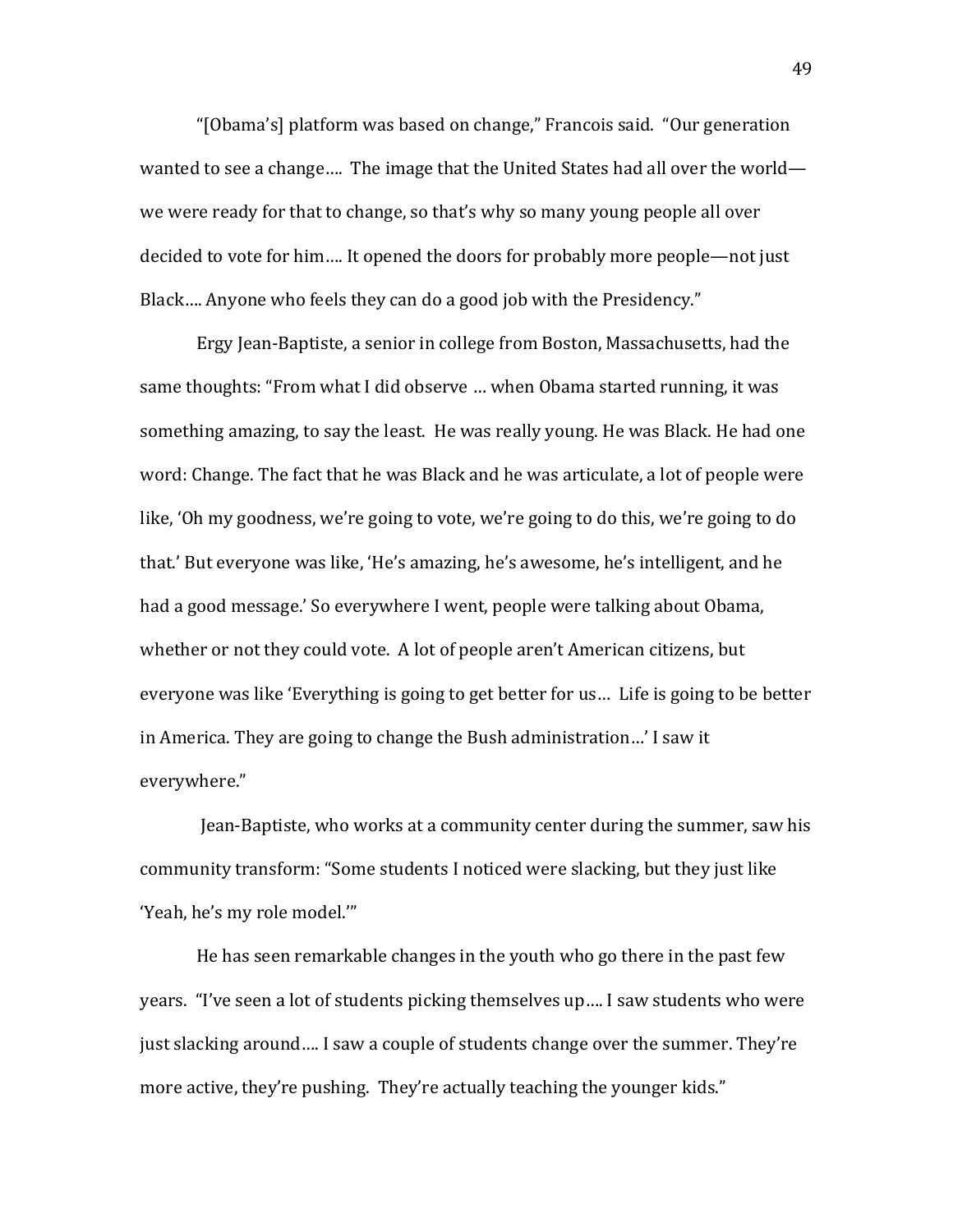"[Obama's] platform was based on change," Francois said. "Our generation" wanted to see a change.... The image that the United States had all over the world we were ready for that to change, so that's why so many young people all over decided to vote for him.... It opened the doors for probably more people—not just Black.... Anyone who feels they can do a good job with the Presidency."

Ergy Jean-Baptiste, a senior in college from Boston, Massachusetts, had the same thoughts: "From what I did observe ... when Obama started running, it was something amazing, to say the least. He was really young. He was Black. He had one word: Change. The fact that he was Black and he was articulate, a lot of people were like, 'Oh my goodness, we're going to vote, we're going to do this, we're going to do that.' But everyone was like, 'He's amazing, he's awesome, he's intelligent, and he had a good message.' So everywhere I went, people were talking about Obama, whether or not they could vote. A lot of people aren't American citizens, but everyone was like 'Everything is going to get better for us... Life is going to be better in America. They are going to change the Bush administration…' I saw it everywhere."

Jean-Baptiste, who works at a community center during the summer, saw his community transform: "Some students I noticed were slacking, but they just like 'Yeah, he's my role model.""

He has seen remarkable changes in the youth who go there in the past few years. "I've seen a lot of students picking themselves up.... I saw students who were just slacking around.... I saw a couple of students change over the summer. They're more active, they're pushing. They're actually teaching the younger kids."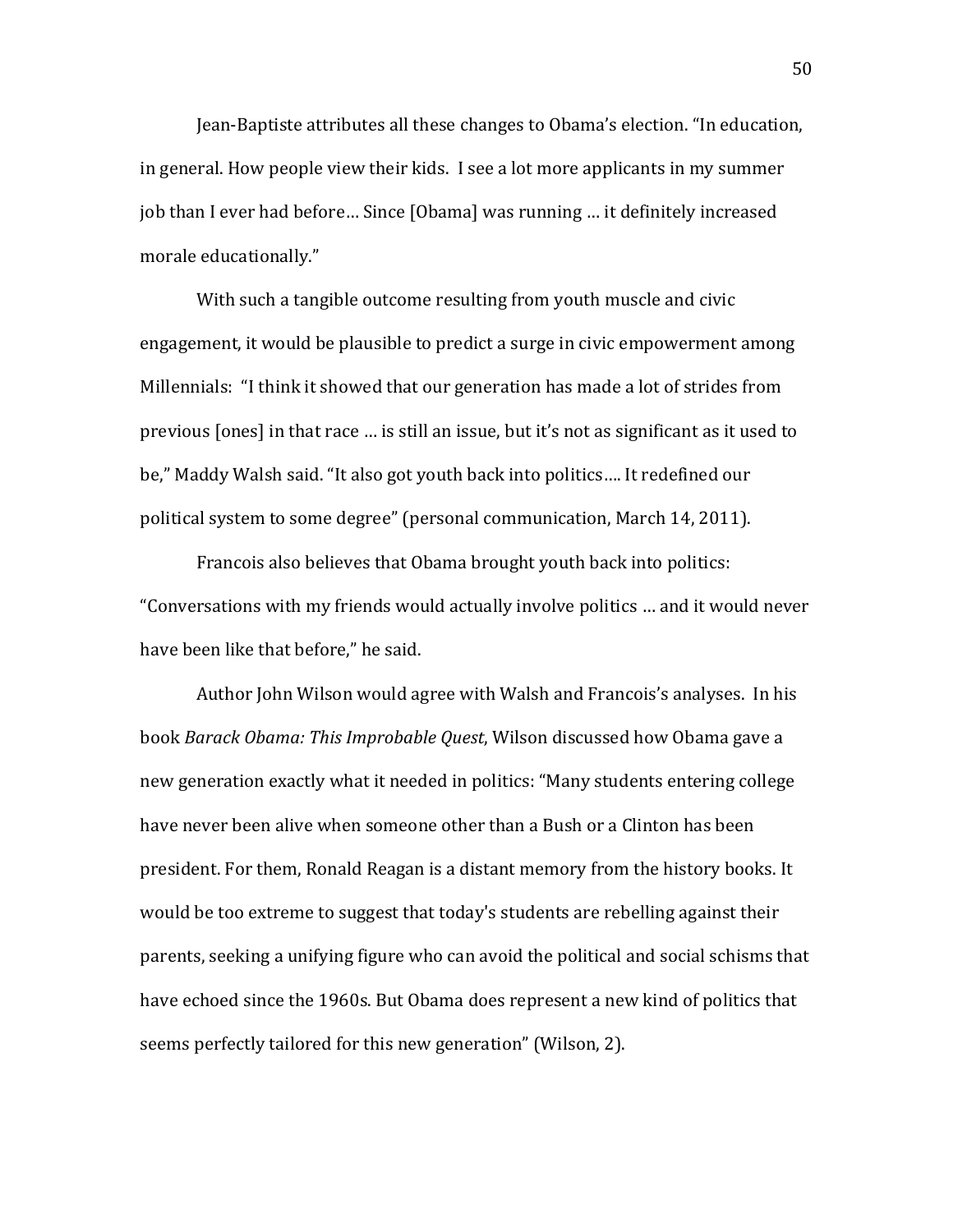Jean-Baptiste attributes all these changes to Obama's election. "In education, in general. How people view their kids. I see a lot more applicants in my summer job than I ever had before... Since [Obama] was running ... it definitely increased morale educationally."

With such a tangible outcome resulting from youth muscle and civic engagement, it would be plausible to predict a surge in civic empowerment among Millennials: "I think it showed that our generation has made a lot of strides from previous [ones] in that race ... is still an issue, but it's not as significant as it used to be," Maddy Walsh said. "It also got youth back into politics.... It redefined our political system to some degree" (personal communication, March 14, 2011).

Francois also believes that Obama brought youth back into politics: "Conversations with my friends would actually involve politics ... and it would never have been like that before," he said.

Author John Wilson would agree with Walsh and Francois's analyses. In his book *Barack Obama: This Improbable Quest*, Wilson discussed how Obama gave a new generation exactly what it needed in politics: "Many students entering college have never been alive when someone other than a Bush or a Clinton has been president. For them, Ronald Reagan is a distant memory from the history books. It would be too extreme to suggest that today's students are rebelling against their parents, seeking a unifying figure who can avoid the political and social schisms that have echoed since the 1960s. But Obama does represent a new kind of politics that seems perfectly tailored for this new generation" (Wilson, 2).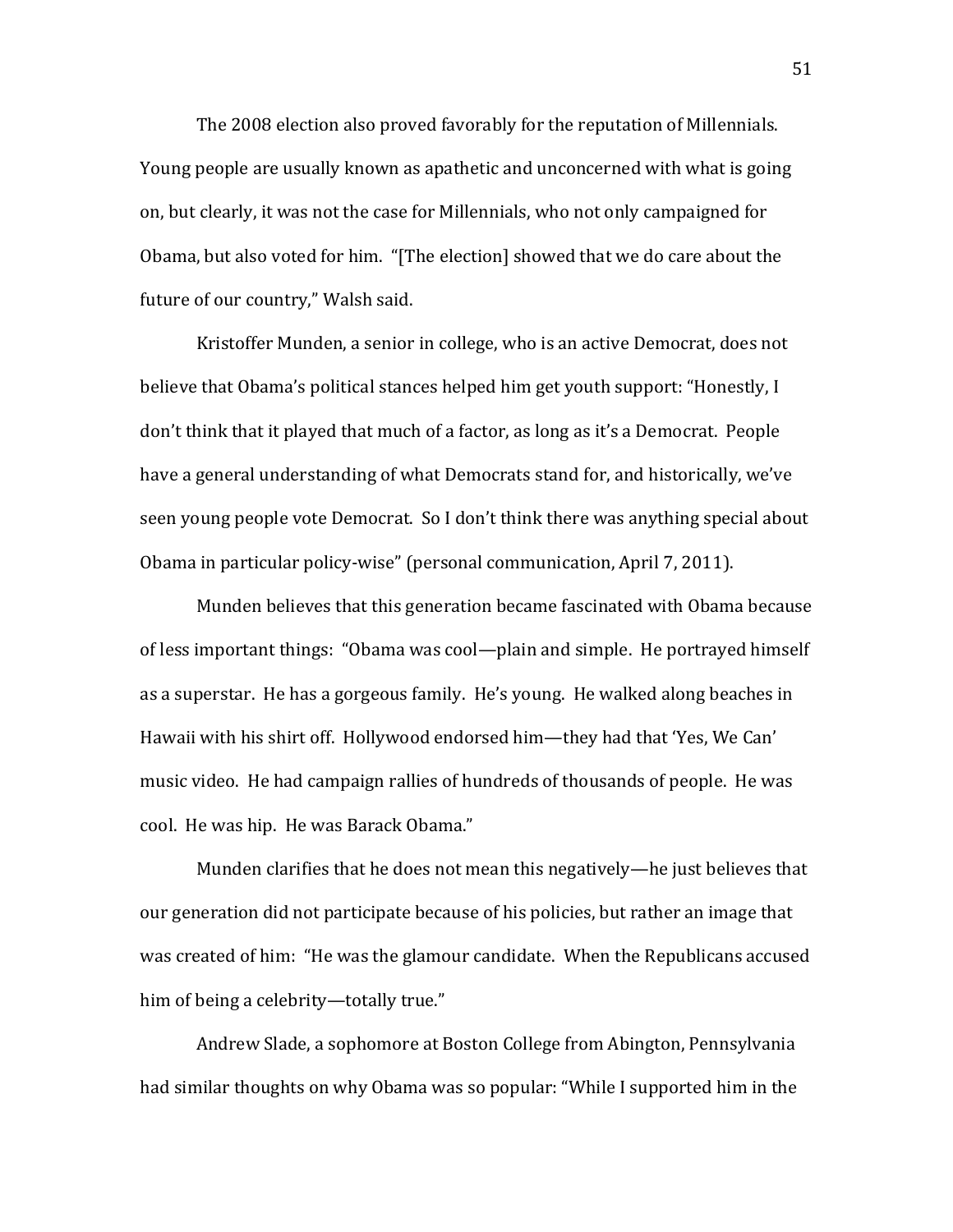The 2008 election also proved favorably for the reputation of Millennials. Young people are usually known as apathetic and unconcerned with what is going on, but clearly, it was not the case for Millennials, who not only campaigned for Obama, but also voted for him. "[The election] showed that we do care about the future of our country," Walsh said.

Kristoffer Munden, a senior in college, who is an active Democrat, does not believe that Obama's political stances helped him get youth support: "Honestly, I don't think that it played that much of a factor, as long as it's a Democrat. People have a general understanding of what Democrats stand for, and historically, we've seen young people vote Democrat. So I don't think there was anything special about Obama in particular policy-wise" (personal communication, April 7, 2011).

Munden believes that this generation became fascinated with Obama because of less important things: "Obama was cool—plain and simple. He portrayed himself as a superstar. He has a gorgeous family. He's young. He walked along beaches in Hawaii with his shirt off. Hollywood endorsed him—they had that 'Yes, We Can' music video. He had campaign rallies of hundreds of thousands of people. He was cool. He was hip. He was Barack Obama."

Munden clarifies that he does not mean this negatively—he just believes that our generation did not participate because of his policies, but rather an image that was created of him: "He was the glamour candidate. When the Republicans accused him of being a celebrity—totally true."

Andrew Slade, a sophomore at Boston College from Abington, Pennsylvania had similar thoughts on why Obama was so popular: "While I supported him in the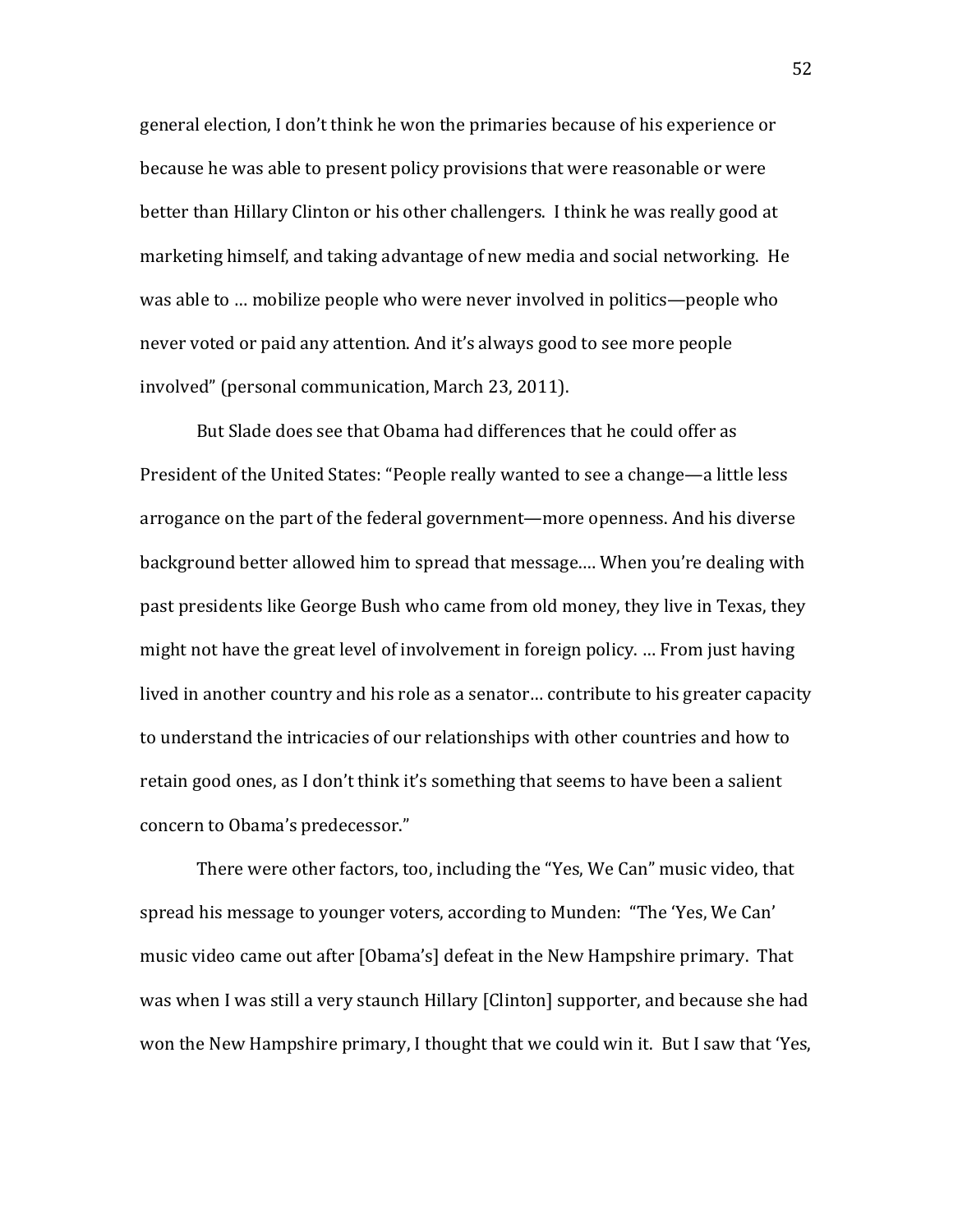general election, I don't think he won the primaries because of his experience or because he was able to present policy provisions that were reasonable or were better than Hillary Clinton or his other challengers. I think he was really good at marketing himself, and taking advantage of new media and social networking. He was able to … mobilize people who were never involved in politics—people who never voted or paid any attention. And it's always good to see more people involved" (personal communication, March 23, 2011).

But Slade does see that Obama had differences that he could offer as President of the United States: "People really wanted to see a change—a little less arrogance on the part of the federal government—more openness. And his diverse background better allowed him to spread that message.... When you're dealing with past presidents like George Bush who came from old money, they live in Texas, they might not have the great level of involvement in foreign policy. … From just having lived in another country and his role as a senator... contribute to his greater capacity to understand the intricacies of our relationships with other countries and how to retain good ones, as I don't think it's something that seems to have been a salient concern to Obama's predecessor."

There were other factors, too, including the "Yes, We Can" music video, that spread his message to younger voters, according to Munden: "The 'Yes, We Can' music video came out after [Obama's] defeat in the New Hampshire primary. That was when I was still a very staunch Hillary [Clinton] supporter, and because she had won the New Hampshire primary, I thought that we could win it. But I saw that 'Yes,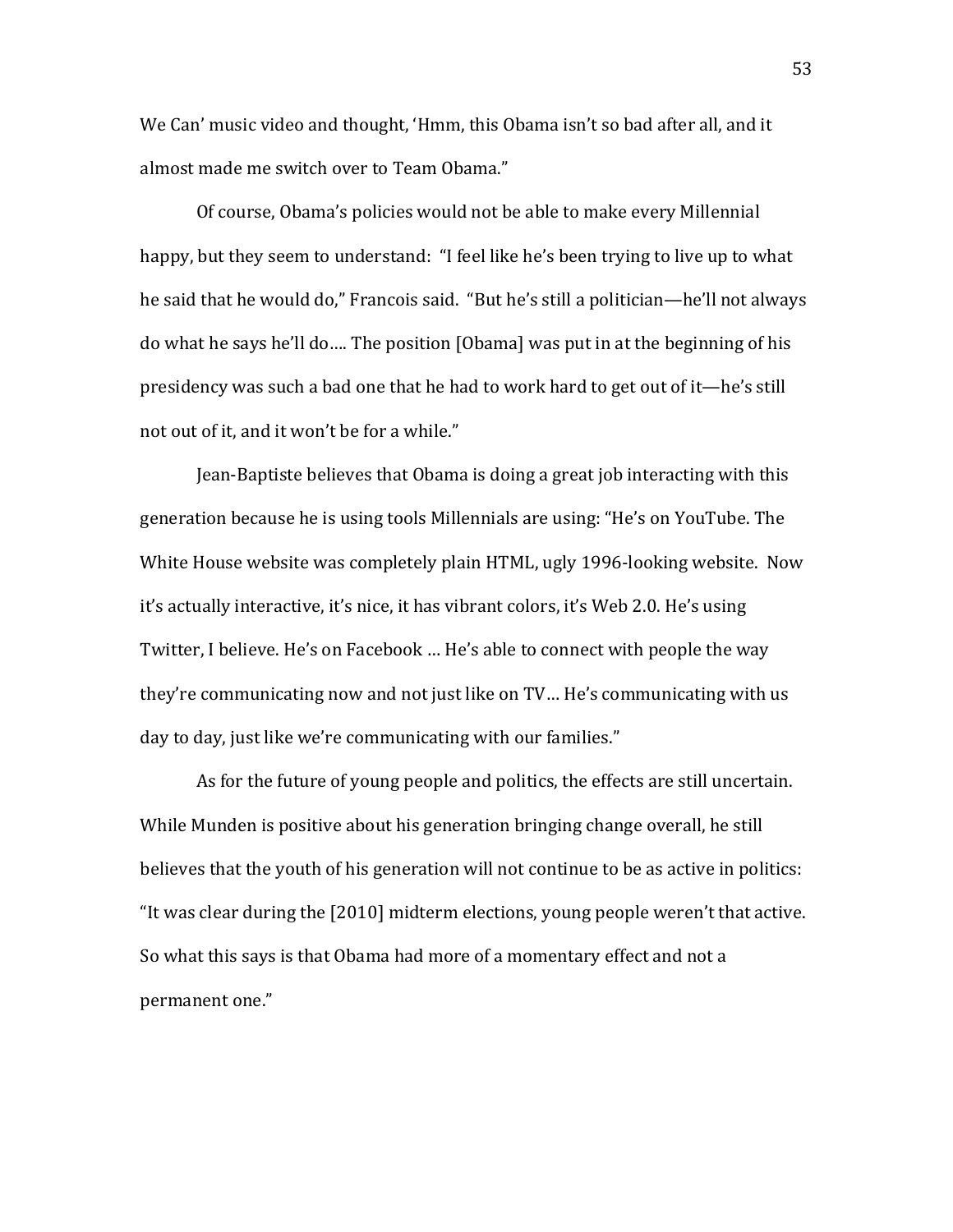We Can' music video and thought, 'Hmm, this Obama isn't so bad after all, and it almost made me switch over to Team Obama."

Of course, Obama's policies would not be able to make every Millennial happy, but they seem to understand: "I feel like he's been trying to live up to what he said that he would do," Francois said. "But he's still a politician—he'll not always do what he says he'll do…. The position [Obama] was put in at the beginning of his presidency was such a bad one that he had to work hard to get out of it—he's still not out of it, and it won't be for a while."

Jean-Baptiste believes that Obama is doing a great job interacting with this generation because he is using tools Millennials are using: "He's on YouTube. The White House website was completely plain HTML, ugly 1996-looking website. Now it's actually interactive, it's nice, it has vibrant colors, it's Web 2.0. He's using Twitter, I believe. He's on Facebook ... He's able to connect with people the way they're communicating now and not just like on TV... He's communicating with us day to day, just like we're communicating with our families."

As for the future of young people and politics, the effects are still uncertain. While Munden is positive about his generation bringing change overall, he still believes that the youth of his generation will not continue to be as active in politics: "It was clear during the  $[2010]$  midterm elections, young people weren't that active. So what this says is that Obama had more of a momentary effect and not a permanent one."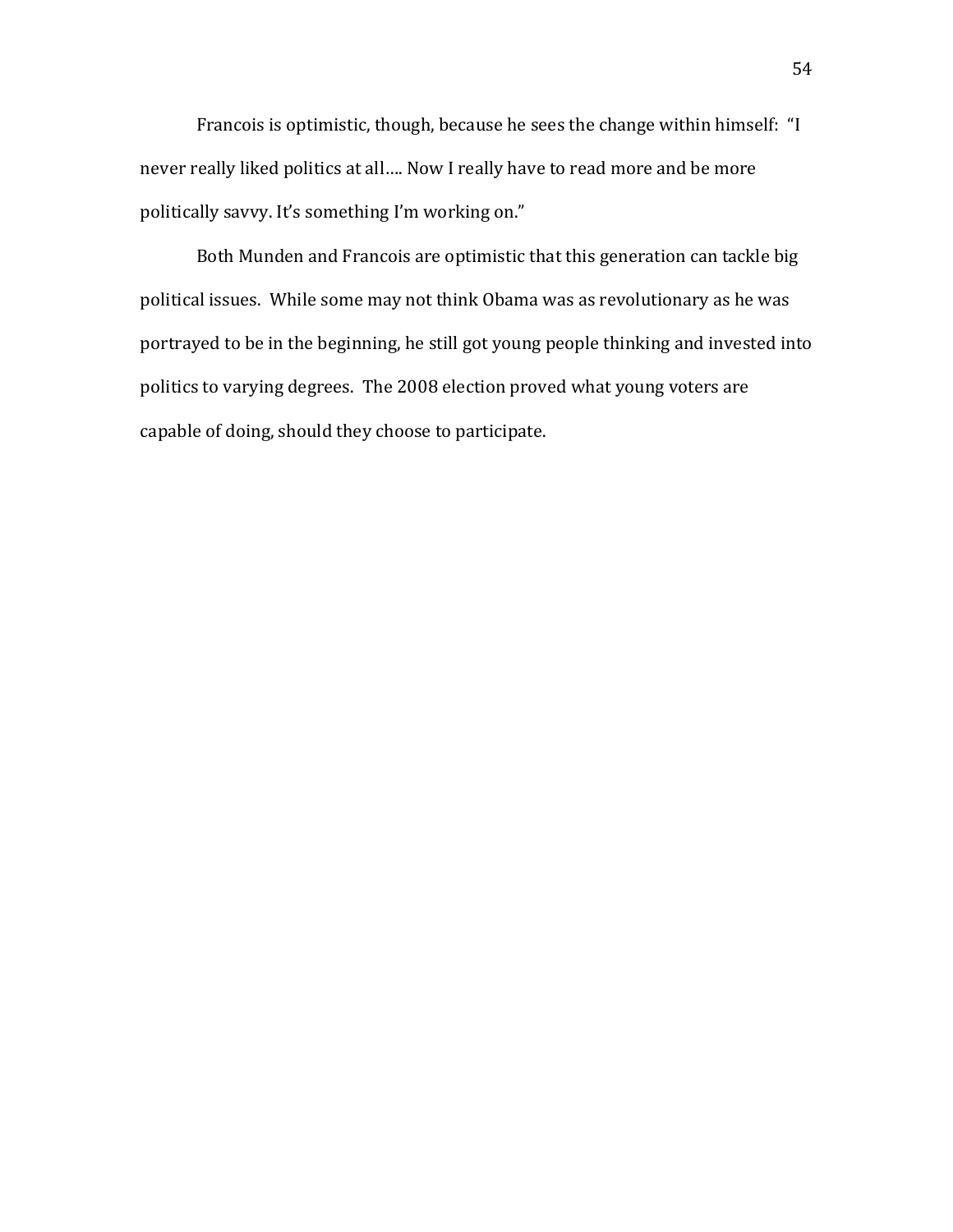Francois is optimistic, though, because he sees the change within himself: "I never really liked politics at all.... Now I really have to read more and be more politically savvy. It's something I'm working on."

Both Munden and Francois are optimistic that this generation can tackle big political issues. While some may not think Obama was as revolutionary as he was portrayed to be in the beginning, he still got young people thinking and invested into politics to varying degrees. The 2008 election proved what young voters are capable of doing, should they choose to participate.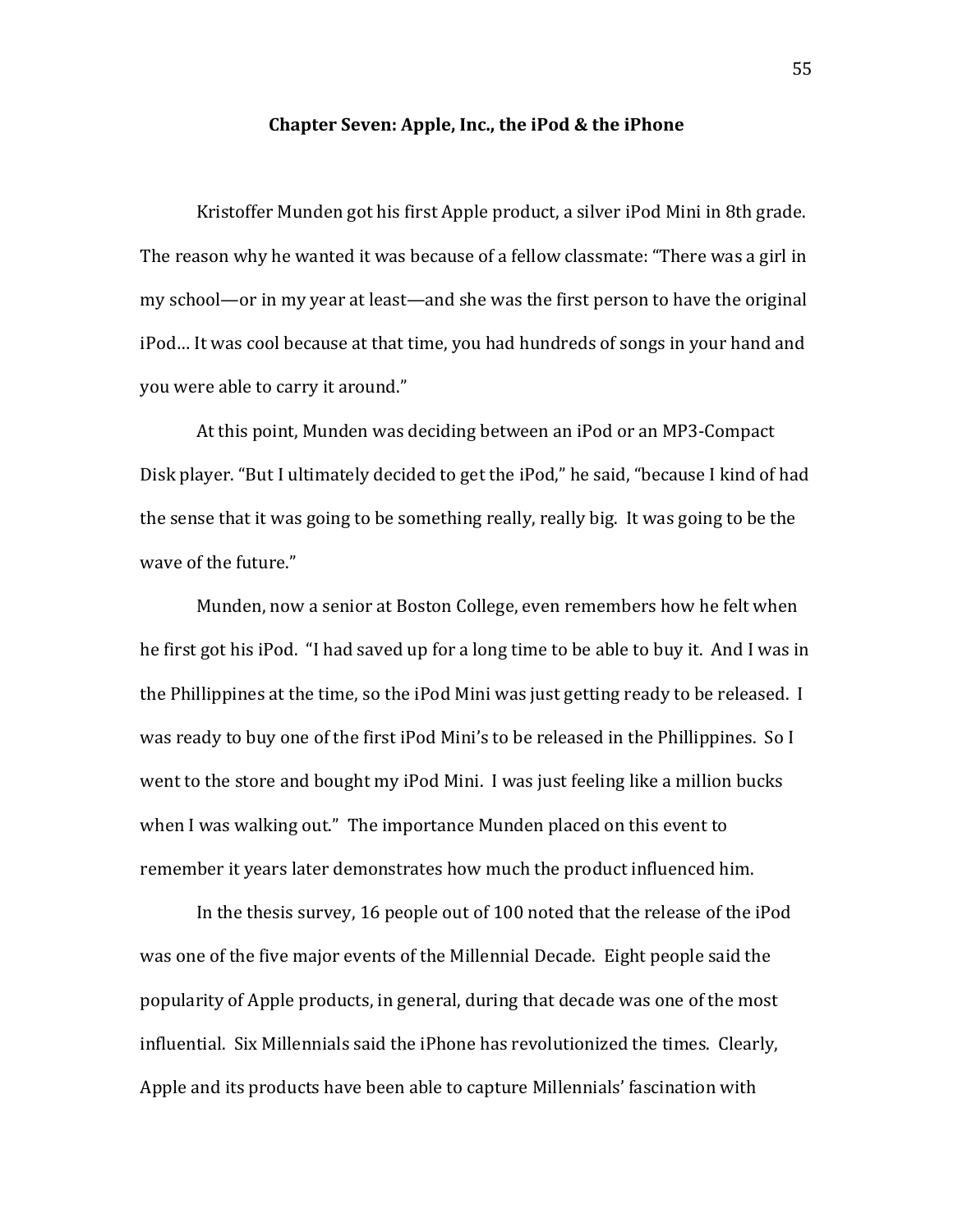## **Chapter Seven: Apple, Inc., the iPod & the iPhone**

Kristoffer Munden got his first Apple product, a silver iPod Mini in 8th grade. The reason why he wanted it was because of a fellow classmate: "There was a girl in my school—or in my year at least—and she was the first person to have the original iPod... It was cool because at that time, you had hundreds of songs in your hand and you were able to carry it around."

At this point, Munden was deciding between an iPod or an MP3-Compact Disk player. "But I ultimately decided to get the iPod," he said, "because I kind of had the sense that it was going to be something really, really big. It was going to be the wave of the future."

Munden, now a senior at Boston College, even remembers how he felt when he first got his iPod. "I had saved up for a long time to be able to buy it. And I was in the Phillippines at the time, so the iPod Mini was just getting ready to be released. I was ready to buy one of the first iPod Mini's to be released in the Phillippines. So I went to the store and bought my iPod Mini. I was just feeling like a million bucks when I was walking out." The importance Munden placed on this event to remember it years later demonstrates how much the product influenced him.

In the thesis survey, 16 people out of 100 noted that the release of the iPod was one of the five major events of the Millennial Decade. Eight people said the popularity of Apple products, in general, during that decade was one of the most influential. Six Millennials said the iPhone has revolutionized the times. Clearly, Apple and its products have been able to capture Millennials' fascination with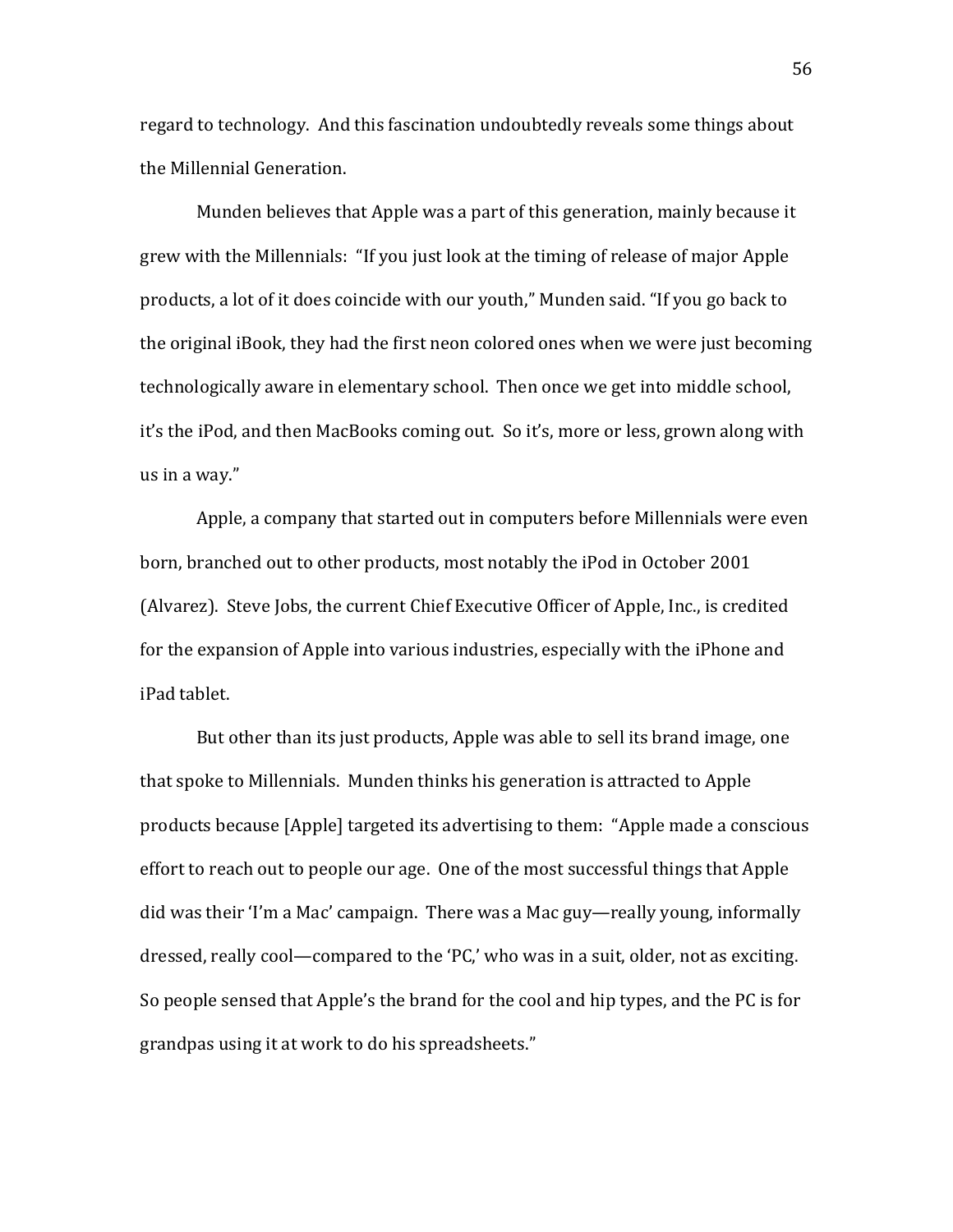regard to technology. And this fascination undoubtedly reveals some things about the Millennial Generation.

Munden believes that Apple was a part of this generation, mainly because it grew with the Millennials: "If you just look at the timing of release of major Apple products, a lot of it does coincide with our youth," Munden said. "If you go back to the original iBook, they had the first neon colored ones when we were just becoming technologically aware in elementary school. Then once we get into middle school, it's the iPod, and then MacBooks coming out. So it's, more or less, grown along with us in a way."

Apple, a company that started out in computers before Millennials were even born, branched out to other products, most notably the iPod in October 2001 (Alvarez). Steve Jobs, the current Chief Executive Officer of Apple, Inc., is credited for the expansion of Apple into various industries, especially with the iPhone and iPad tablet.

But other than its just products, Apple was able to sell its brand image, one that spoke to Millennials. Munden thinks his generation is attracted to Apple products because [Apple] targeted its advertising to them: "Apple made a conscious" effort to reach out to people our age. One of the most successful things that Apple did was their 'I'm a Mac' campaign. There was a Mac guy—really young, informally dressed, really cool—compared to the 'PC,' who was in a suit, older, not as exciting. So people sensed that Apple's the brand for the cool and hip types, and the PC is for grandpas using it at work to do his spreadsheets."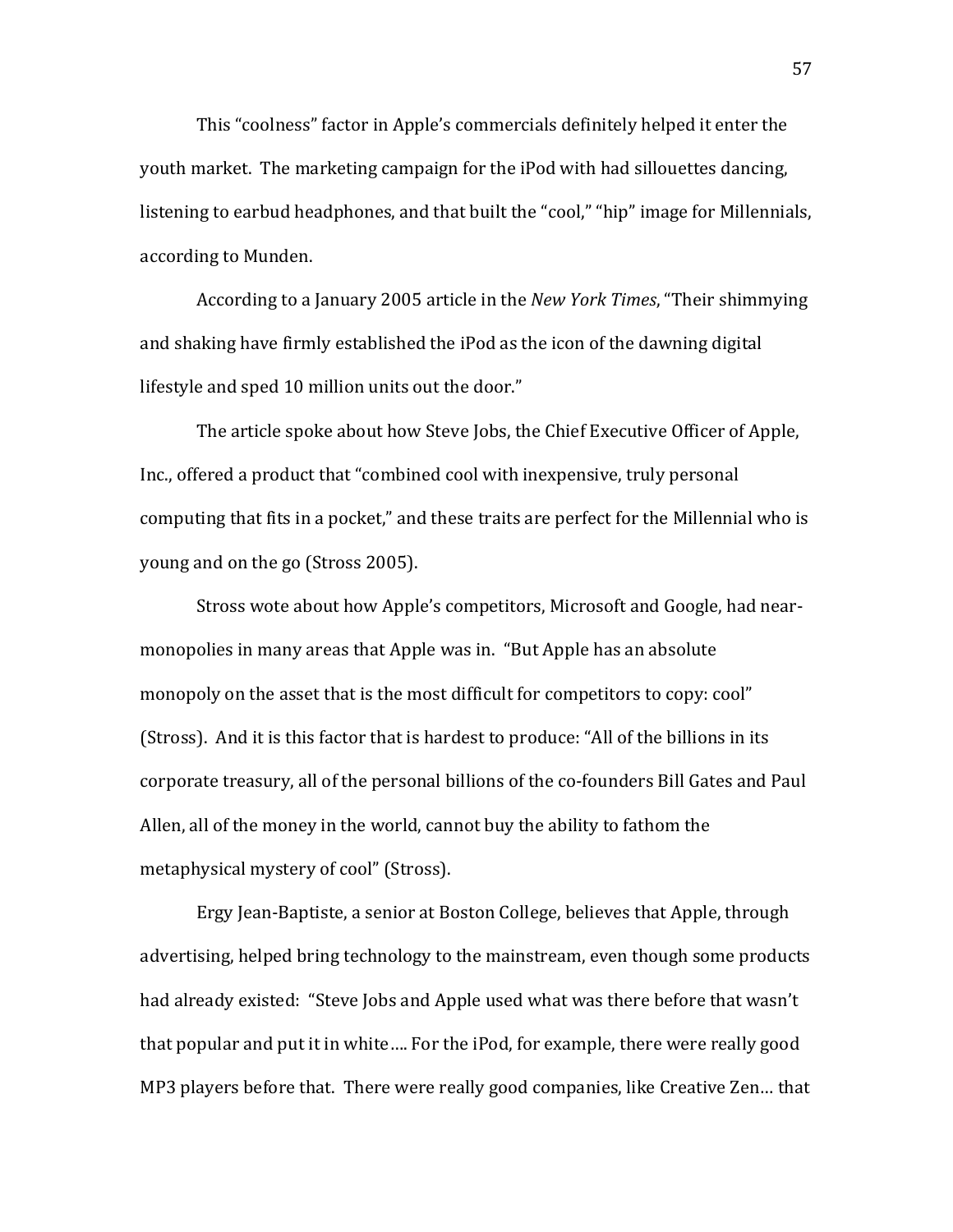This "coolness" factor in Apple's commercials definitely helped it enter the youth market. The marketing campaign for the iPod with had sillouettes dancing, listening to earbud headphones, and that built the "cool," "hip" image for Millennials, according to Munden.

According to a January 2005 article in the *New York Times*, "Their shimmying and shaking have firmly established the iPod as the icon of the dawning digital lifestyle and sped 10 million units out the door."

The article spoke about how Steve Jobs, the Chief Executive Officer of Apple. Inc., offered a product that "combined cool with inexpensive, truly personal computing that fits in a pocket," and these traits are perfect for the Millennial who is young and on the go (Stross 2005).

Stross wote about how Apple's competitors, Microsoft and Google, had nearmonopolies in many areas that Apple was in. "But Apple has an absolute monopoly on the asset that is the most difficult for competitors to copy: cool" (Stross). And it is this factor that is hardest to produce: "All of the billions in its corporate treasury, all of the personal billions of the co-founders Bill Gates and Paul Allen, all of the money in the world, cannot buy the ability to fathom the metaphysical mystery of cool" (Stross).

Ergy Jean-Baptiste, a senior at Boston College, believes that Apple, through advertising, helped bring technology to the mainstream, even though some products had already existed: "Steve Jobs and Apple used what was there before that wasn't that popular and put it in white.... For the iPod, for example, there were really good MP3 players before that. There were really good companies, like Creative Zen... that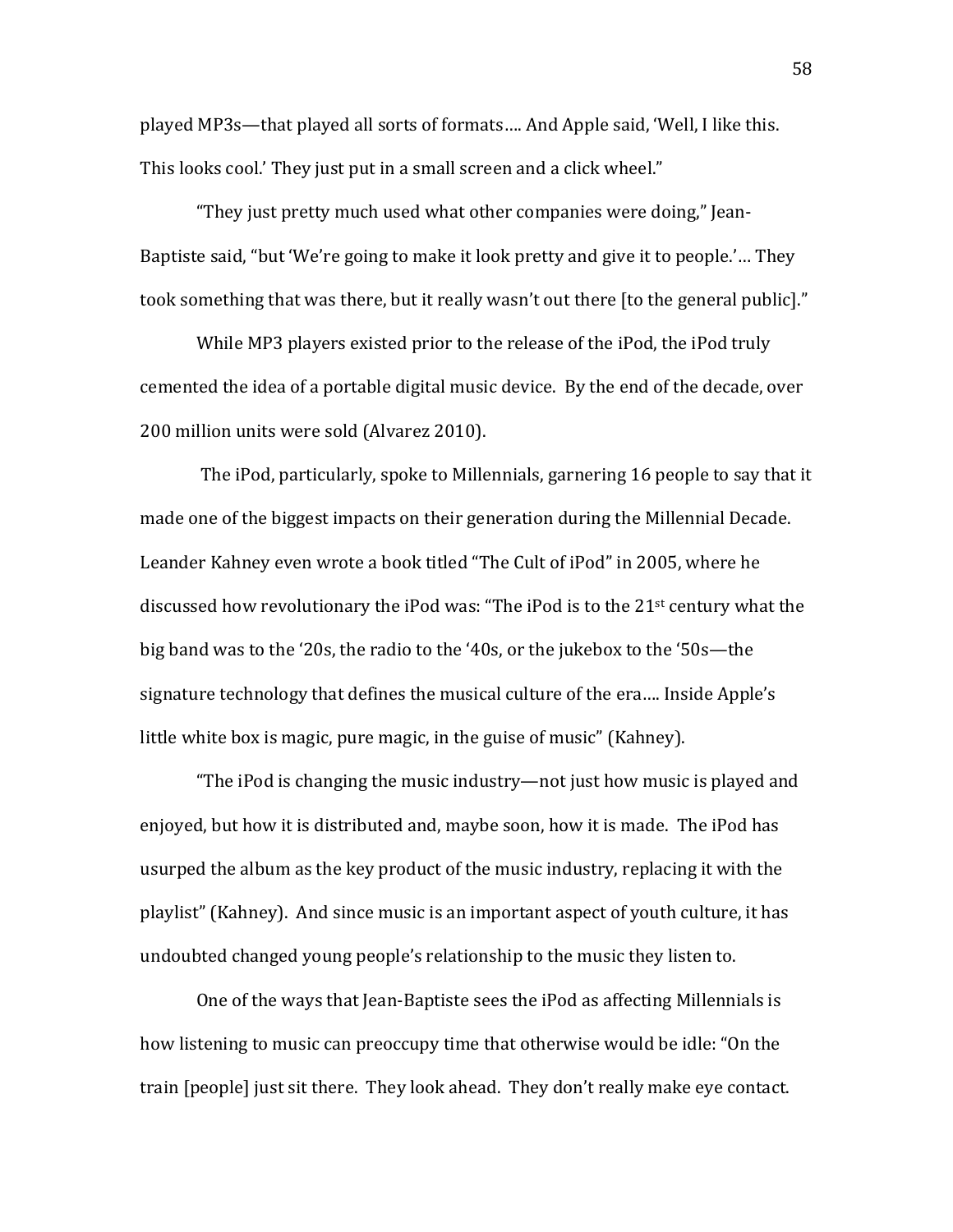played MP3s—that played all sorts of formats.... And Apple said, 'Well, I like this. This looks cool.' They just put in a small screen and a click wheel."

"They just pretty much used what other companies were doing," Jean-Baptiste said, "but 'We're going to make it look pretty and give it to people.'... They took something that was there, but it really wasn't out there [to the general public]."

While MP3 players existed prior to the release of the iPod, the iPod truly cemented the idea of a portable digital music device. By the end of the decade, over 200 million units were sold (Alvarez 2010).

The iPod, particularly, spoke to Millennials, garnering 16 people to say that it made one of the biggest impacts on their generation during the Millennial Decade. Leander Kahney even wrote a book titled "The Cult of iPod" in 2005, where he discussed how revolutionary the iPod was: "The iPod is to the 21<sup>st</sup> century what the big band was to the '20s, the radio to the '40s, or the jukebox to the '50s—the signature technology that defines the musical culture of the era.... Inside Apple's little white box is magic, pure magic, in the guise of music" (Kahney).

"The iPod is changing the music industry—not just how music is played and enjoyed, but how it is distributed and, maybe soon, how it is made. The iPod has usurped the album as the key product of the music industry, replacing it with the playlist" (Kahney). And since music is an important aspect of youth culture, it has undoubted changed young people's relationship to the music they listen to.

One of the ways that Jean-Baptiste sees the iPod as affecting Millennials is how listening to music can preoccupy time that otherwise would be idle: "On the train [people] just sit there. They look ahead. They don't really make eye contact.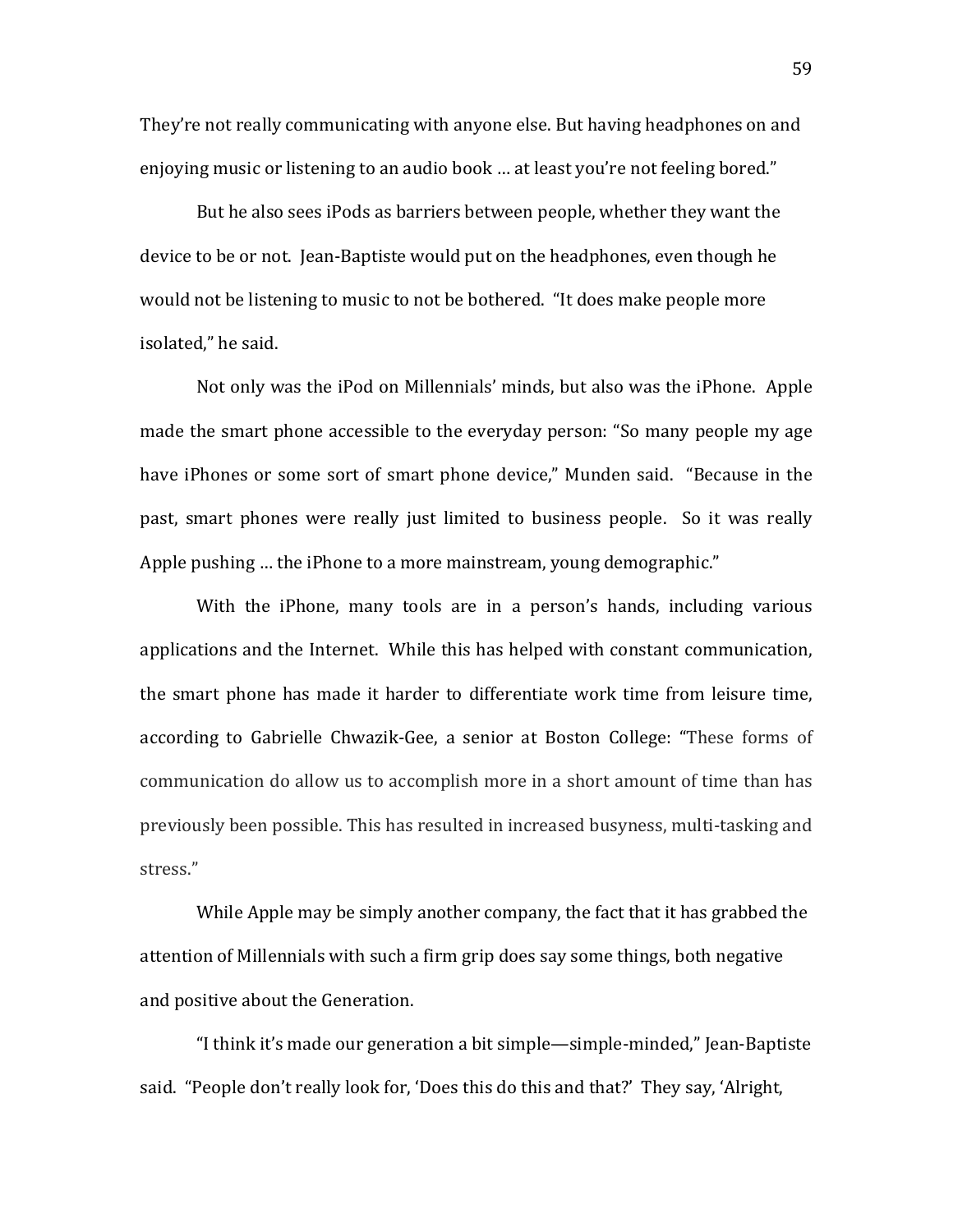They're not really communicating with anyone else. But having headphones on and enjoying music or listening to an audio book ... at least you're not feeling bored."

But he also sees iPods as barriers between people, whether they want the device to be or not. Jean-Baptiste would put on the headphones, even though he would not be listening to music to not be bothered. "It does make people more isolated," he said.

Not only was the iPod on Millennials' minds, but also was the iPhone. Apple made the smart phone accessible to the everyday person: "So many people my age have iPhones or some sort of smart phone device," Munden said. "Because in the past, smart phones were really just limited to business people. So it was really Apple pushing ... the iPhone to a more mainstream, young demographic."

With the iPhone, many tools are in a person's hands, including various applications and the Internet. While this has helped with constant communication, the smart phone has made it harder to differentiate work time from leisure time, according to Gabrielle Chwazik-Gee, a senior at Boston College: "These forms of communication do allow us to accomplish more in a short amount of time than has previously been possible. This has resulted in increased busyness, multi-tasking and stress."

While Apple may be simply another company, the fact that it has grabbed the attention of Millennials with such a firm grip does say some things, both negative and positive about the Generation.

"I think it's made our generation a bit simple—simple-minded," Jean-Baptiste said. "People don't really look for, 'Does this do this and that?' They say, 'Alright,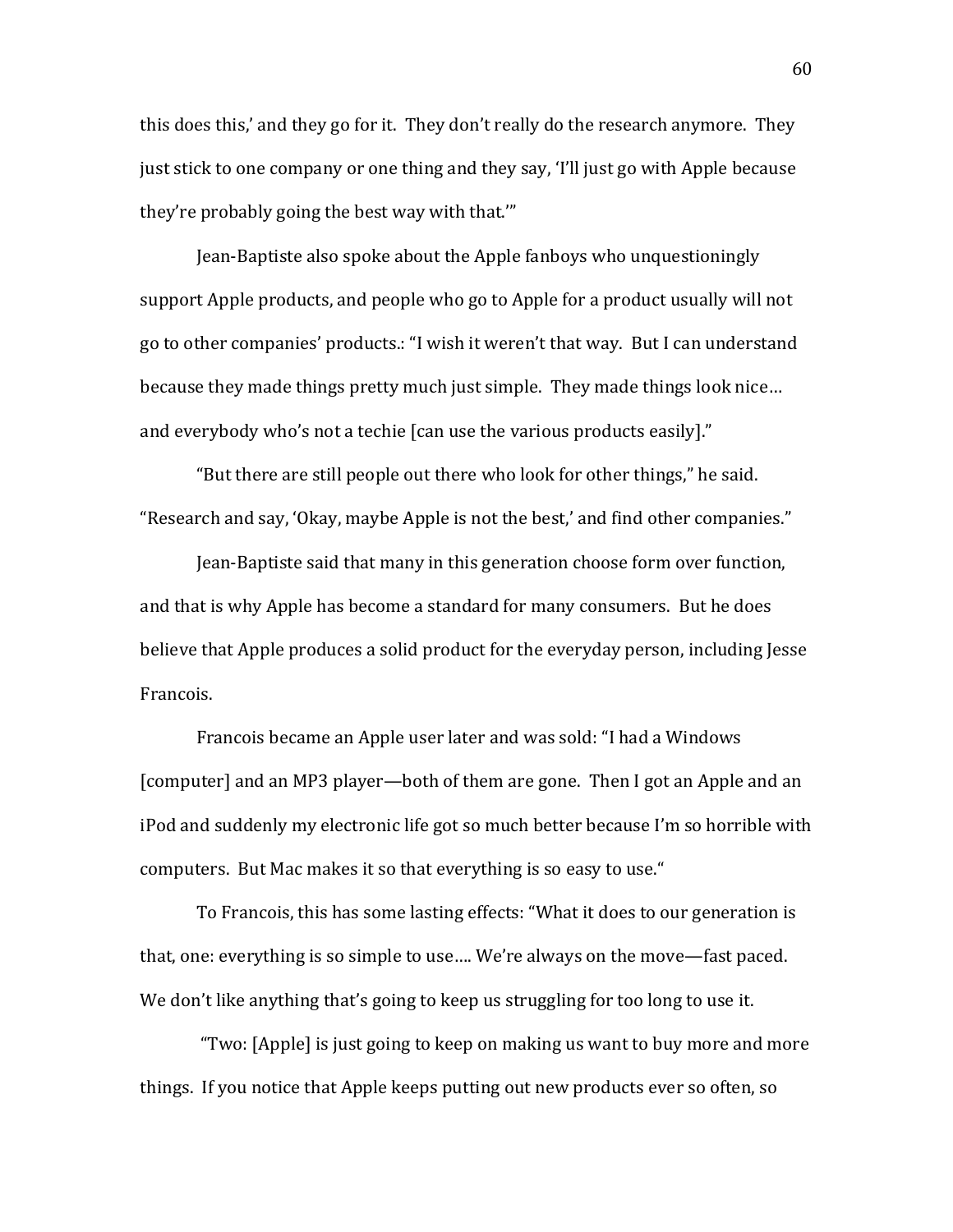this does this,' and they go for it. They don't really do the research anymore. They just stick to one company or one thing and they say, 'I'll just go with Apple because they're probably going the best way with that.""

Jean-Baptiste also spoke about the Apple fanboys who unquestioningly support Apple products, and people who go to Apple for a product usually will not go to other companies' products.: "I wish it weren't that way. But I can understand because they made things pretty much just simple. They made things look nice... and everybody who's not a techie [can use the various products easily]."

"But there are still people out there who look for other things," he said. "Research and say, 'Okay, maybe Apple is not the best,' and find other companies."

Jean-Baptiste said that many in this generation choose form over function, and that is why Apple has become a standard for many consumers. But he does believe that Apple produces a solid product for the everyday person, including Jesse Francois.

Francois became an Apple user later and was sold: "I had a Windows [computer] and an MP3 player—both of them are gone. Then I got an Apple and an iPod and suddenly my electronic life got so much better because I'm so horrible with computers. But Mac makes it so that everything is so easy to use."

To Francois, this has some lasting effects: "What it does to our generation is that, one: everything is so simple to use.... We're always on the move—fast paced. We don't like anything that's going to keep us struggling for too long to use it.

"Two: [Apple] is just going to keep on making us want to buy more and more things. If you notice that Apple keeps putting out new products ever so often, so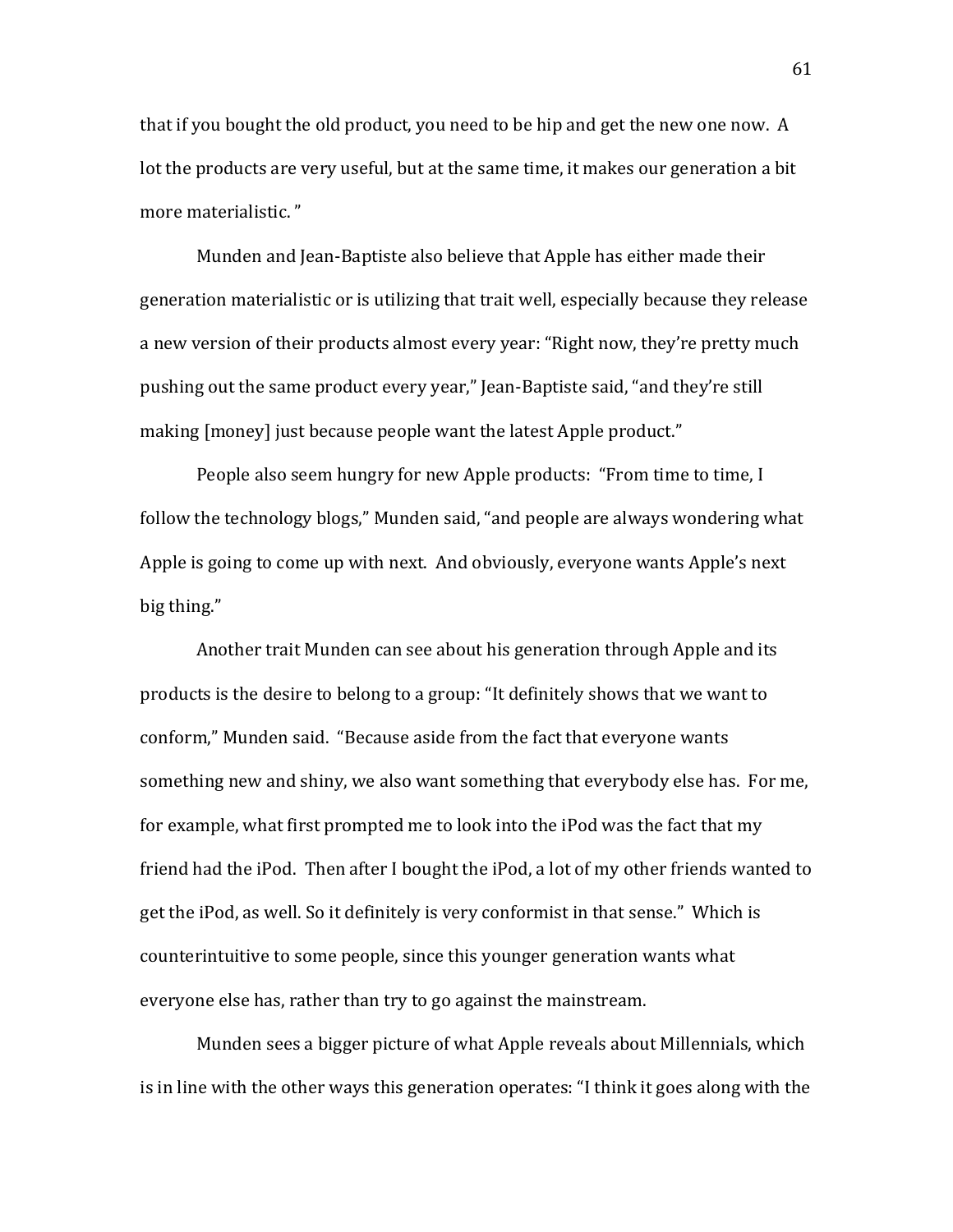that if you bought the old product, you need to be hip and get the new one now. A lot the products are very useful, but at the same time, it makes our generation a bit more materialistic."

Munden and Jean-Baptiste also believe that Apple has either made their generation materialistic or is utilizing that trait well, especially because they release a new version of their products almost every year: "Right now, they're pretty much pushing out the same product every year," Jean-Baptiste said, "and they're still making [money] just because people want the latest Apple product."

People also seem hungry for new Apple products: "From time to time, I follow the technology blogs," Munden said, "and people are always wondering what Apple is going to come up with next. And obviously, everyone wants Apple's next big thing."

Another trait Munden can see about his generation through Apple and its products is the desire to belong to a group: "It definitely shows that we want to conform," Munden said. "Because aside from the fact that everyone wants something new and shiny, we also want something that everybody else has. For me, for example, what first prompted me to look into the iPod was the fact that my friend had the iPod. Then after I bought the iPod, a lot of my other friends wanted to get the iPod, as well. So it definitely is very conformist in that sense." Which is counterintuitive to some people, since this younger generation wants what everyone else has, rather than try to go against the mainstream.

Munden sees a bigger picture of what Apple reveals about Millennials, which is in line with the other ways this generation operates: "I think it goes along with the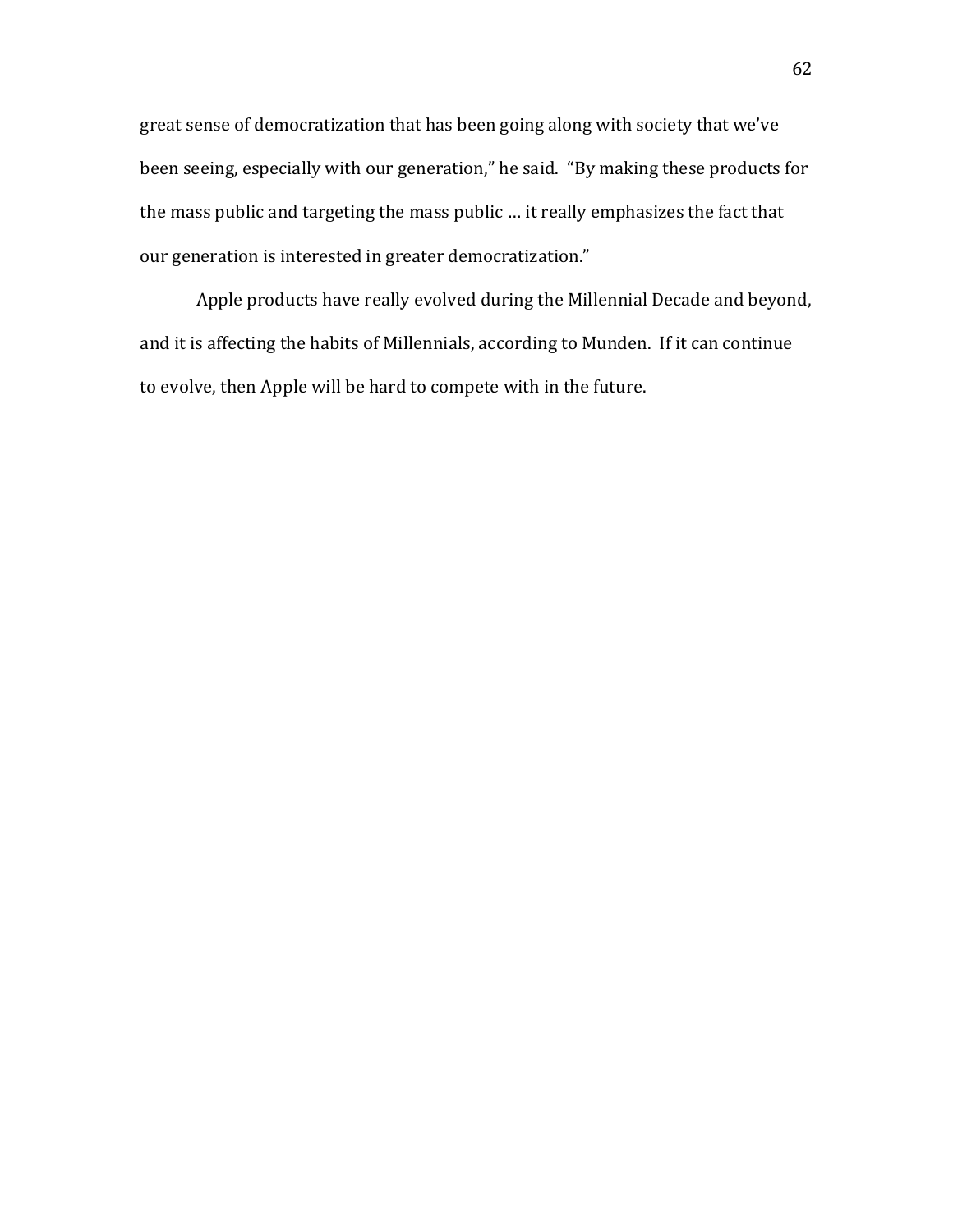great sense of democratization that has been going along with society that we've been seeing, especially with our generation," he said. "By making these products for the mass public and targeting the mass public ... it really emphasizes the fact that our generation is interested in greater democratization."

Apple products have really evolved during the Millennial Decade and beyond, and it is affecting the habits of Millennials, according to Munden. If it can continue to evolve, then Apple will be hard to compete with in the future.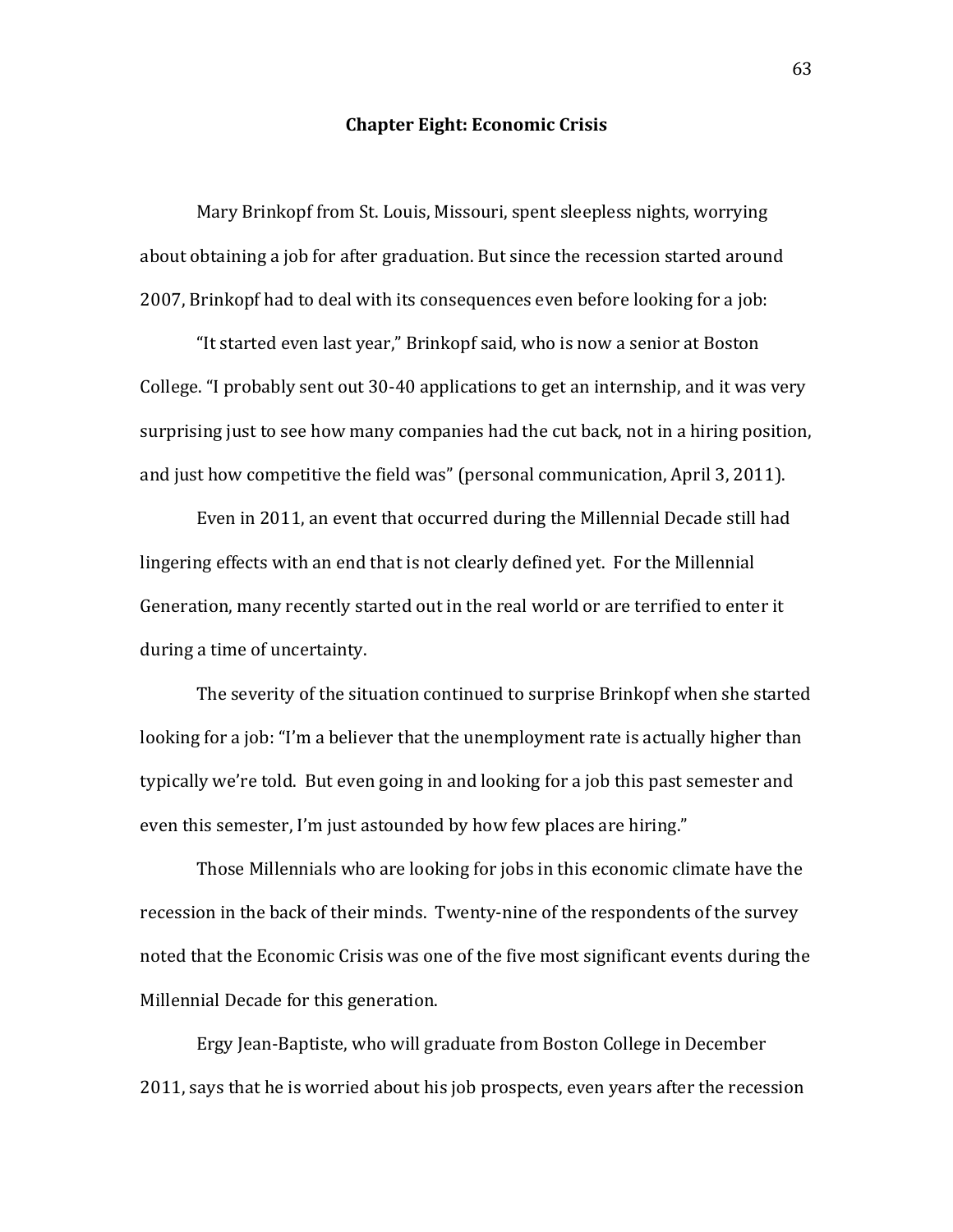## **Chapter Eight: Economic Crisis**

Mary Brinkopf from St. Louis, Missouri, spent sleepless nights, worrying about obtaining a job for after graduation. But since the recession started around 2007, Brinkopf had to deal with its consequences even before looking for a job:

"It started even last year," Brinkopf said, who is now a senior at Boston College. "I probably sent out 30-40 applications to get an internship, and it was very surprising just to see how many companies had the cut back, not in a hiring position, and just how competitive the field was" (personal communication, April 3, 2011).

Even in 2011, an event that occurred during the Millennial Decade still had lingering effects with an end that is not clearly defined yet. For the Millennial Generation, many recently started out in the real world or are terrified to enter it during a time of uncertainty.

The severity of the situation continued to surprise Brinkopf when she started looking for a job: "I'm a believer that the unemployment rate is actually higher than typically we're told. But even going in and looking for a job this past semester and even this semester, I'm just astounded by how few places are hiring."

Those Millennials who are looking for jobs in this economic climate have the recession in the back of their minds. Twenty-nine of the respondents of the survey noted that the Economic Crisis was one of the five most significant events during the Millennial Decade for this generation.

Ergy Jean-Baptiste, who will graduate from Boston College in December 2011, says that he is worried about his job prospects, even years after the recession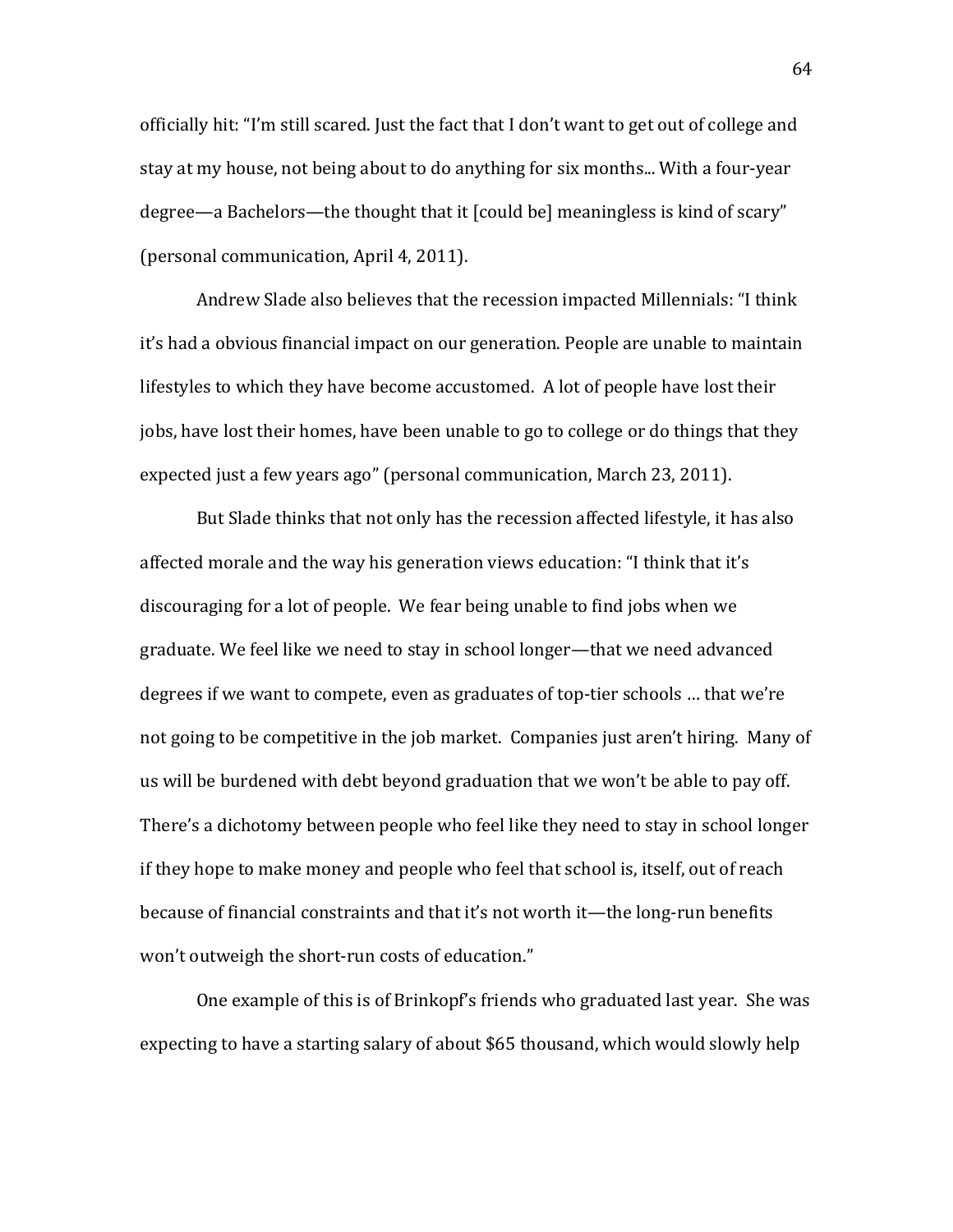officially hit: "I'm still scared. Just the fact that I don't want to get out of college and stay at my house, not being about to do anything for six months... With a four-year degree—a Bachelors—the thought that it [could be] meaningless is kind of scary" (personal communication, April 4, 2011).

Andrew Slade also believes that the recession impacted Millennials: "I think it's had a obvious financial impact on our generation. People are unable to maintain lifestyles to which they have become accustomed. A lot of people have lost their jobs, have lost their homes, have been unable to go to college or do things that they expected just a few years ago" (personal communication, March 23, 2011).

But Slade thinks that not only has the recession affected lifestyle, it has also affected morale and the way his generation views education: "I think that it's discouraging for a lot of people. We fear being unable to find jobs when we graduate. We feel like we need to stay in school longer—that we need advanced degrees if we want to compete, even as graduates of top-tier schools ... that we're not going to be competitive in the job market. Companies just aren't hiring. Many of us will be burdened with debt beyond graduation that we won't be able to pay off. There's a dichotomy between people who feel like they need to stay in school longer if they hope to make money and people who feel that school is, itself, out of reach because of financial constraints and that it's not worth it—the long-run benefits won't outweigh the short-run costs of education."

One example of this is of Brinkopf's friends who graduated last year. She was expecting to have a starting salary of about \$65 thousand, which would slowly help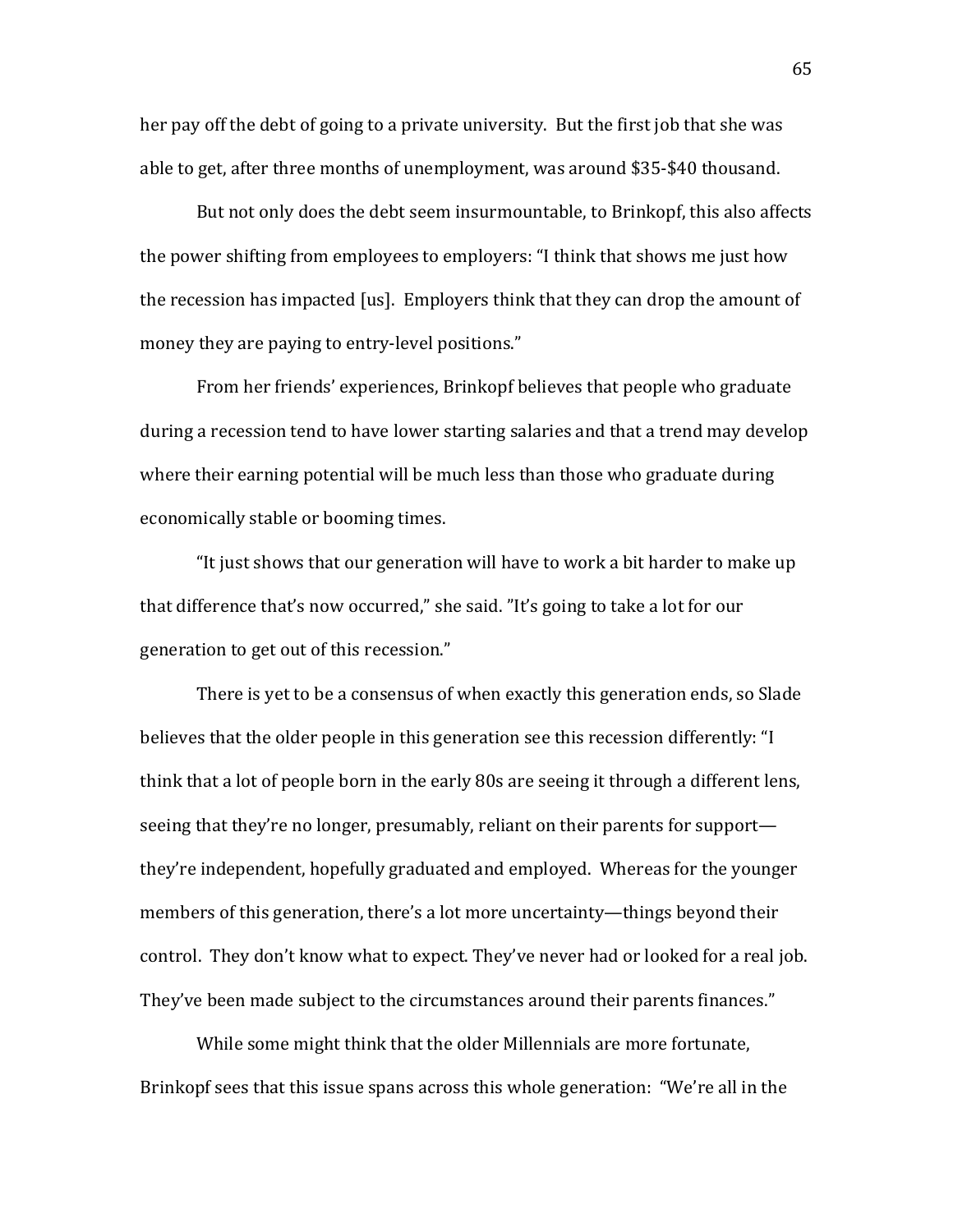her pay off the debt of going to a private university. But the first job that she was able to get, after three months of unemployment, was around \$35-\$40 thousand.

But not only does the debt seem insurmountable, to Brinkopf, this also affects the power shifting from employees to employers: "I think that shows me just how the recession has impacted [us]. Employers think that they can drop the amount of money they are paying to entry-level positions."

From her friends' experiences, Brinkopf believes that people who graduate during a recession tend to have lower starting salaries and that a trend may develop where their earning potential will be much less than those who graduate during economically stable or booming times.

"It just shows that our generation will have to work a bit harder to make up that difference that's now occurred," she said. "It's going to take a lot for our generation to get out of this recession."

There is yet to be a consensus of when exactly this generation ends, so Slade believes that the older people in this generation see this recession differently: "I think that a lot of people born in the early 80s are seeing it through a different lens, seeing that they're no longer, presumably, reliant on their parents for support they're independent, hopefully graduated and employed. Whereas for the younger members of this generation, there's a lot more uncertainty—things beyond their control. They don't know what to expect. They've never had or looked for a real job. They've been made subject to the circumstances around their parents finances."

While some might think that the older Millennials are more fortunate, Brinkopf sees that this issue spans across this whole generation: "We're all in the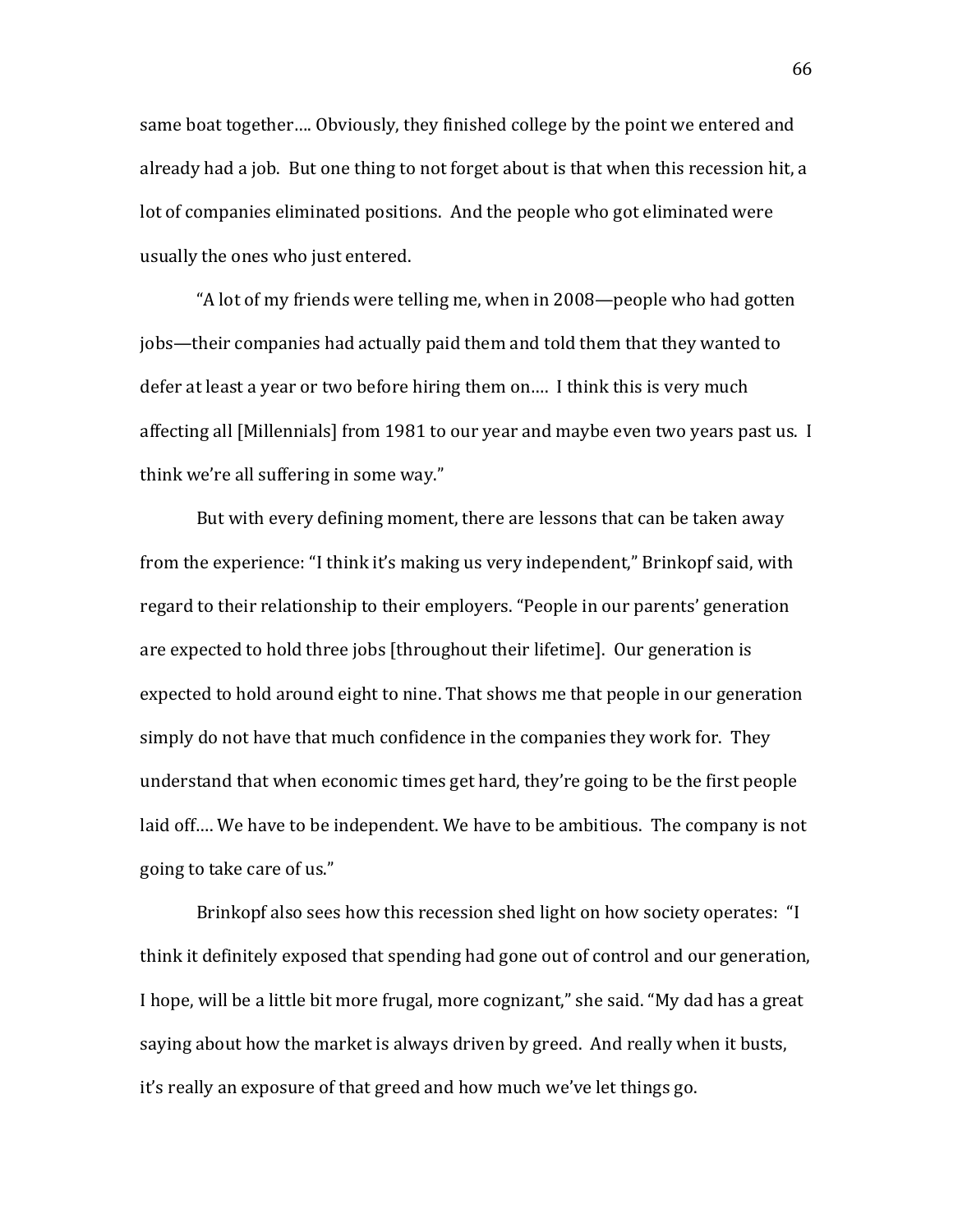same boat together.... Obviously, they finished college by the point we entered and already had a job. But one thing to not forget about is that when this recession hit, a lot of companies eliminated positions. And the people who got eliminated were usually the ones who just entered.

"A lot of my friends were telling me, when in 2008—people who had gotten jobs—their companies had actually paid them and told them that they wanted to defer at least a year or two before hiring them on.... I think this is very much affecting all [Millennials] from 1981 to our year and maybe even two years past us. I think we're all suffering in some way."

But with every defining moment, there are lessons that can be taken away from the experience: "I think it's making us very independent," Brinkopf said, with regard to their relationship to their employers. "People in our parents' generation are expected to hold three jobs [throughout their lifetime]. Our generation is expected to hold around eight to nine. That shows me that people in our generation simply do not have that much confidence in the companies they work for. They understand that when economic times get hard, they're going to be the first people laid off…. We have to be independent. We have to be ambitious. The company is not going to take care of us."

Brinkopf also sees how this recession shed light on how society operates: "I think it definitely exposed that spending had gone out of control and our generation, I hope, will be a little bit more frugal, more cognizant," she said. "My dad has a great saying about how the market is always driven by greed. And really when it busts, it's really an exposure of that greed and how much we've let things go.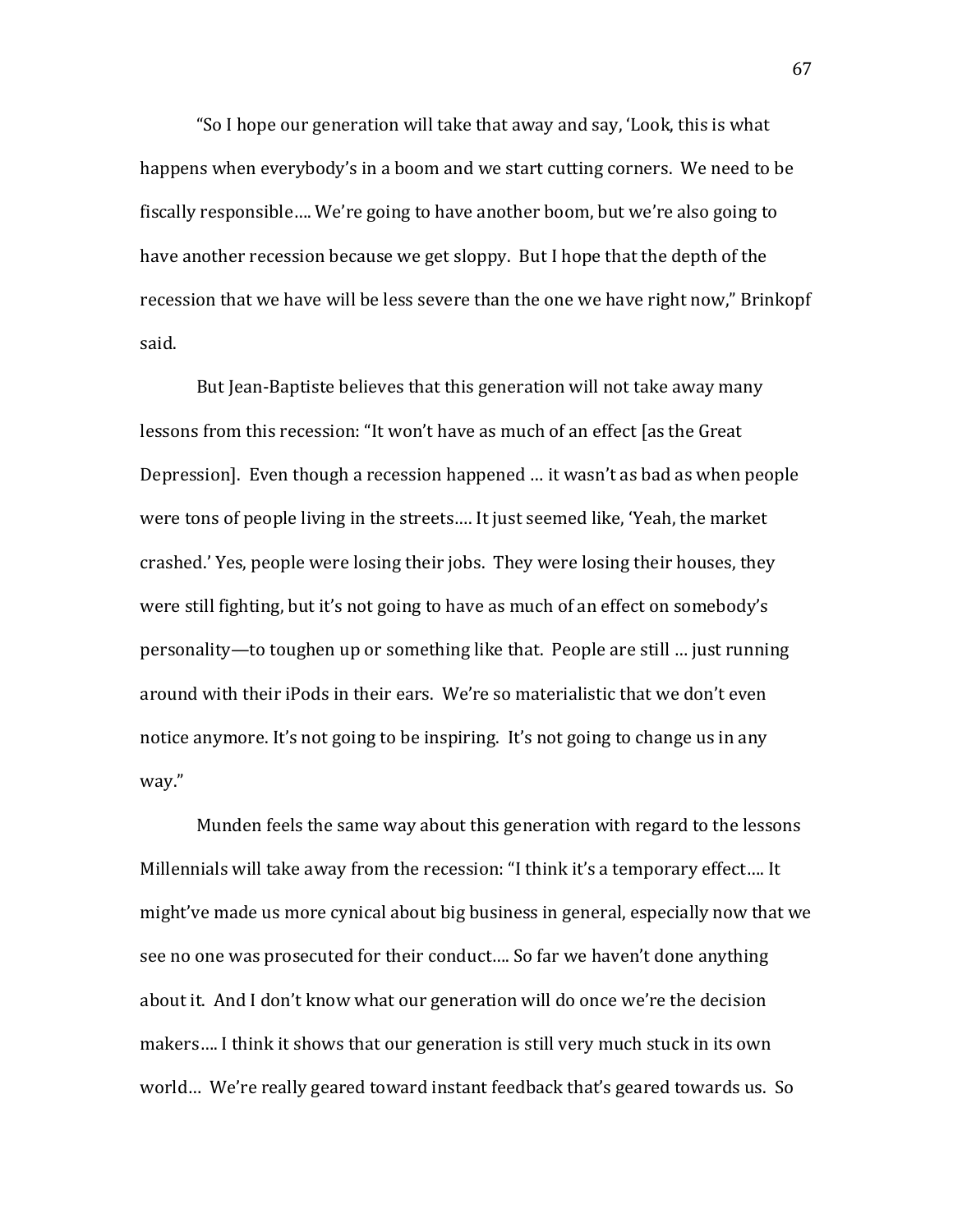"So I hope our generation will take that away and say, 'Look, this is what happens when everybody's in a boom and we start cutting corners. We need to be fiscally responsible.... We're going to have another boom, but we're also going to have another recession because we get sloppy. But I hope that the depth of the recession that we have will be less severe than the one we have right now," Brinkopf said.

But Jean-Baptiste believes that this generation will not take away many lessons from this recession: "It won't have as much of an effect [as the Great] Depression]. Even though a recession happened ... it wasn't as bad as when people were tons of people living in the streets.... It just seemed like, 'Yeah, the market crashed.' Yes, people were losing their jobs. They were losing their houses, they were still fighting, but it's not going to have as much of an effect on somebody's personality—to toughen up or something like that. People are still ... just running around with their iPods in their ears. We're so materialistic that we don't even notice anymore. It's not going to be inspiring. It's not going to change us in any way."

Munden feels the same way about this generation with regard to the lessons Millennials will take away from the recession: "I think it's a temporary effect.... It might've made us more cynical about big business in general, especially now that we see no one was prosecuted for their conduct.... So far we haven't done anything about it. And I don't know what our generation will do once we're the decision makers.... I think it shows that our generation is still very much stuck in its own world... We're really geared toward instant feedback that's geared towards us. So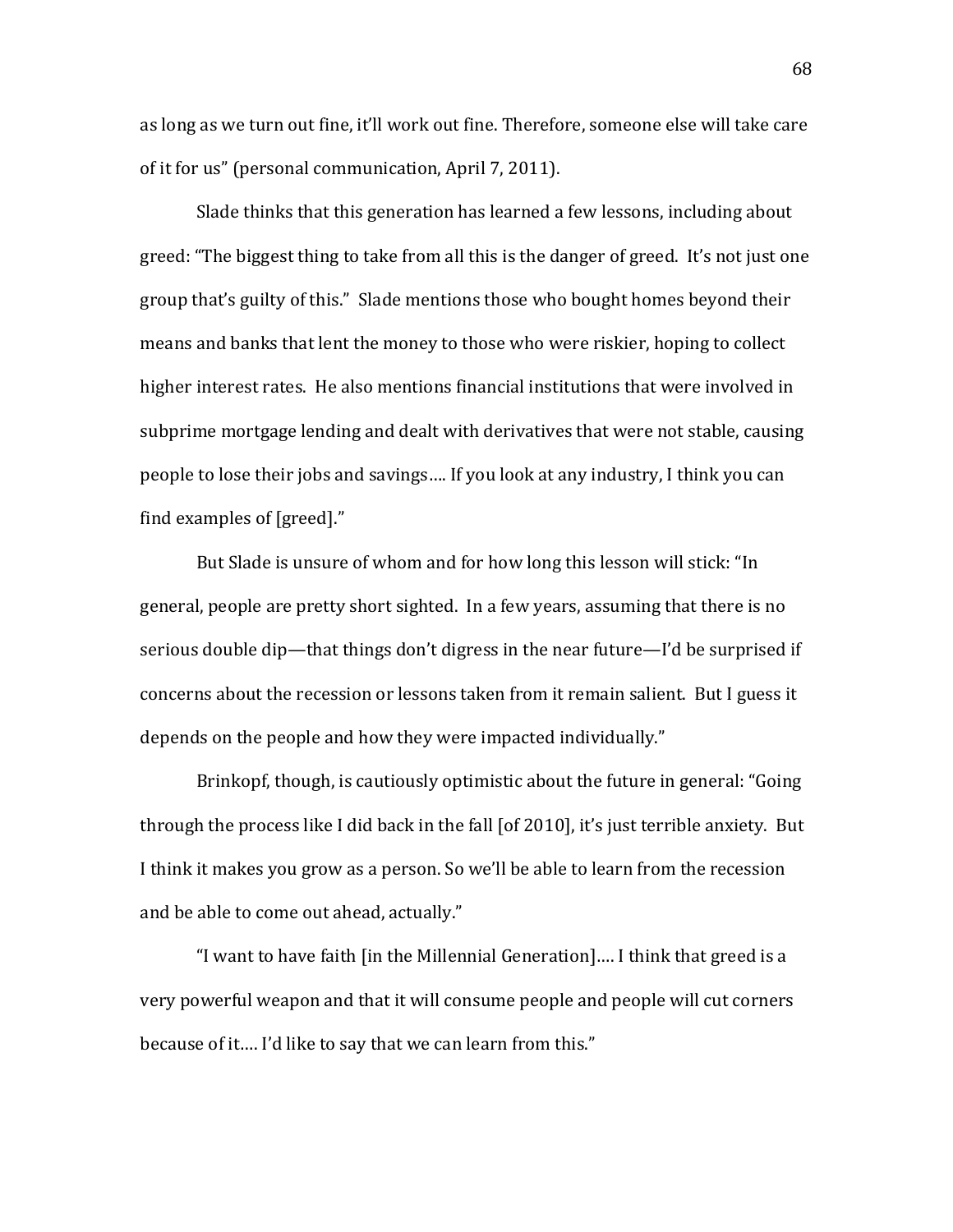as long as we turn out fine, it'll work out fine. Therefore, someone else will take care of it for us" (personal communication, April 7, 2011).

Slade thinks that this generation has learned a few lessons, including about greed: "The biggest thing to take from all this is the danger of greed. It's not just one group that's guilty of this." Slade mentions those who bought homes beyond their means and banks that lent the money to those who were riskier, hoping to collect higher interest rates. He also mentions financial institutions that were involved in subprime mortgage lending and dealt with derivatives that were not stable, causing people to lose their jobs and savings.... If you look at any industry, I think you can find examples of [greed]."

But Slade is unsure of whom and for how long this lesson will stick: "In general, people are pretty short sighted. In a few years, assuming that there is no serious double dip—that things don't digress in the near future—I'd be surprised if concerns about the recession or lessons taken from it remain salient. But I guess it depends on the people and how they were impacted individually."

Brinkopf, though, is cautiously optimistic about the future in general: "Going" through the process like I did back in the fall [of 2010], it's just terrible anxiety. But I think it makes you grow as a person. So we'll be able to learn from the recession and be able to come out ahead, actually."

"I want to have faith [in the Millennial Generation].... I think that greed is a very powerful weapon and that it will consume people and people will cut corners because of it.... I'd like to say that we can learn from this."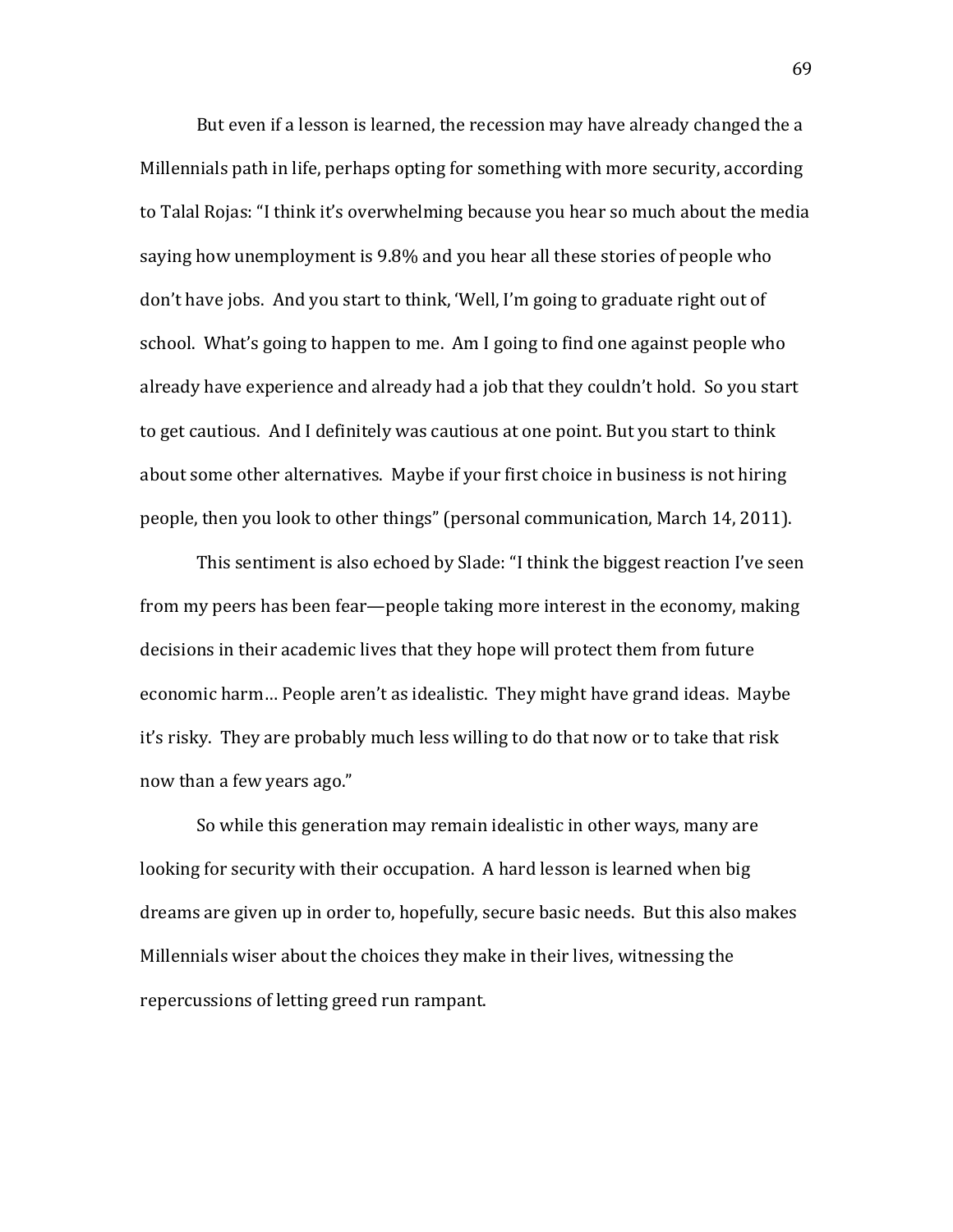But even if a lesson is learned, the recession may have already changed the a Millennials path in life, perhaps opting for something with more security, according to Talal Rojas: "I think it's overwhelming because you hear so much about the media saying how unemployment is 9.8% and you hear all these stories of people who don't have jobs. And you start to think, 'Well, I'm going to graduate right out of school. What's going to happen to me. Am I going to find one against people who already have experience and already had a job that they couldn't hold. So you start to get cautious. And I definitely was cautious at one point. But you start to think about some other alternatives. Maybe if your first choice in business is not hiring people, then you look to other things" (personal communication, March 14, 2011).

This sentiment is also echoed by Slade: "I think the biggest reaction I've seen from my peers has been fear—people taking more interest in the economy, making decisions in their academic lives that they hope will protect them from future economic harm... People aren't as idealistic. They might have grand ideas. Maybe it's risky. They are probably much less willing to do that now or to take that risk now than a few years ago."

So while this generation may remain idealistic in other ways, many are looking for security with their occupation. A hard lesson is learned when big dreams are given up in order to, hopefully, secure basic needs. But this also makes Millennials wiser about the choices they make in their lives, witnessing the repercussions of letting greed run rampant.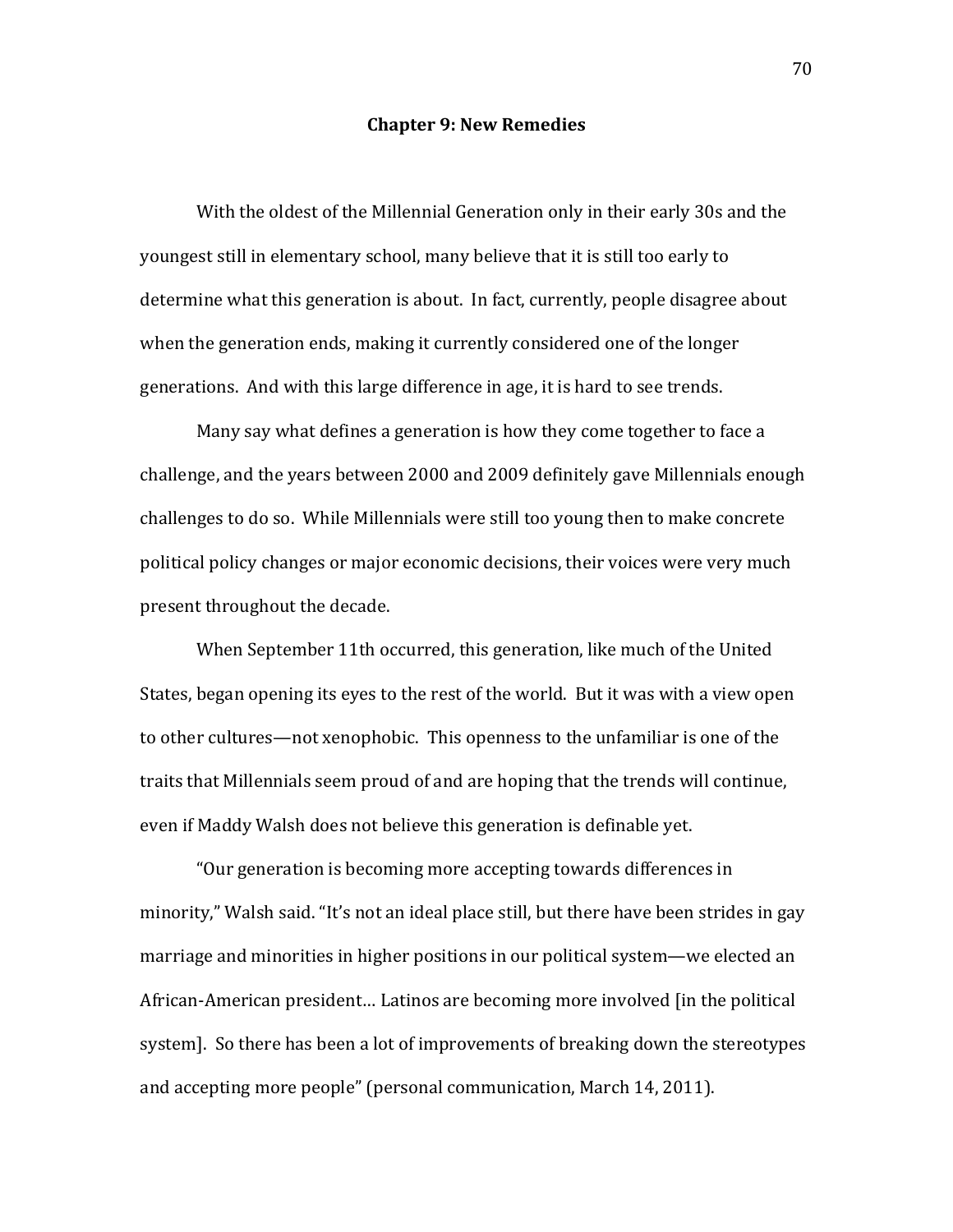## **Chapter 9: New Remedies**

With the oldest of the Millennial Generation only in their early 30s and the youngest still in elementary school, many believe that it is still too early to determine what this generation is about. In fact, currently, people disagree about when the generation ends, making it currently considered one of the longer generations. And with this large difference in age, it is hard to see trends.

Many say what defines a generation is how they come together to face a challenge, and the years between 2000 and 2009 definitely gave Millennials enough challenges to do so. While Millennials were still too young then to make concrete political policy changes or major economic decisions, their voices were very much present throughout the decade.

When September 11th occurred, this generation, like much of the United States, began opening its eyes to the rest of the world. But it was with a view open to other cultures—not xenophobic. This openness to the unfamiliar is one of the traits that Millennials seem proud of and are hoping that the trends will continue, even if Maddy Walsh does not believe this generation is definable vet.

"Our generation is becoming more accepting towards differences in minority," Walsh said. "It's not an ideal place still, but there have been strides in gay marriage and minorities in higher positions in our political system—we elected an African-American president... Latinos are becoming more involved [in the political system]. So there has been a lot of improvements of breaking down the stereotypes and accepting more people" (personal communication, March 14, 2011).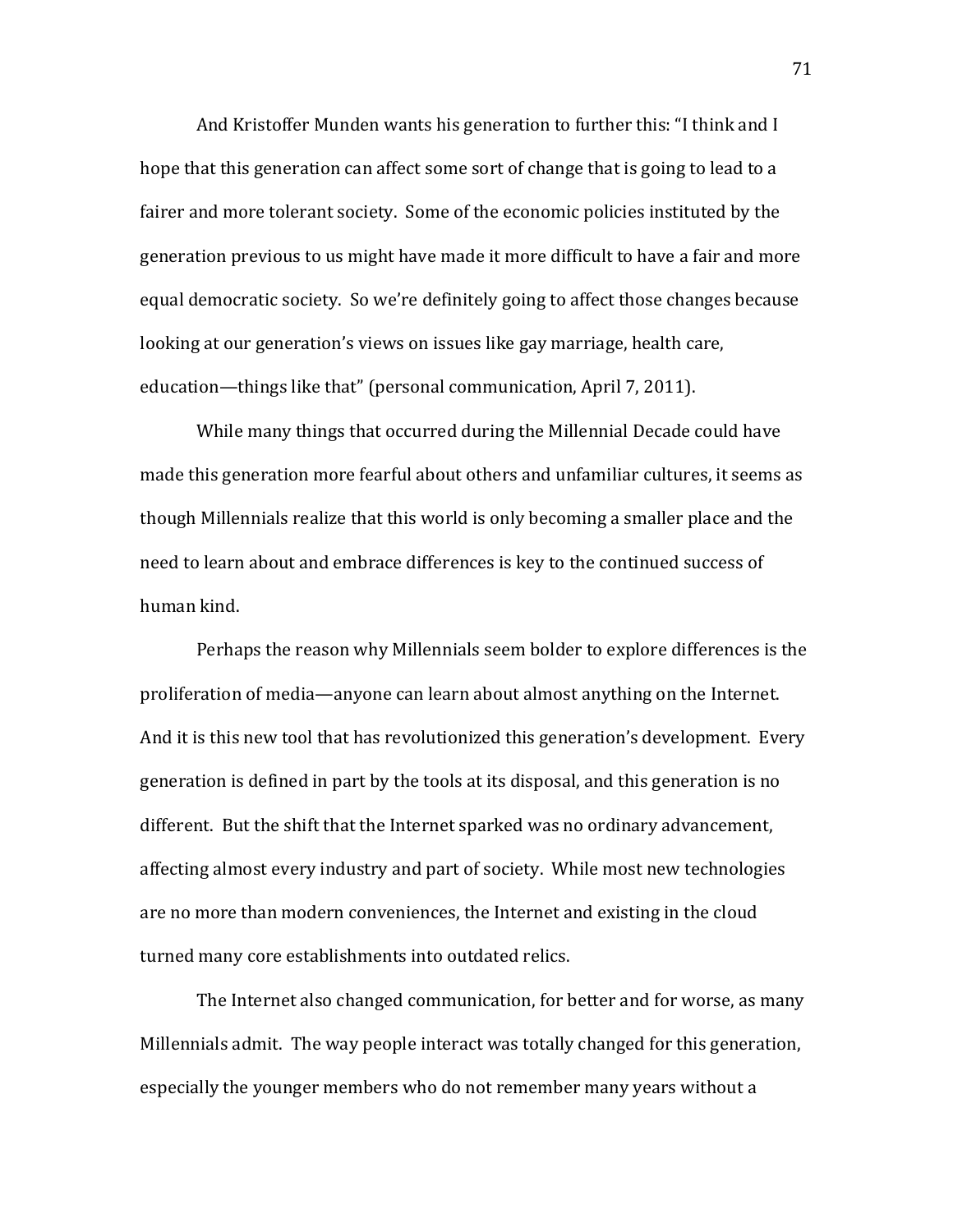And Kristoffer Munden wants his generation to further this: "I think and I hope that this generation can affect some sort of change that is going to lead to a fairer and more tolerant society. Some of the economic policies instituted by the generation previous to us might have made it more difficult to have a fair and more equal democratic society. So we're definitely going to affect those changes because looking at our generation's views on issues like gay marriage, health care, education—things like that" (personal communication, April 7, 2011).

While many things that occurred during the Millennial Decade could have made this generation more fearful about others and unfamiliar cultures, it seems as though Millennials realize that this world is only becoming a smaller place and the need to learn about and embrace differences is key to the continued success of human kind.

Perhaps the reason why Millennials seem bolder to explore differences is the proliferation of media—anyone can learn about almost anything on the Internet. And it is this new tool that has revolutionized this generation's development. Every generation is defined in part by the tools at its disposal, and this generation is no different. But the shift that the Internet sparked was no ordinary advancement, affecting almost every industry and part of society. While most new technologies are no more than modern conveniences, the Internet and existing in the cloud turned many core establishments into outdated relics.

The Internet also changed communication, for better and for worse, as many Millennials admit. The way people interact was totally changed for this generation, especially the younger members who do not remember many years without a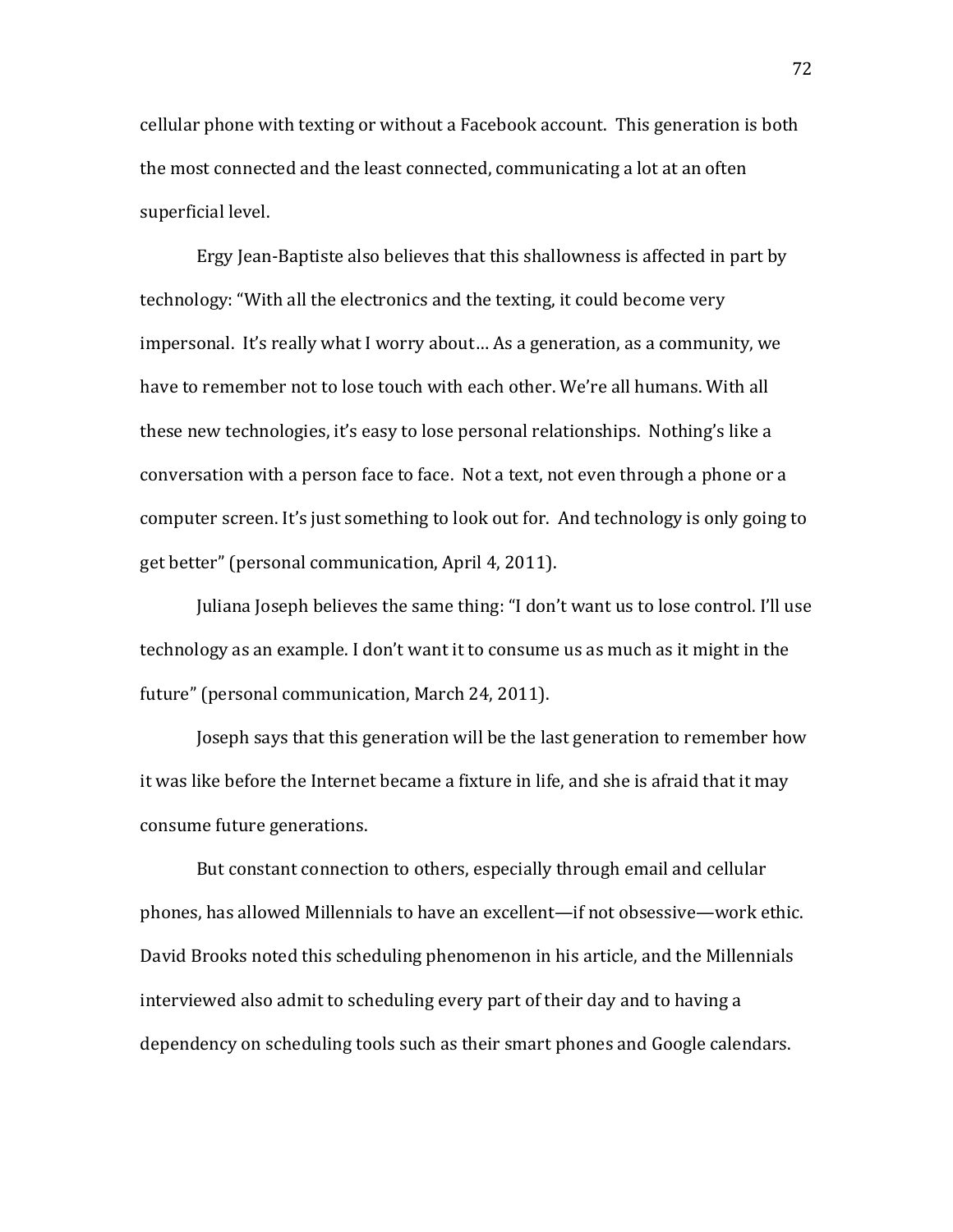cellular phone with texting or without a Facebook account. This generation is both the most connected and the least connected, communicating a lot at an often superficial level.

Ergy Jean-Baptiste also believes that this shallowness is affected in part by technology: "With all the electronics and the texting, it could become very impersonal. It's really what I worry about... As a generation, as a community, we have to remember not to lose touch with each other. We're all humans. With all these new technologies, it's easy to lose personal relationships. Nothing's like a conversation with a person face to face. Not a text, not even through a phone or a computer screen. It's just something to look out for. And technology is only going to get better" (personal communication, April 4, 2011).

Juliana Joseph believes the same thing: "I don't want us to lose control. I'll use technology as an example. I don't want it to consume us as much as it might in the future" (personal communication, March 24, 2011).

Joseph says that this generation will be the last generation to remember how it was like before the Internet became a fixture in life, and she is afraid that it may consume future generations.

But constant connection to others, especially through email and cellular phones, has allowed Millennials to have an excellent—if not obsessive—work ethic. David Brooks noted this scheduling phenomenon in his article, and the Millennials interviewed also admit to scheduling every part of their day and to having a dependency on scheduling tools such as their smart phones and Google calendars.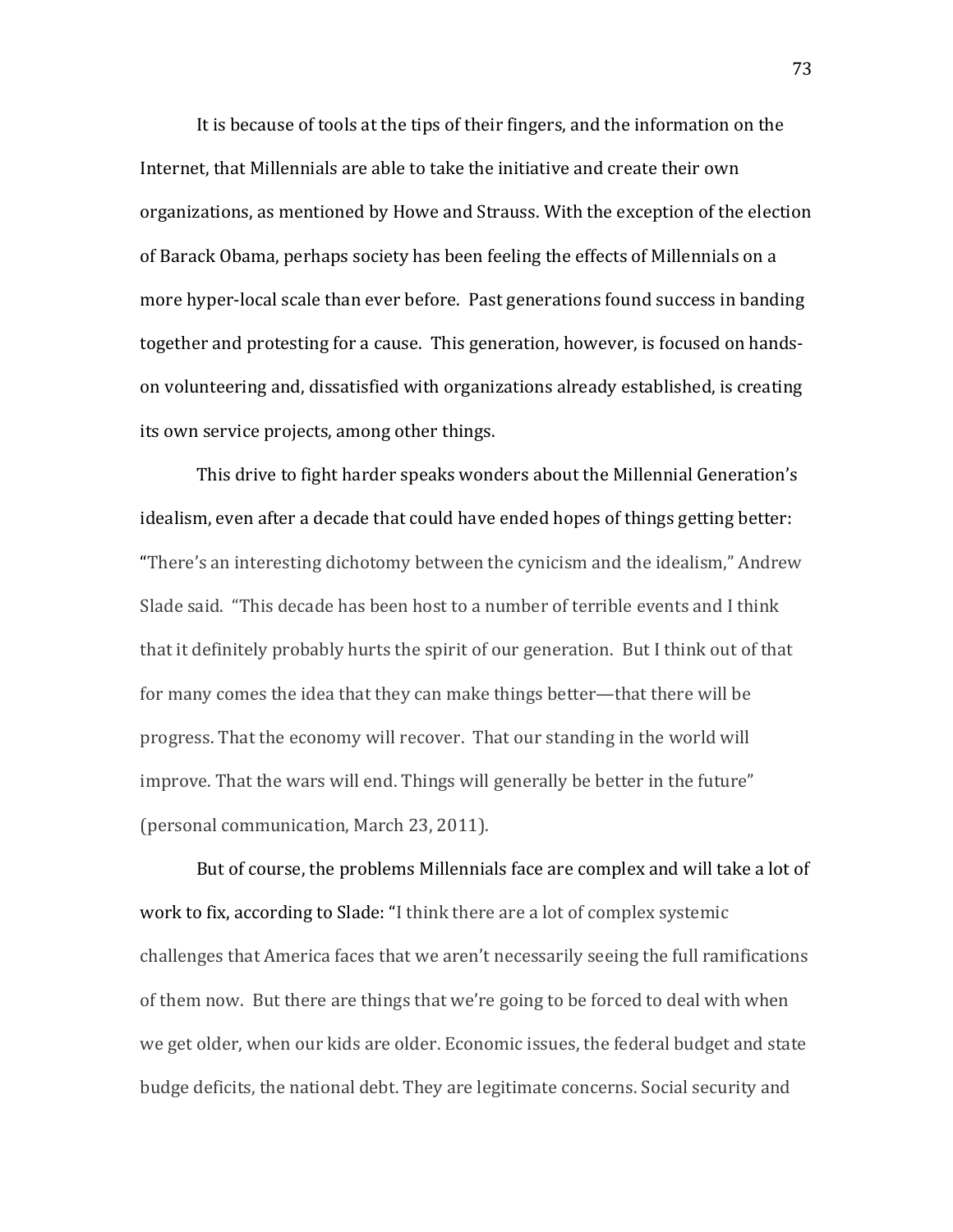It is because of tools at the tips of their fingers, and the information on the Internet, that Millennials are able to take the initiative and create their own organizations, as mentioned by Howe and Strauss. With the exception of the election of Barack Obama, perhaps society has been feeling the effects of Millennials on a more hyper-local scale than ever before. Past generations found success in banding together and protesting for a cause. This generation, however, is focused on handson volunteering and, dissatisfied with organizations already established, is creating its own service projects, among other things.

This drive to fight harder speaks wonders about the Millennial Generation's idealism, even after a decade that could have ended hopes of things getting better: "There's an interesting dichotomy between the cynicism and the idealism," Andrew Slade said. "This decade has been host to a number of terrible events and I think that it definitely probably hurts the spirit of our generation. But I think out of that for many comes the idea that they can make things better—that there will be progress. That the economy will recover. That our standing in the world will improve. That the wars will end. Things will generally be better in the future" (personal communication, March 23, 2011).

But of course, the problems Millennials face are complex and will take a lot of work to fix, according to Slade: "I think there are a lot of complex systemic challenges that America faces that we aren't necessarily seeing the full ramifications of them now. But there are things that we're going to be forced to deal with when we get older, when our kids are older. Economic issues, the federal budget and state budge deficits, the national debt. They are legitimate concerns. Social security and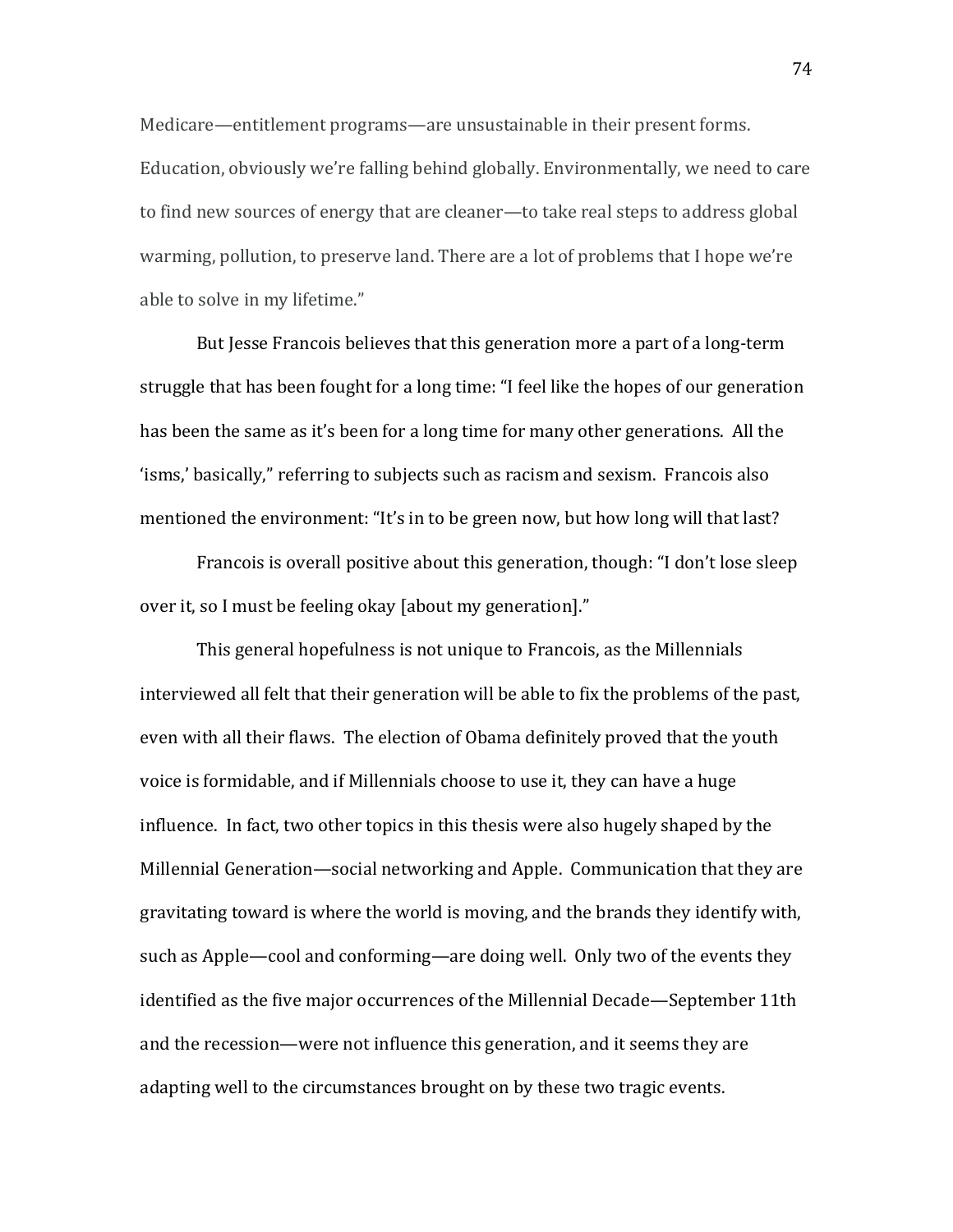Medicare—entitlement programs—are unsustainable in their present forms. Education, obviously we're falling behind globally. Environmentally, we need to care to find new sources of energy that are cleaner—to take real steps to address global warming, pollution, to preserve land. There are a lot of problems that I hope we're able to solve in my lifetime."

But lesse Francois believes that this generation more a part of a long-term struggle that has been fought for a long time: "I feel like the hopes of our generation has been the same as it's been for a long time for many other generations. All the 'isms,' basically," referring to subjects such as racism and sexism. Francois also mentioned the environment: "It's in to be green now, but how long will that last?

Francois is overall positive about this generation, though: "I don't lose sleep over it, so I must be feeling okay [about my generation]."

This general hopefulness is not unique to Francois, as the Millennials interviewed all felt that their generation will be able to fix the problems of the past, even with all their flaws. The election of Obama definitely proved that the youth voice is formidable, and if Millennials choose to use it, they can have a huge influence. In fact, two other topics in this thesis were also hugely shaped by the Millennial Generation—social networking and Apple. Communication that they are gravitating toward is where the world is moving, and the brands they identify with, such as Apple—cool and conforming—are doing well. Only two of the events they identified as the five major occurrences of the Millennial Decade-September 11th and the recession—were not influence this generation, and it seems they are adapting well to the circumstances brought on by these two tragic events.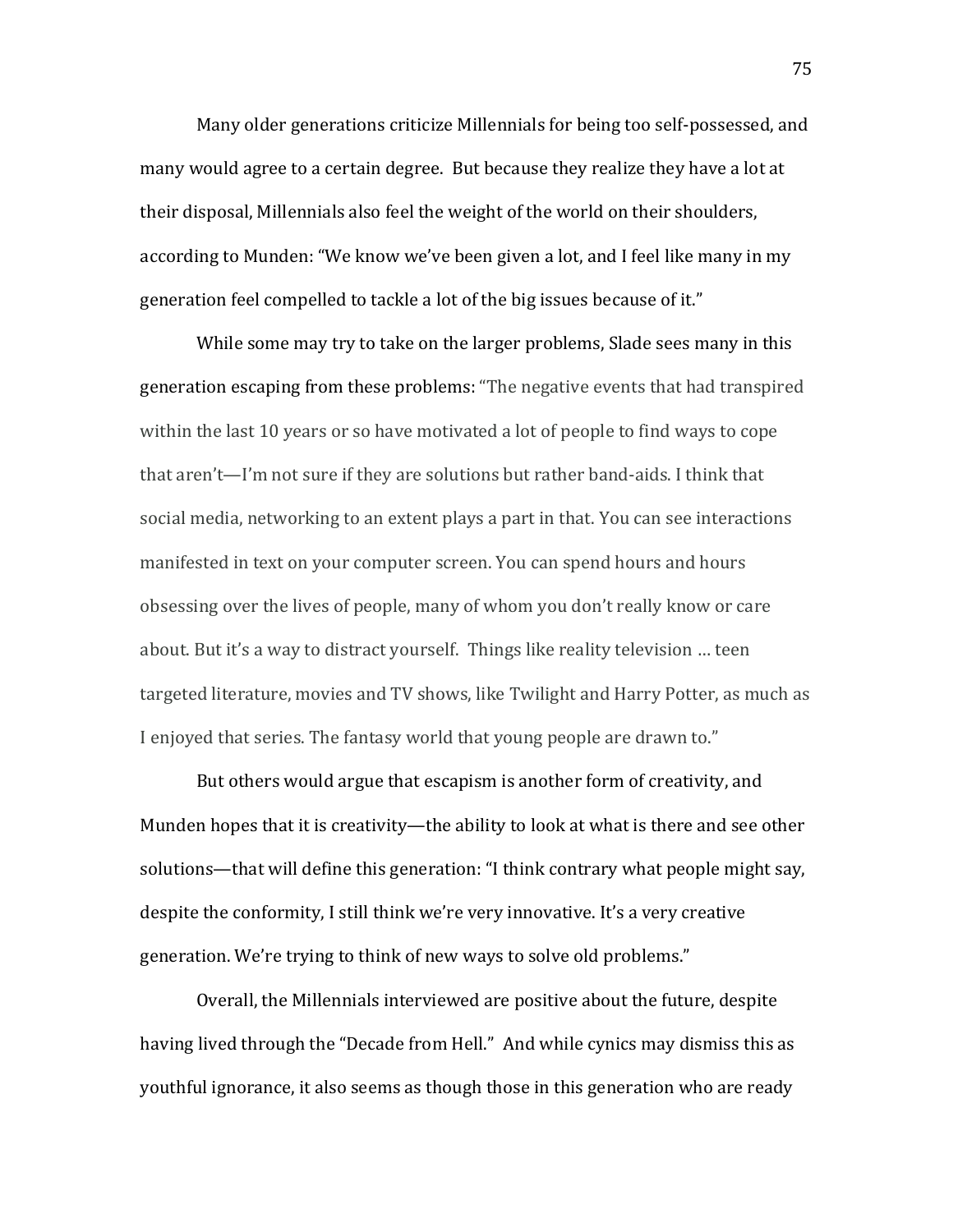Many older generations criticize Millennials for being too self-possessed, and many would agree to a certain degree. But because they realize they have a lot at their disposal, Millennials also feel the weight of the world on their shoulders, according to Munden: "We know we've been given a lot, and I feel like many in my generation feel compelled to tackle a lot of the big issues because of it."

While some may try to take on the larger problems, Slade sees many in this generation escaping from these problems: "The negative events that had transpired within the last 10 years or so have motivated a lot of people to find ways to cope that aren't—I'm not sure if they are solutions but rather band-aids. I think that social media, networking to an extent plays a part in that. You can see interactions manifested in text on your computer screen. You can spend hours and hours obsessing over the lives of people, many of whom you don't really know or care about. But it's a way to distract yourself. Things like reality television ... teen targeted literature, movies and TV shows, like Twilight and Harry Potter, as much as I enjoyed that series. The fantasy world that young people are drawn to."

But others would argue that escapism is another form of creativity, and Munden hopes that it is creativity—the ability to look at what is there and see other solutions—that will define this generation: "I think contrary what people might say, despite the conformity, I still think we're very innovative. It's a very creative generation. We're trying to think of new ways to solve old problems."

Overall, the Millennials interviewed are positive about the future, despite having lived through the "Decade from Hell." And while cynics may dismiss this as youthful ignorance, it also seems as though those in this generation who are ready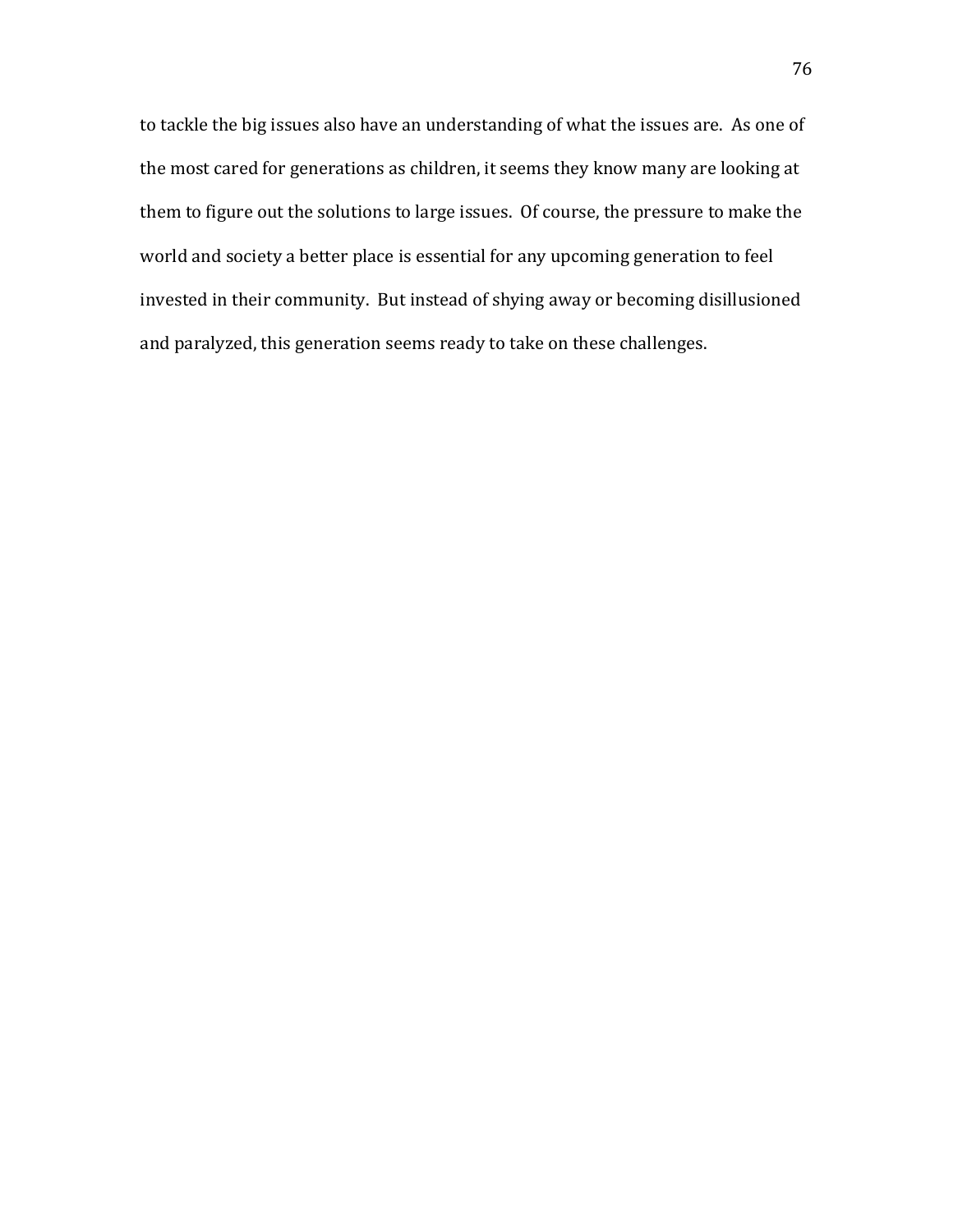to tackle the big issues also have an understanding of what the issues are. As one of the most cared for generations as children, it seems they know many are looking at them to figure out the solutions to large issues. Of course, the pressure to make the world and society a better place is essential for any upcoming generation to feel invested in their community. But instead of shying away or becoming disillusioned and paralyzed, this generation seems ready to take on these challenges.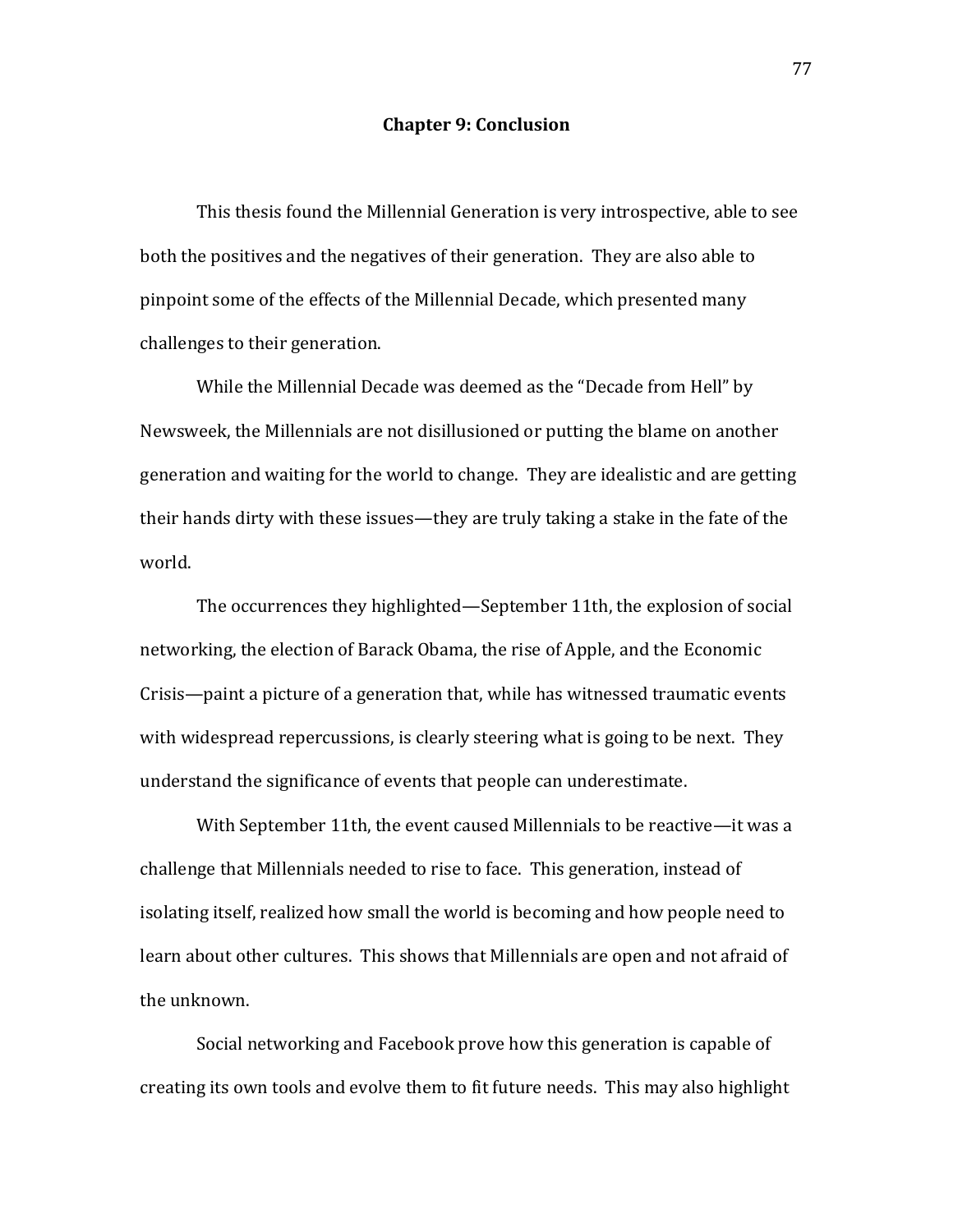## **Chapter 9: Conclusion**

This thesis found the Millennial Generation is very introspective, able to see both the positives and the negatives of their generation. They are also able to pinpoint some of the effects of the Millennial Decade, which presented many challenges to their generation.

While the Millennial Decade was deemed as the "Decade from Hell" by Newsweek, the Millennials are not disillusioned or putting the blame on another generation and waiting for the world to change. They are idealistic and are getting their hands dirty with these issues—they are truly taking a stake in the fate of the world.

The occurrences they highlighted—September 11th, the explosion of social networking, the election of Barack Obama, the rise of Apple, and the Economic Crisis—paint a picture of a generation that, while has witnessed traumatic events with widespread repercussions, is clearly steering what is going to be next. They understand the significance of events that people can underestimate.

With September 11th, the event caused Millennials to be reactive—it was a challenge that Millennials needed to rise to face. This generation, instead of isolating itself, realized how small the world is becoming and how people need to learn about other cultures. This shows that Millennials are open and not afraid of the unknown.

Social networking and Facebook prove how this generation is capable of creating its own tools and evolve them to fit future needs. This may also highlight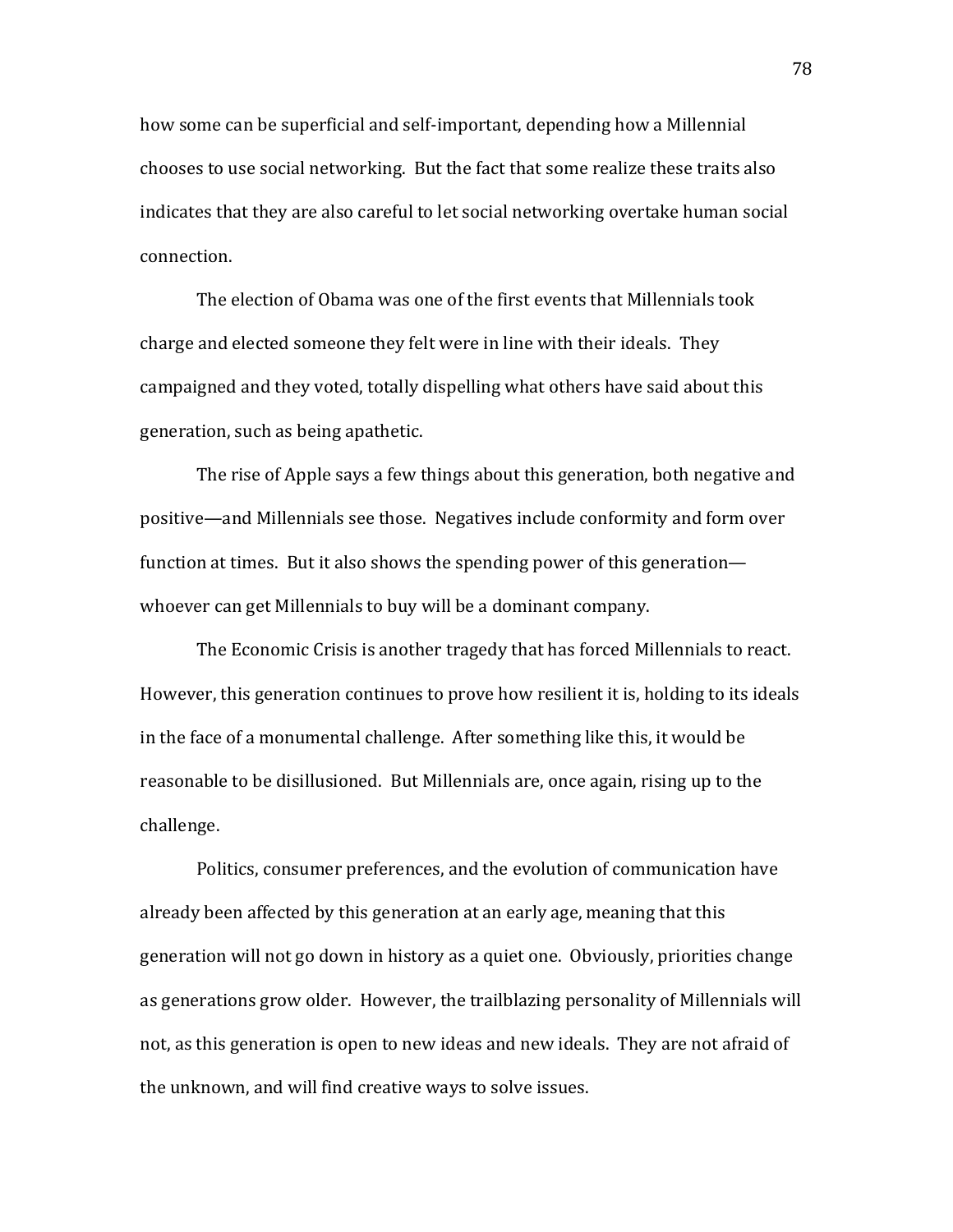how some can be superficial and self-important, depending how a Millennial chooses to use social networking. But the fact that some realize these traits also indicates that they are also careful to let social networking overtake human social connection.

The election of Obama was one of the first events that Millennials took charge and elected someone they felt were in line with their ideals. They campaigned and they voted, totally dispelling what others have said about this generation, such as being apathetic.

The rise of Apple says a few things about this generation, both negative and positive—and Millennials see those. Negatives include conformity and form over function at times. But it also shows the spending power of this generation whoever can get Millennials to buy will be a dominant company.

The Economic Crisis is another tragedy that has forced Millennials to react. However, this generation continues to prove how resilient it is, holding to its ideals in the face of a monumental challenge. After something like this, it would be reasonable to be disillusioned. But Millennials are, once again, rising up to the challenge.

Politics, consumer preferences, and the evolution of communication have already been affected by this generation at an early age, meaning that this generation will not go down in history as a quiet one. Obviously, priorities change as generations grow older. However, the trailblazing personality of Millennials will not, as this generation is open to new ideas and new ideals. They are not afraid of the unknown, and will find creative ways to solve issues.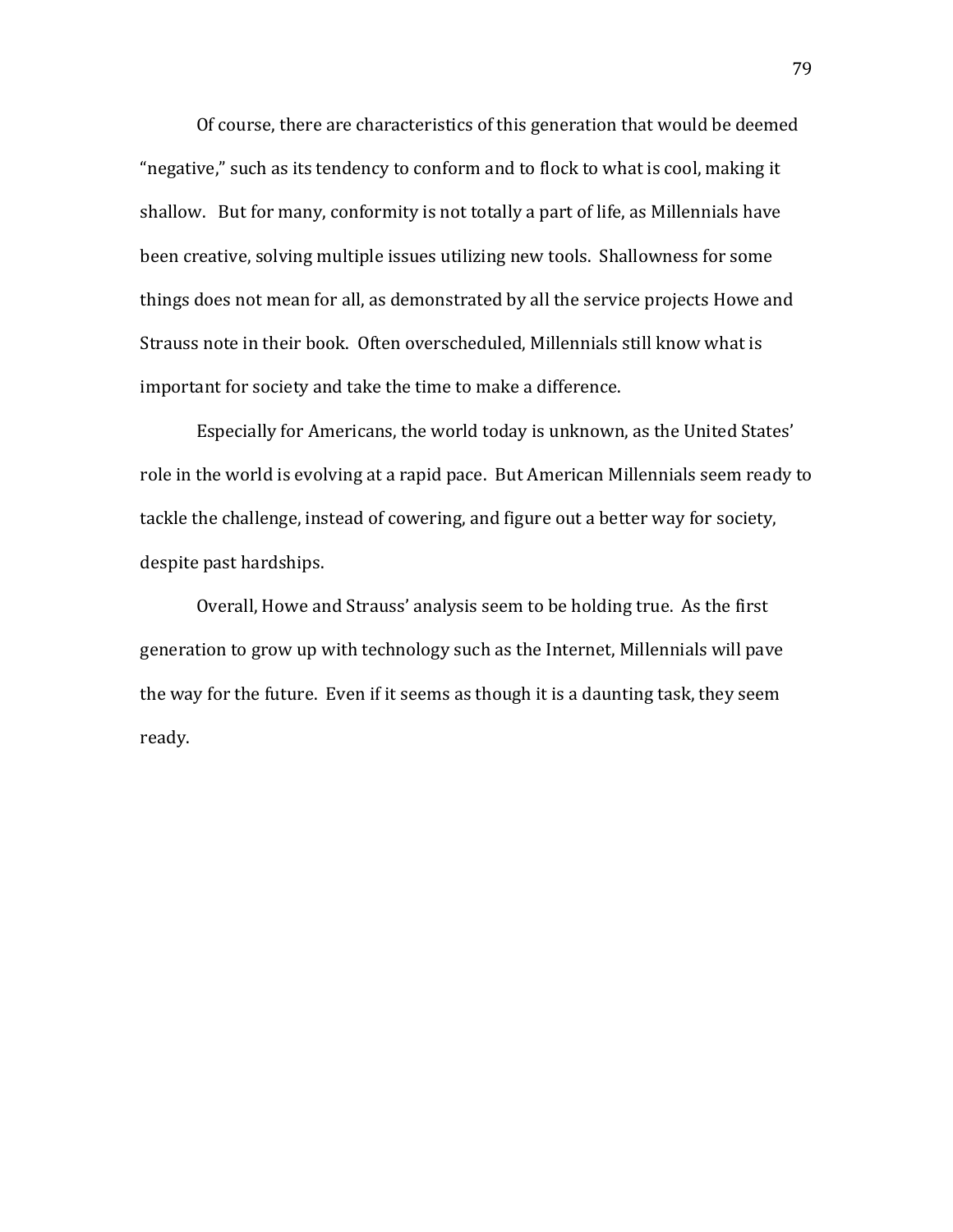Of course, there are characteristics of this generation that would be deemed "negative," such as its tendency to conform and to flock to what is cool, making it shallow. But for many, conformity is not totally a part of life, as Millennials have been creative, solving multiple issues utilizing new tools. Shallowness for some things does not mean for all, as demonstrated by all the service projects Howe and Strauss note in their book. Often overscheduled. Millennials still know what is important for society and take the time to make a difference.

Especially for Americans, the world today is unknown, as the United States' role in the world is evolving at a rapid pace. But American Millennials seem ready to tackle the challenge, instead of cowering, and figure out a better way for society, despite past hardships.

Overall, Howe and Strauss' analysis seem to be holding true. As the first generation to grow up with technology such as the Internet, Millennials will pave the way for the future. Even if it seems as though it is a daunting task, they seem ready.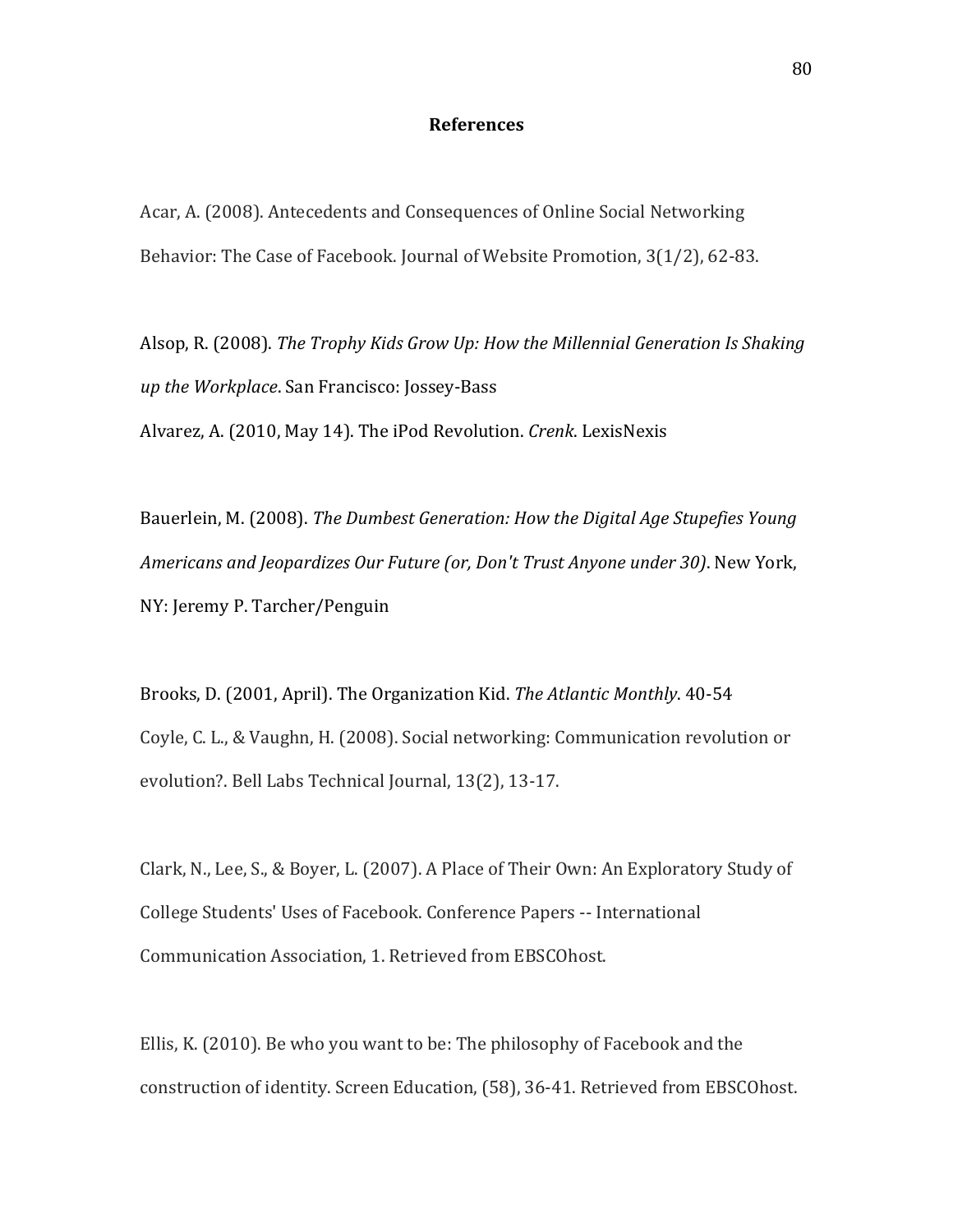## **References**

Acar, A. (2008). Antecedents and Consequences of Online Social Networking Behavior: The Case of Facebook. Journal of Website Promotion, 3(1/2), 62-83.

Alsop, R. (2008). *The Trophy Kids Grow Up: How the Millennial Generation Is Shaking up the Workplace*. San Francisco: Jossey-Bass Alvarez, A. (2010, May 14). The iPod Revolution. *Crenk*. LexisNexis

Bauerlein, M. (2008). *The Dumbest Generation: How the Digital Age Stupefies Young Americans and Jeopardizes Our Future (or, Don't Trust Anyone under 30).* New York, NY: Jeremy P. Tarcher/Penguin

Brooks, D. (2001, April). The Organization Kid. *The Atlantic Monthly*. 40-54 Coyle, C. L., & Vaughn, H. (2008). Social networking: Communication revolution or evolution?. Bell Labs Technical Journal, 13(2), 13-17.

Clark, N., Lee, S., & Boyer, L. (2007). A Place of Their Own: An Exploratory Study of College Students' Uses of Facebook. Conference Papers -- International Communication Association, 1. Retrieved from EBSCOhost.

Ellis, K. (2010). Be who you want to be: The philosophy of Facebook and the construction of identity. Screen Education, (58), 36-41. Retrieved from EBSCOhost.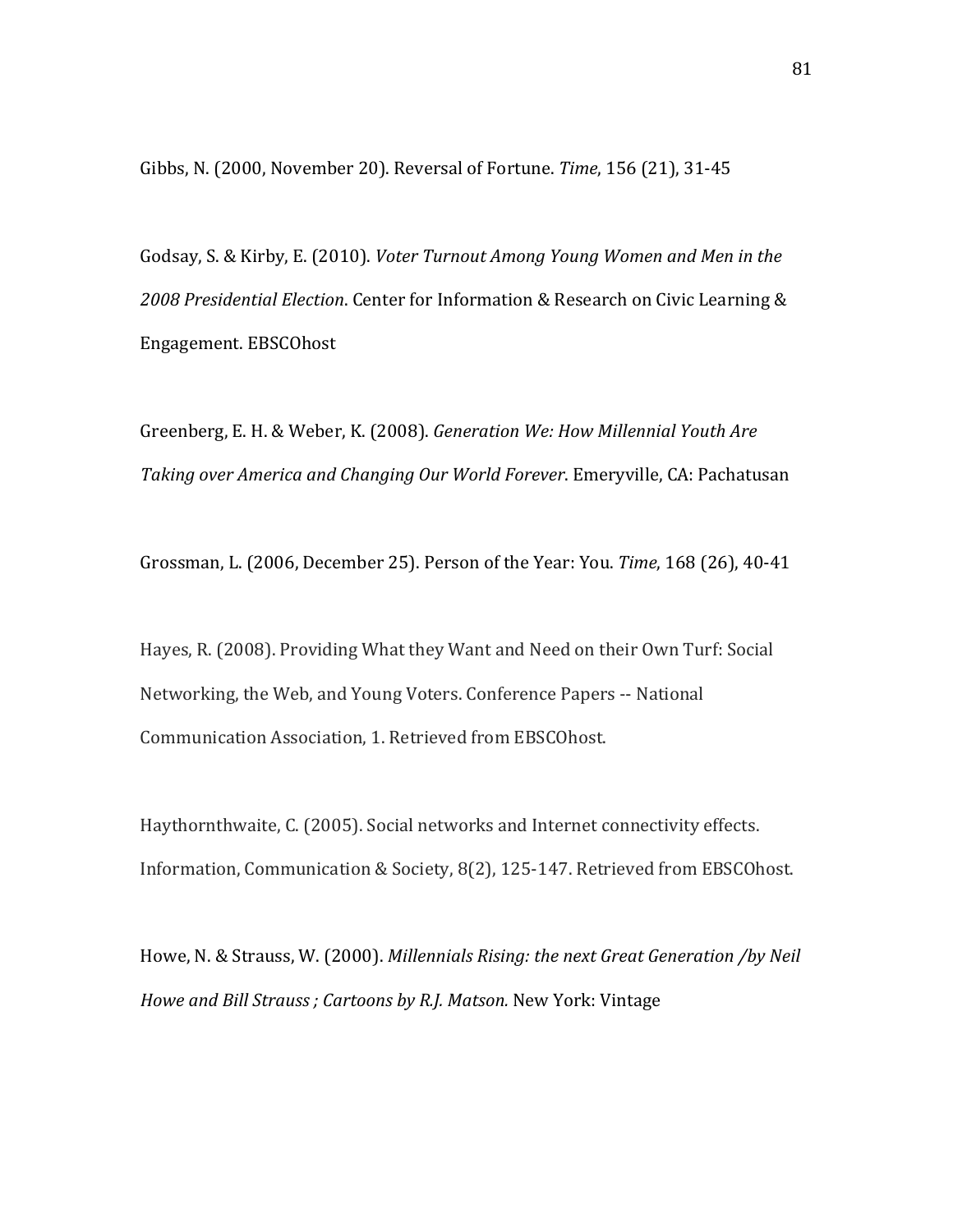Gibbs, N. (2000, November 20). Reversal of Fortune. *Time*, 156 (21), 31-45

Godsay, S. & Kirby, E. (2010). *Voter Turnout Among Young Women and Men in the* 2008 Presidential Election. Center for Information & Research on Civic Learning & Engagement.!EBSCOhost

Greenberg, E. H. & Weber, K. (2008). *Generation We: How Millennial Youth Are Taking over America and Changing Our World Forever*. Emeryville, CA: Pachatusan

Grossman, L. (2006, December 25). Person of the Year: You. *Time*, 168 (26), 40-41

Hayes, R. (2008). Providing What they Want and Need on their Own Turf: Social Networking, the Web, and Young Voters. Conference Papers -- National Communication Association, 1. Retrieved from EBSCOhost.

Haythornthwaite, C. (2005). Social networks and Internet connectivity effects. Information, Communication & Society, 8(2), 125-147. Retrieved from EBSCOhost.

Howe, N. & Strauss, W. (2000). *Millennials Rising: the next Great Generation /by Neil Howe and Bill Strauss; Cartoons by R.J. Matson. New York: Vintage*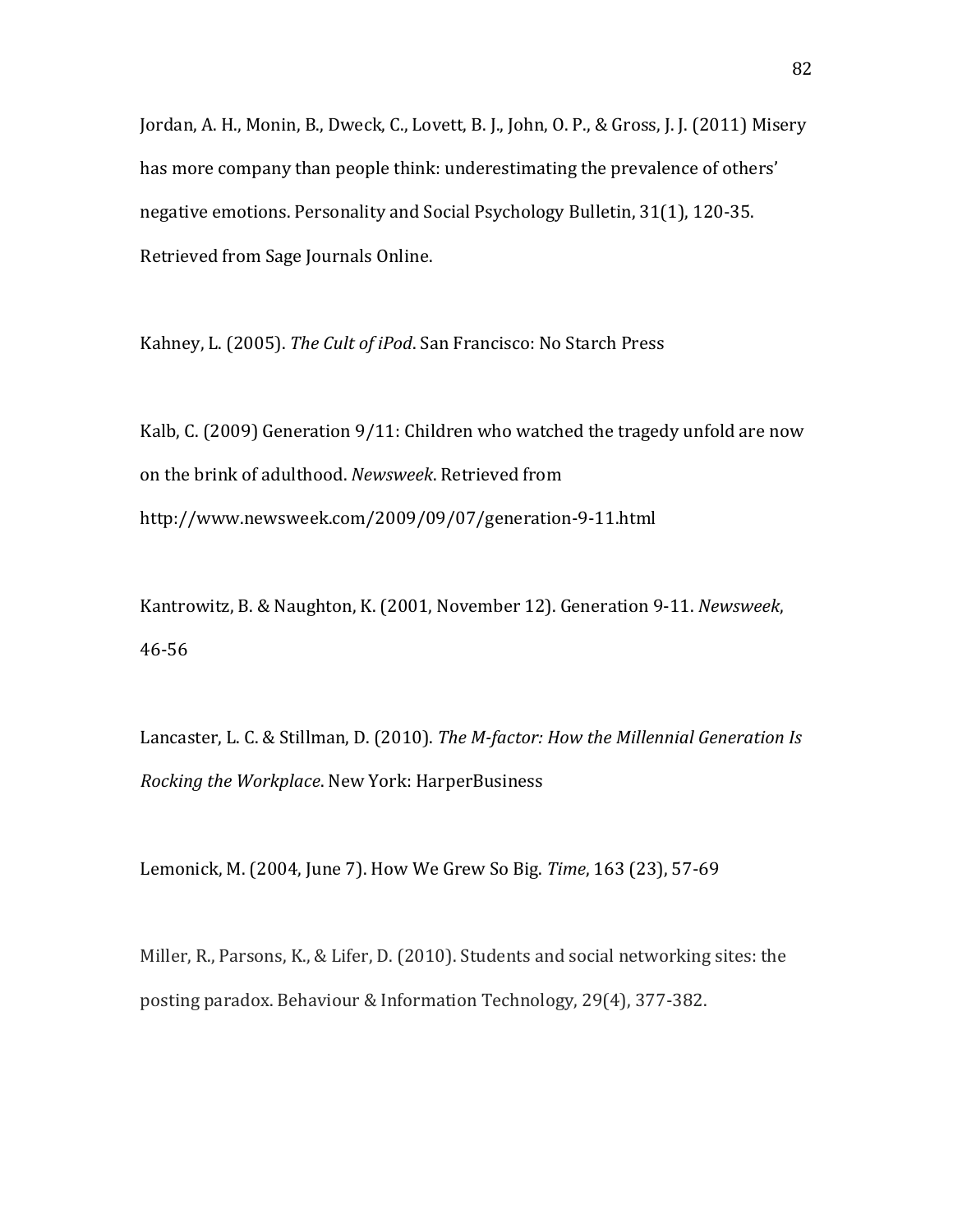Jordan, A. H., Monin, B., Dweck, C., Lovett, B. J., John, O. P., & Gross, J. J. (2011) Misery has more company than people think: underestimating the prevalence of others' negative emotions. Personality and Social Psychology Bulletin, 31(1), 120-35. Retrieved from Sage Journals Online.

Kahney, L. (2005). The Cult of iPod. San Francisco: No Starch Press

Kalb, C. (2009) Generation 9/11: Children who watched the tragedy unfold are now on the brink of adulthood. Newsweek. Retrieved from http://www.newsweek.com/2009/09/07/generation-9-11.html

Kantrowitz, B. & Naughton, K. (2001, November 12). Generation 9-11. Newsweek, 46-56

Lancaster, L. C. & Stillman, D. (2010). *The M-factor: How the Millennial Generation Is Rocking the Workplace*. New York: HarperBusiness

Lemonick, M. (2004, June 7). How We Grew So Big. Time, 163 (23), 57-69

Miller, R., Parsons, K., & Lifer, D. (2010). Students and social networking sites: the posting paradox. Behaviour & Information Technology, 29(4), 377-382.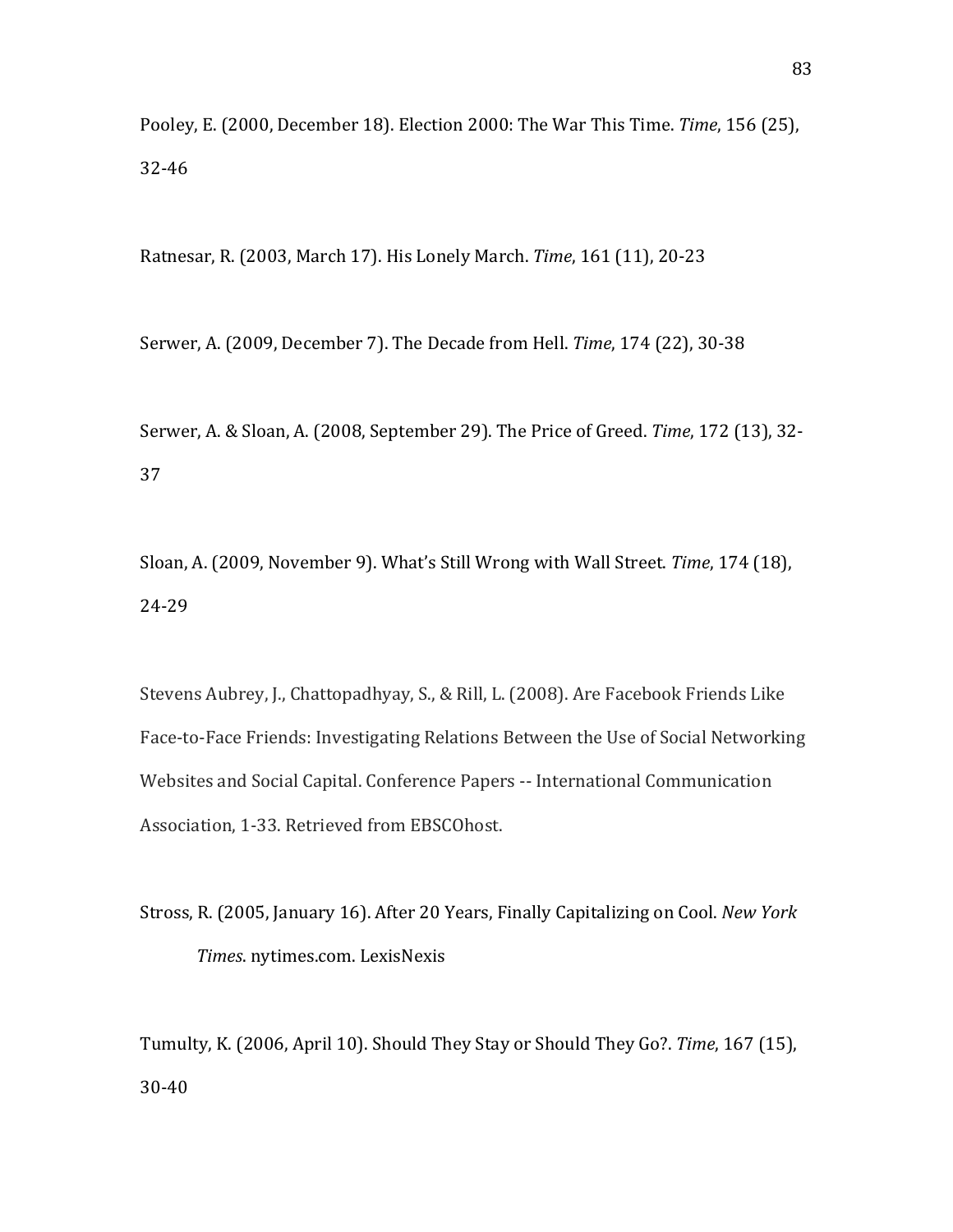Pooley, E. (2000, December 18). Election 2000: The War This Time. *Time*, 156 (25), 32-46

Ratnesar, R. (2003, March 17). His Lonely March. Time, 161 (11), 20-23

Serwer, A. (2009, December 7). The Decade from Hell. *Time*, 174 (22), 30-38

Serwer, A. & Sloan, A. (2008, September 29). The Price of Greed. *Time*, 172 (13), 32-37

Sloan, A. (2009, November 9). What's Still Wrong with Wall Street. Time, 174 (18), 24-29

Stevens Aubrey, J., Chattopadhyay, S., & Rill, L. (2008). Are Facebook Friends Like Face-to-Face Friends: Investigating Relations Between the Use of Social Networking Websites and Social Capital. Conference Papers -- International Communication Association, 1-33. Retrieved from EBSCOhost.

Stross, R. (2005, January 16). After 20 Years, Finally Capitalizing on Cool. *New York Times.* nytimes.com. LexisNexis

Tumulty, K. (2006, April 10). Should They Stay or Should They Go?. *Time*, 167 (15), 30-40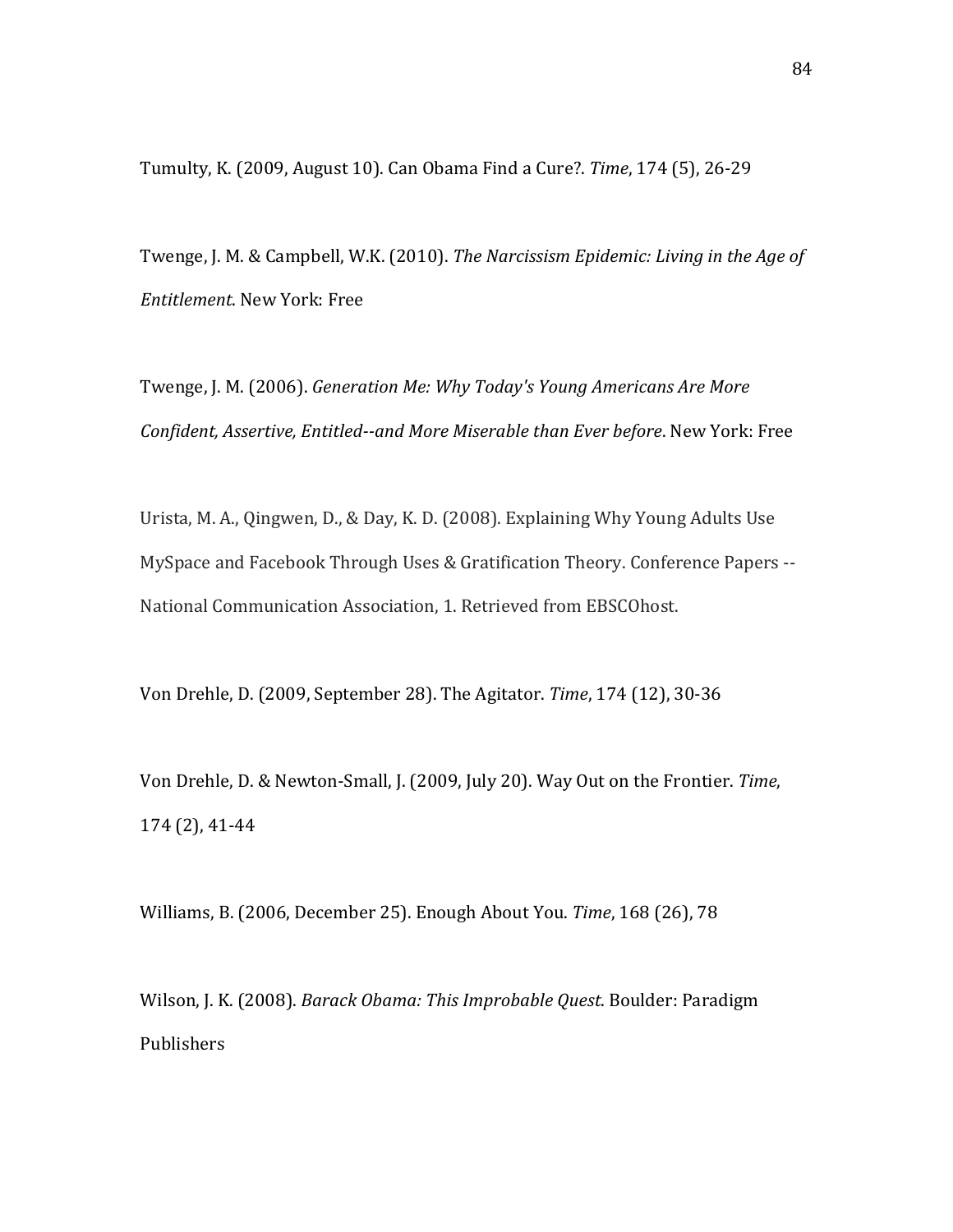Tumulty, K. (2009, August 10). Can Obama Find a Cure?. *Time*, 174 (5), 26-29

Twenge, J. M. & Campbell, W.K. (2010). *The Narcissism Epidemic: Living in the Age of Entitlement*. New York: Free

Twenge, J. M. (2006). Generation Me: Why Today's Young Americans Are More *Confident, Assertive, Entitled--and More Miserable than Ever before. New York: Free* 

Urista, M. A., Qingwen, D., & Day, K. D. (2008). Explaining Why Young Adults Use MySpace and Facebook Through Uses & Gratification Theory. Conference Papers --National Communication Association, 1. Retrieved from EBSCOhost.

Von Drehle, D. (2009, September 28). The Agitator. *Time*, 174 (12), 30-36

Von Drehle, D. & Newton-Small, J. (2009, July 20). Way Out on the Frontier. Time, 174 (2), 41-44

Williams, B. (2006, December 25). Enough About You. *Time*, 168 (26), 78

Wilson, J. K. (2008). *Barack Obama: This Improbable Quest*. Boulder: Paradigm Publishers